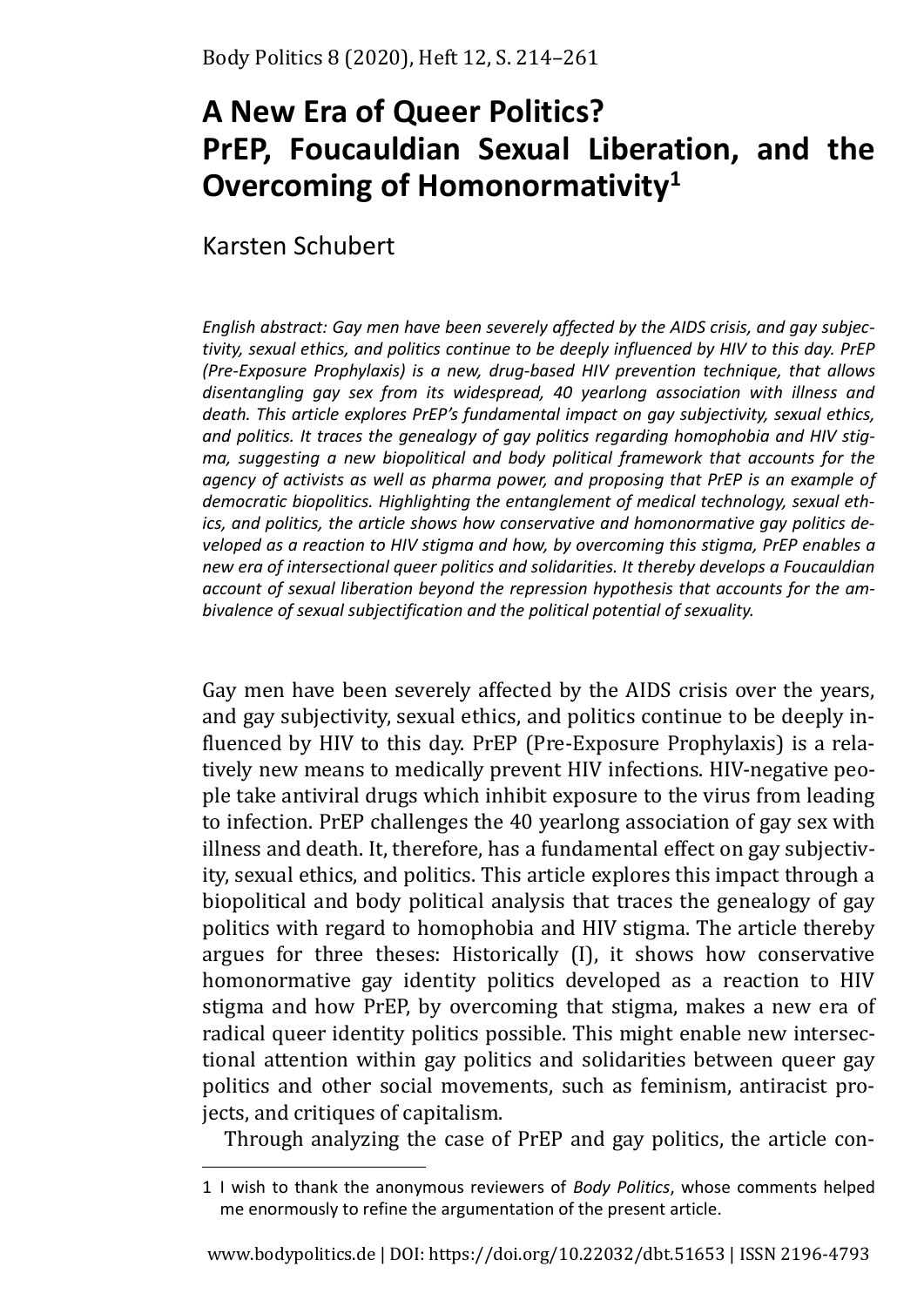# **A New Era of Queer Politics? PrEP, Foucauldian Sexual Liberation, and the Overcoming of Homonormativity<sup>1</sup>**

# Karsten Schubert

*English abstract: Gay men have been severely affected by the AIDS crisis, and gay subjectivity, sexual ethics, and politics continue to be deeply influenced by HIV to this day. PrEP (Pre-Exposure Prophylaxis) is a new, drug-based HIV prevention technique, that allows disentangling gay sex from its widespread, 40 yearlong association with illness and death. This article explores PrEP's fundamental impact on gay subjectivity, sexual ethics, and politics. It traces the genealogy of gay politics regarding homophobia and HIV stigma, suggesting a new biopolitical and body political framework that accounts for the agency of activists as well as pharma power, and proposing that PrEP is an example of democratic biopolitics. Highlighting the entanglement of medical technology, sexual ethics, and politics, the article shows how conservative and homonormative gay politics developed as a reaction to HIV stigma and how, by overcoming this stigma, PrEP enables a new era of intersectional queer politics and solidarities. It thereby develops a Foucauldian account of sexual liberation beyond the repression hypothesis that accounts for the ambivalence of sexual subjectification and the political potential of sexuality.* 

Gay men have been severely affected by the AIDS crisis over the years, and gay subjectivity, sexual ethics, and politics continue to be deeply influenced by HIV to this day. PrEP (Pre-Exposure Prophylaxis) is a relatively new means to medically prevent HIV infections. HIV-negative people take antiviral drugs which inhibit exposure to the virus from leading to infection. PrEP challenges the 40 yearlong association of gay sex with illness and death. It, therefore, has a fundamental effect on gay subjectivity, sexual ethics, and politics. This article explores this impact through a biopolitical and body political analysis that traces the genealogy of gay politics with regard to homophobia and HIV stigma. The article thereby argues for three theses: Historically (I), it shows how conservative homonormative gay identity politics developed as a reaction to HIV stigma and how PrEP, by overcoming that stigma, makes a new era of radical queer identity politics possible. This might enable new intersectional attention within gay politics and solidarities between queer gay politics and other social movements, such as feminism, antiracist projects, and critiques of capitalism.

Through analyzing the case of PrEP and gay politics, the article con-

<sup>1</sup> I wish to thank the anonymous reviewers of *Body Politics*, whose comments helped me enormously to refine the argumentation of the present article.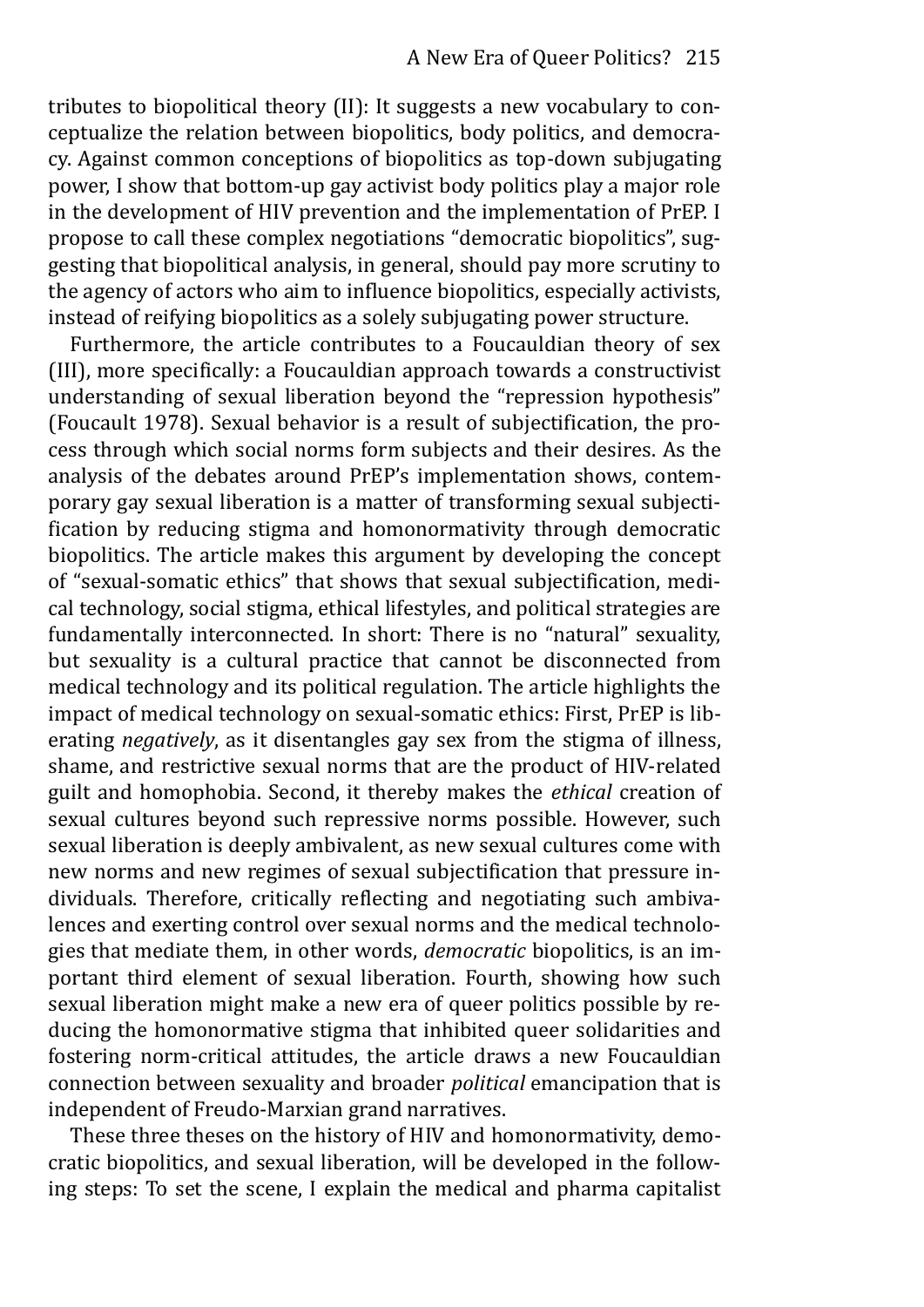tributes to biopolitical theory (II): It suggests a new vocabulary to conceptualize the relation between biopolitics, body politics, and democracy. Against common conceptions of biopolitics as top-down subjugating power, I show that bottom-up gay activist body politics play a major role in the development of HIV prevention and the implementation of PrEP. I propose to call these complex negotiations "democratic biopolitics", suggesting that biopolitical analysis, in general, should pay more scrutiny to the agency of actors who aim to influence biopolitics, especially activists, instead of reifying biopolitics as a solely subjugating power structure.

Furthermore, the article contributes to a Foucauldian theory of sex (III), more specifically: a Foucauldian approach towards a constructivist understanding of sexual liberation beyond the "repression hypothesis" (Foucault 1978). Sexual behavior is a result of subjectification, the process through which social norms form subjects and their desires. As the analysis of the debates around PrEP's implementation shows, contemporary gay sexual liberation is a matter of transforming sexual subjectification by reducing stigma and homonormativity through democratic biopolitics. The article makes this argument by developing the concept of "sexual-somatic ethics" that shows that sexual subjectification, medical technology, social stigma, ethical lifestyles, and political strategies are fundamentally interconnected. In short: There is no "natural" sexuality, but sexuality is a cultural practice that cannot be disconnected from medical technology and its political regulation. The article highlights the impact of medical technology on sexual-somatic ethics: First, PrEP is liberating *negatively*, as it disentangles gay sex from the stigma of illness, shame, and restrictive sexual norms that are the product of HIV-related guilt and homophobia. Second, it thereby makes the *ethical* creation of sexual cultures beyond such repressive norms possible. However, such sexual liberation is deeply ambivalent, as new sexual cultures come with new norms and new regimes of sexual subjectification that pressure individuals. Therefore, critically reflecting and negotiating such ambivalences and exerting control over sexual norms and the medical technologies that mediate them, in other words, *democratic* biopolitics, is an important third element of sexual liberation. Fourth, showing how such sexual liberation might make a new era of queer politics possible by reducing the homonormative stigma that inhibited queer solidarities and fostering norm-critical attitudes, the article draws a new Foucauldian connection between sexuality and broader *political* emancipation that is independent of Freudo-Marxian grand narratives.

These three theses on the history of HIV and homonormativity, democratic biopolitics, and sexual liberation, will be developed in the following steps: To set the scene, I explain the medical and pharma capitalist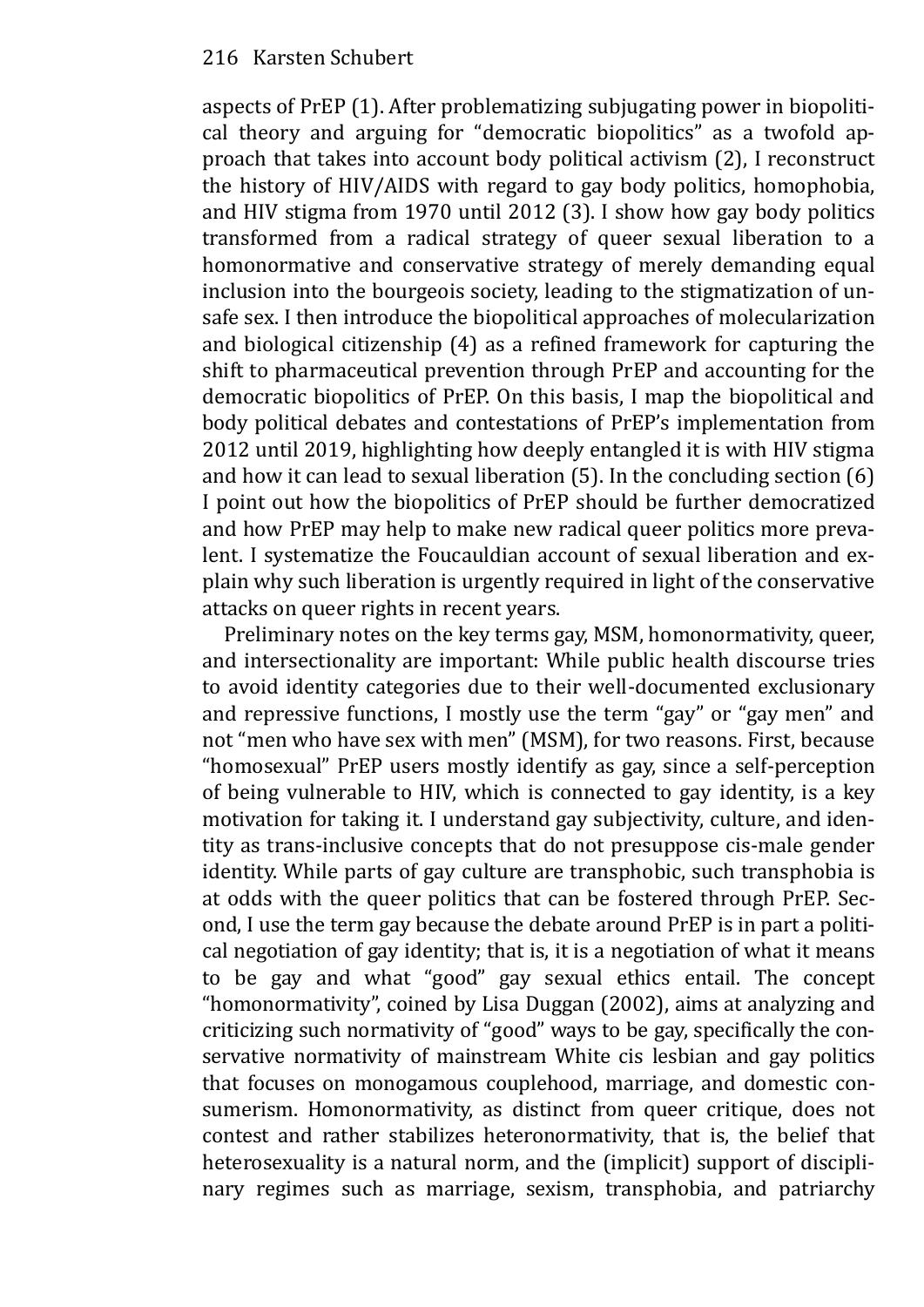aspects of PrEP (1). After problematizing subjugating power in biopolitical theory and arguing for "democratic biopolitics" as a twofold approach that takes into account body political activism (2), I reconstruct the history of HIV/AIDS with regard to gay body politics, homophobia, and HIV stigma from 1970 until 2012 (3). I show how gay body politics transformed from a radical strategy of queer sexual liberation to a homonormative and conservative strategy of merely demanding equal inclusion into the bourgeois society, leading to the stigmatization of unsafe sex. I then introduce the biopolitical approaches of molecularization and biological citizenship (4) as a refined framework for capturing the shift to pharmaceutical prevention through PrEP and accounting for the democratic biopolitics of PrEP. On this basis, I map the biopolitical and body political debates and contestations of PrEP's implementation from 2012 until 2019, highlighting how deeply entangled it is with HIV stigma and how it can lead to sexual liberation (5). In the concluding section (6) I point out how the biopolitics of PrEP should be further democratized and how PrEP may help to make new radical queer politics more prevalent. I systematize the Foucauldian account of sexual liberation and explain why such liberation is urgently required in light of the conservative attacks on queer rights in recent years.

Preliminary notes on the key terms gay, MSM, homonormativity, queer, and intersectionality are important: While public health discourse tries to avoid identity categories due to their well-documented exclusionary and repressive functions, I mostly use the term "gay" or "gay men" and not "men who have sex with men" (MSM), for two reasons. First, because "homosexual" PrEP users mostly identify as gay, since a self-perception of being vulnerable to HIV, which is connected to gay identity, is a key motivation for taking it. I understand gay subjectivity, culture, and identity as trans-inclusive concepts that do not presuppose cis-male gender identity. While parts of gay culture are transphobic, such transphobia is at odds with the queer politics that can be fostered through PrEP. Second, I use the term gay because the debate around PrEP is in part a political negotiation of gay identity; that is, it is a negotiation of what it means to be gay and what "good" gay sexual ethics entail. The concept "homonormativity", coined by Lisa Duggan (2002), aims at analyzing and criticizing such normativity of "good" ways to be gay, specifically the conservative normativity of mainstream White cis lesbian and gay politics that focuses on monogamous couplehood, marriage, and domestic consumerism. Homonormativity, as distinct from queer critique, does not contest and rather stabilizes heteronormativity, that is, the belief that heterosexuality is a natural norm, and the (implicit) support of disciplinary regimes such as marriage, sexism, transphobia, and patriarchy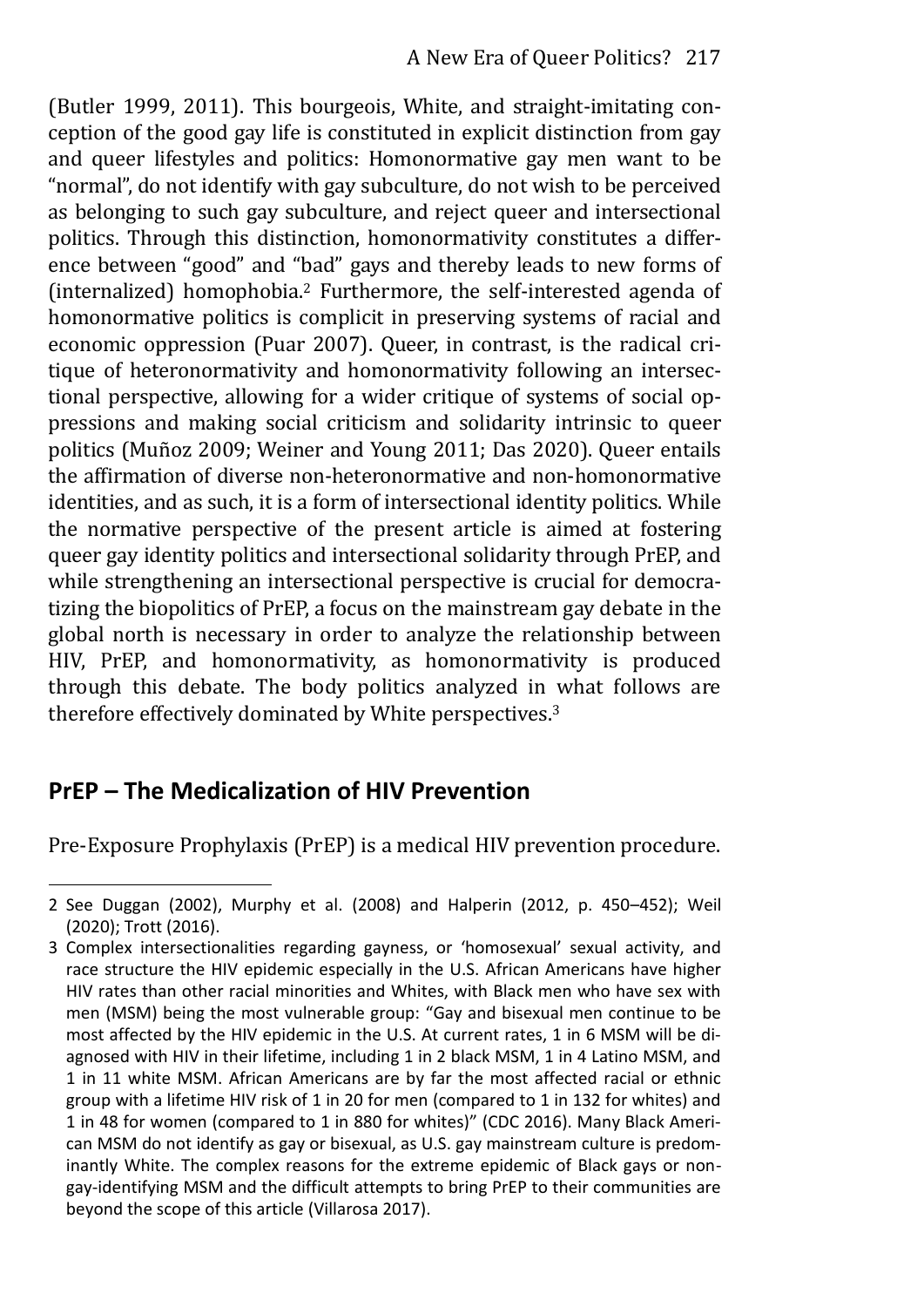(Butler 1999, 2011). This bourgeois, White, and straight-imitating conception of the good gay life is constituted in explicit distinction from gay and queer lifestyles and politics: Homonormative gay men want to be "normal", do not identify with gay subculture, do not wish to be perceived as belonging to such gay subculture, and reject queer and intersectional politics. Through this distinction, homonormativity constitutes a difference between "good" and "bad" gays and thereby leads to new forms of (internalized) homophobia.2 Furthermore, the self-interested agenda of homonormative politics is complicit in preserving systems of racial and economic oppression (Puar 2007). Queer, in contrast, is the radical critique of heteronormativity and homonormativity following an intersectional perspective, allowing for a wider critique of systems of social oppressions and making social criticism and solidarity intrinsic to queer politics (Muñoz 2009; Weiner and Young 2011; Das 2020). Queer entails the affirmation of diverse non-heteronormative and non-homonormative identities, and as such, it is a form of intersectional identity politics. While the normative perspective of the present article is aimed at fostering queer gay identity politics and intersectional solidarity through PrEP, and while strengthening an intersectional perspective is crucial for democratizing the biopolitics of PrEP, a focus on the mainstream gay debate in the global north is necessary in order to analyze the relationship between HIV, PrEP, and homonormativity, as homonormativity is produced through this debate. The body politics analyzed in what follows are therefore effectively dominated by White perspectives.<sup>3</sup>

# **PrEP – The Medicalization of HIV Prevention**

Pre-Exposure Prophylaxis (PrEP) is a medical HIV prevention procedure.

<sup>2</sup> See Duggan (2002), Murphy et al. (2008) and Halperin (2012, p. 450–452); Weil (2020); Trott (2016).

<sup>3</sup> Complex intersectionalities regarding gayness, or 'homosexual' sexual activity, and race structure the HIV epidemic especially in the U.S. African Americans have higher HIV rates than other racial minorities and Whites, with Black men who have sex with men (MSM) being the most vulnerable group: "Gay and bisexual men continue to be most affected by the HIV epidemic in the U.S. At current rates, 1 in 6 MSM will be diagnosed with HIV in their lifetime, including 1 in 2 black MSM, 1 in 4 Latino MSM, and 1 in 11 white MSM. African Americans are by far the most affected racial or ethnic group with a lifetime HIV risk of 1 in 20 for men (compared to 1 in 132 for whites) and 1 in 48 for women (compared to 1 in 880 for whites)" (CDC 2016). Many Black Ameri‐ can MSM do not identify as gay or bisexual, as U.S. gay mainstream culture is predominantly White. The complex reasons for the extreme epidemic of Black gays or nongay-identifying MSM and the difficult attempts to bring PrEP to their communities are beyond the scope of this article (Villarosa 2017).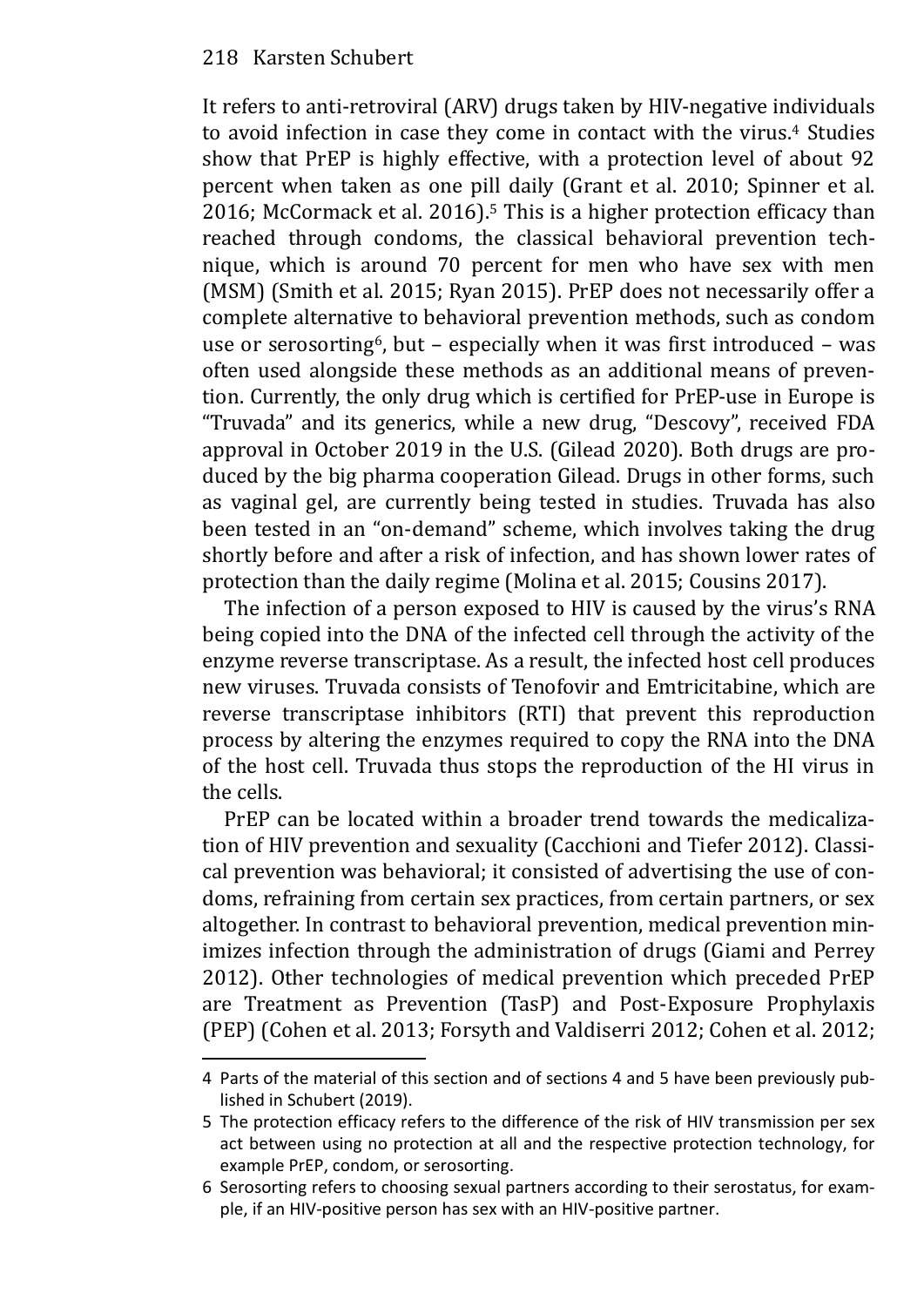It refers to anti-retroviral (ARV) drugs taken by HIV-negative individuals to avoid infection in case they come in contact with the virus.4 Studies show that PrEP is highly effective, with a protection level of about 92 percent when taken as one pill daily (Grant et al. 2010; Spinner et al. 2016; McCormack et al. 2016).5 This is a higher protection efficacy than reached through condoms, the classical behavioral prevention technique, which is around 70 percent for men who have sex with men (MSM) (Smith et al. 2015; Ryan 2015). PrEP does not necessarily offer a complete alternative to behavioral prevention methods, such as condom use or serosorting<sup>6</sup>, but – especially when it was first introduced – was often used alongside these methods as an additional means of prevention. Currently, the only drug which is certified for PrEP-use in Europe is "Truvada" and its generics, while a new drug, "Descovy", received FDA approval in October 2019 in the U.S. (Gilead 2020). Both drugs are produced by the big pharma cooperation Gilead. Drugs in other forms, such as vaginal gel, are currently being tested in studies. Truvada has also been tested in an "on-demand" scheme, which involves taking the drug shortly before and after a risk of infection, and has shown lower rates of protection than the daily regime (Molina et al. 2015; Cousins 2017).

The infection of a person exposed to HIV is caused by the virus's RNA being copied into the DNA of the infected cell through the activity of the enzyme reverse transcriptase. As a result, the infected host cell produces new viruses. Truvada consists of Tenofovir and Emtricitabine, which are reverse transcriptase inhibitors (RTI) that prevent this reproduction process by altering the enzymes required to copy the RNA into the DNA of the host cell. Truvada thus stops the reproduction of the HI virus in the cells.

PrEP can be located within a broader trend towards the medicalization of HIV prevention and sexuality (Cacchioni and Tiefer 2012). Classical prevention was behavioral; it consisted of advertising the use of condoms, refraining from certain sex practices, from certain partners, or sex altogether. In contrast to behavioral prevention, medical prevention minimizes infection through the administration of drugs (Giami and Perrey 2012). Other technologies of medical prevention which preceded PrEP are Treatment as Prevention (TasP) and Post-Exposure Prophylaxis (PEP) (Cohen et al. 2013; Forsyth and Valdiserri 2012; Cohen et al. 2012;

<sup>4</sup> Parts of the material of this section and of sections 4 and 5 have been previously published in Schubert (2019).

<sup>5</sup> The protection efficacy refers to the difference of the risk of HIV transmission per sex act between using no protection at all and the respective protection technology, for example PrEP, condom, or serosorting.

<sup>6</sup> Serosorting refers to choosing sexual partners according to their serostatus, for example, if an HIV-positive person has sex with an HIV-positive partner.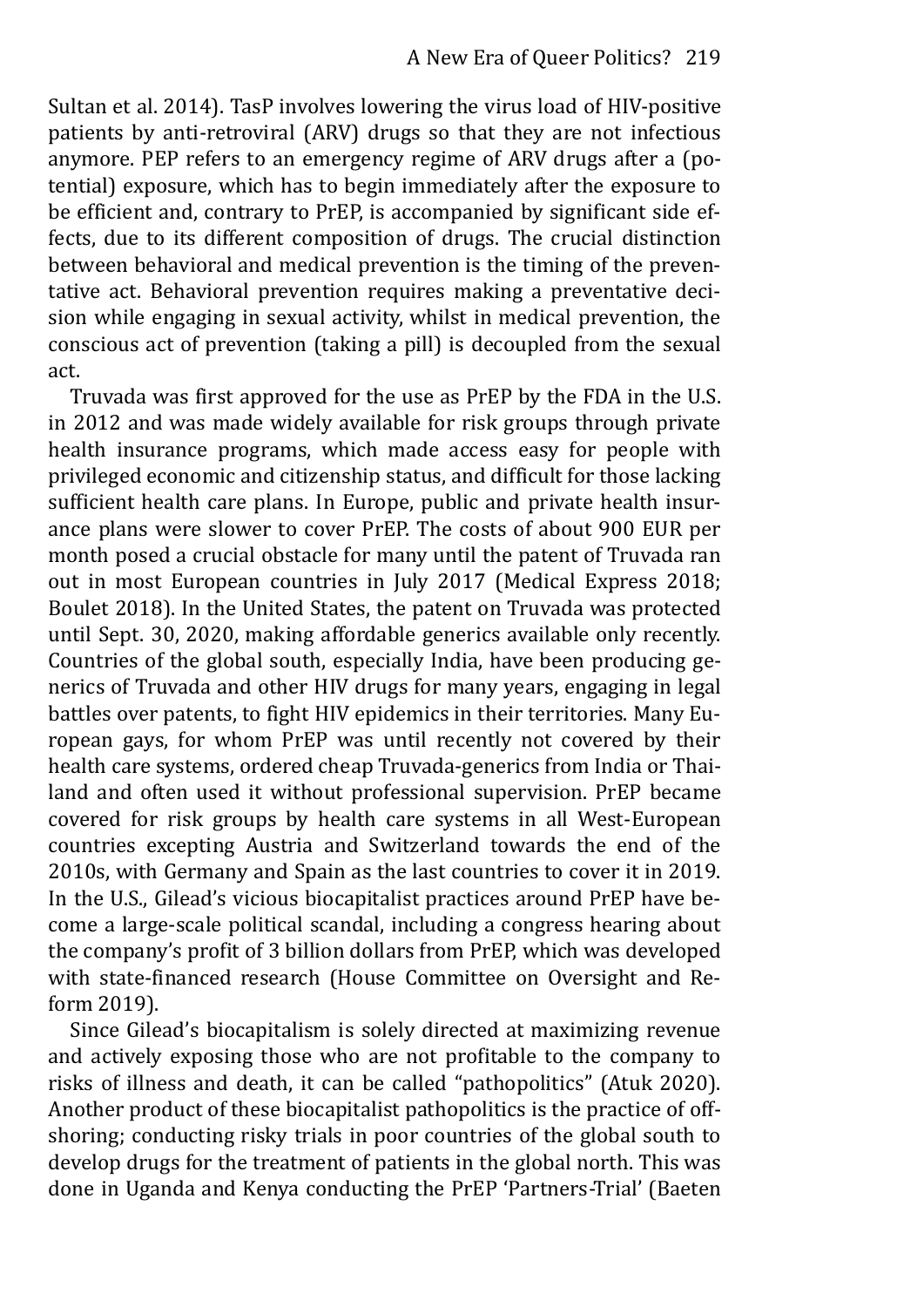Sultan et al. 2014). TasP involves lowering the virus load of HIV-positive patients by anti-retroviral (ARV) drugs so that they are not infectious anymore. PEP refers to an emergency regime of ARV drugs after a (potential) exposure, which has to begin immediately after the exposure to be efficient and, contrary to PrEP, is accompanied by significant side effects, due to its different composition of drugs. The crucial distinction between behavioral and medical prevention is the timing of the preventative act. Behavioral prevention requires making a preventative decision while engaging in sexual activity, whilst in medical prevention, the conscious act of prevention (taking a pill) is decoupled from the sexual act.

Truvada was first approved for the use as PrEP by the FDA in the U.S. in 2012 and was made widely available for risk groups through private health insurance programs, which made access easy for people with privileged economic and citizenship status, and difficult for those lacking sufficient health care plans. In Europe, public and private health insurance plans were slower to cover PrEP. The costs of about 900 EUR per month posed a crucial obstacle for many until the patent of Truvada ran out in most European countries in July 2017 (Medical Express 2018; Boulet 2018). In the United States, the patent on Truvada was protected until Sept. 30, 2020, making affordable generics available only recently. Countries of the global south, especially India, have been producing generics of Truvada and other HIV drugs for many years, engaging in legal battles over patents, to fight HIV epidemics in their territories. Many European gays, for whom PrEP was until recently not covered by their health care systems, ordered cheap Truvada-generics from India or Thailand and often used it without professional supervision. PrEP became covered for risk groups by health care systems in all West-European countries excepting Austria and Switzerland towards the end of the 2010s, with Germany and Spain as the last countries to cover it in 2019. In the U.S., Gilead's vicious biocapitalist practices around PrEP have become a large-scale political scandal, including a congress hearing about the company's profit of 3 billion dollars from PrEP, which was developed with state-financed research (House Committee on Oversight and Reform 2019).

Since Gilead's biocapitalism is solely directed at maximizing revenue and actively exposing those who are not profitable to the company to risks of illness and death, it can be called "pathopolitics" (Atuk 2020). Another product of these biocapitalist pathopolitics is the practice of offshoring; conducting risky trials in poor countries of the global south to develop drugs for the treatment of patients in the global north. This was done in Uganda and Kenya conducting the PrEP 'Partners-Trial' (Baeten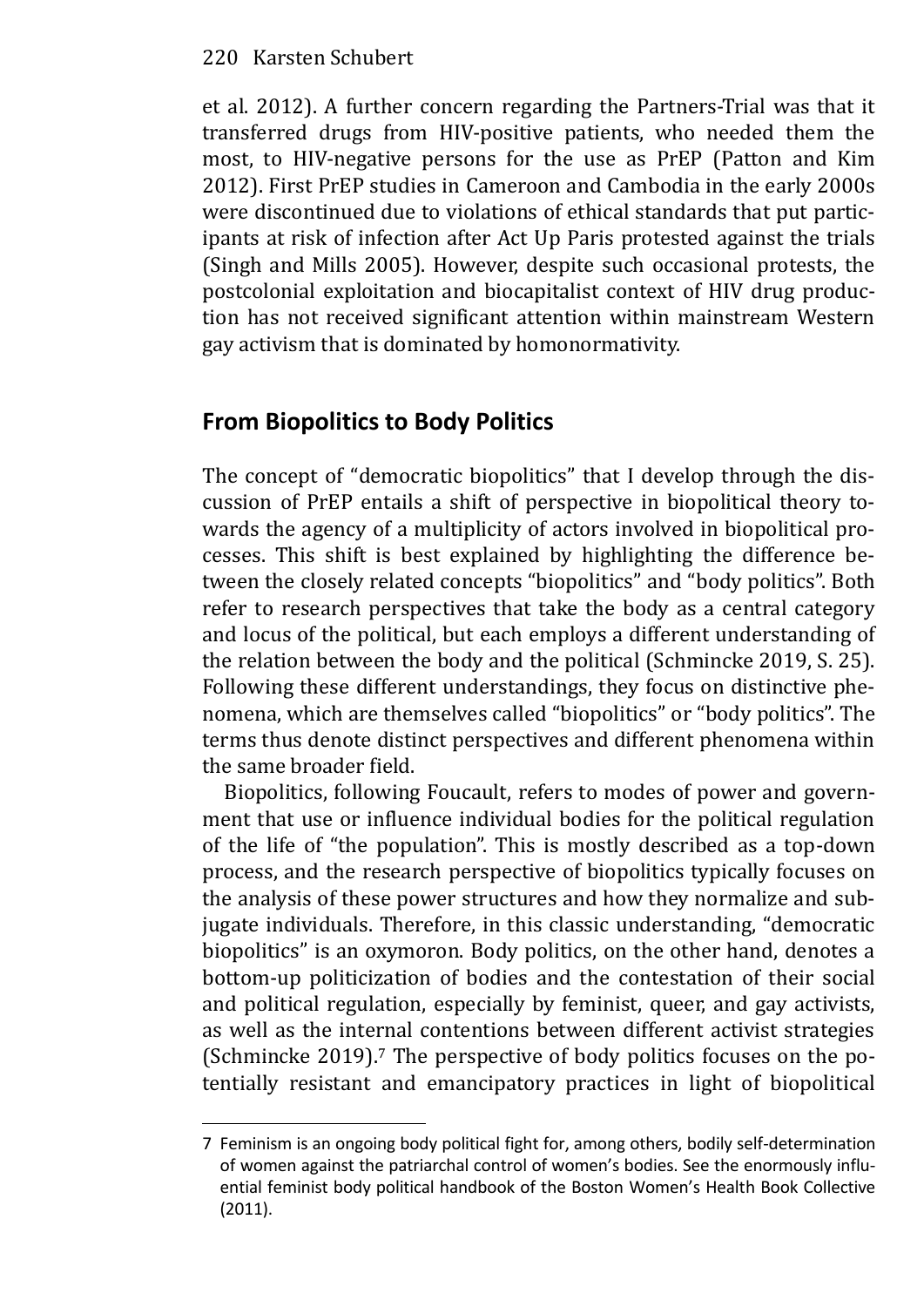et al. 2012). A further concern regarding the Partners-Trial was that it transferred drugs from HIV-positive patients, who needed them the most, to HIV-negative persons for the use as PrEP (Patton and Kim 2012). First PrEP studies in Cameroon and Cambodia in the early 2000s were discontinued due to violations of ethical standards that put participants at risk of infection after Act Up Paris protested against the trials (Singh and Mills 2005). However, despite such occasional protests, the postcolonial exploitation and biocapitalist context of HIV drug production has not received significant attention within mainstream Western gay activism that is dominated by homonormativity.

# **From Biopolitics to Body Politics**

The concept of "democratic biopolitics" that I develop through the discussion of PrEP entails a shift of perspective in biopolitical theory towards the agency of a multiplicity of actors involved in biopolitical processes. This shift is best explained by highlighting the difference between the closely related concepts "biopolitics" and "body politics". Both refer to research perspectives that take the body as a central category and locus of the political, but each employs a different understanding of the relation between the body and the political (Schmincke 2019, S. 25). Following these different understandings, they focus on distinctive phenomena, which are themselves called "biopolitics" or "body politics". The terms thus denote distinct perspectives and different phenomena within the same broader field.

Biopolitics, following Foucault, refers to modes of power and government that use or influence individual bodies for the political regulation of the life of "the population". This is mostly described as a top-down process, and the research perspective of biopolitics typically focuses on the analysis of these power structures and how they normalize and subjugate individuals. Therefore, in this classic understanding, "democratic biopolitics" is an oxymoron. Body politics, on the other hand, denotes a bottom-up politicization of bodies and the contestation of their social and political regulation, especially by feminist, queer, and gay activists, as well as the internal contentions between different activist strategies (Schmincke 2019).7 The perspective of body politics focuses on the potentially resistant and emancipatory practices in light of biopolitical

<sup>7</sup> Feminism is an ongoing body political fight for, among others, bodily self-determination of women against the patriarchal control of women's bodies. See the enormously influ‐ ential feminist body political handbook of the Boston Women's Health Book Collective (2011).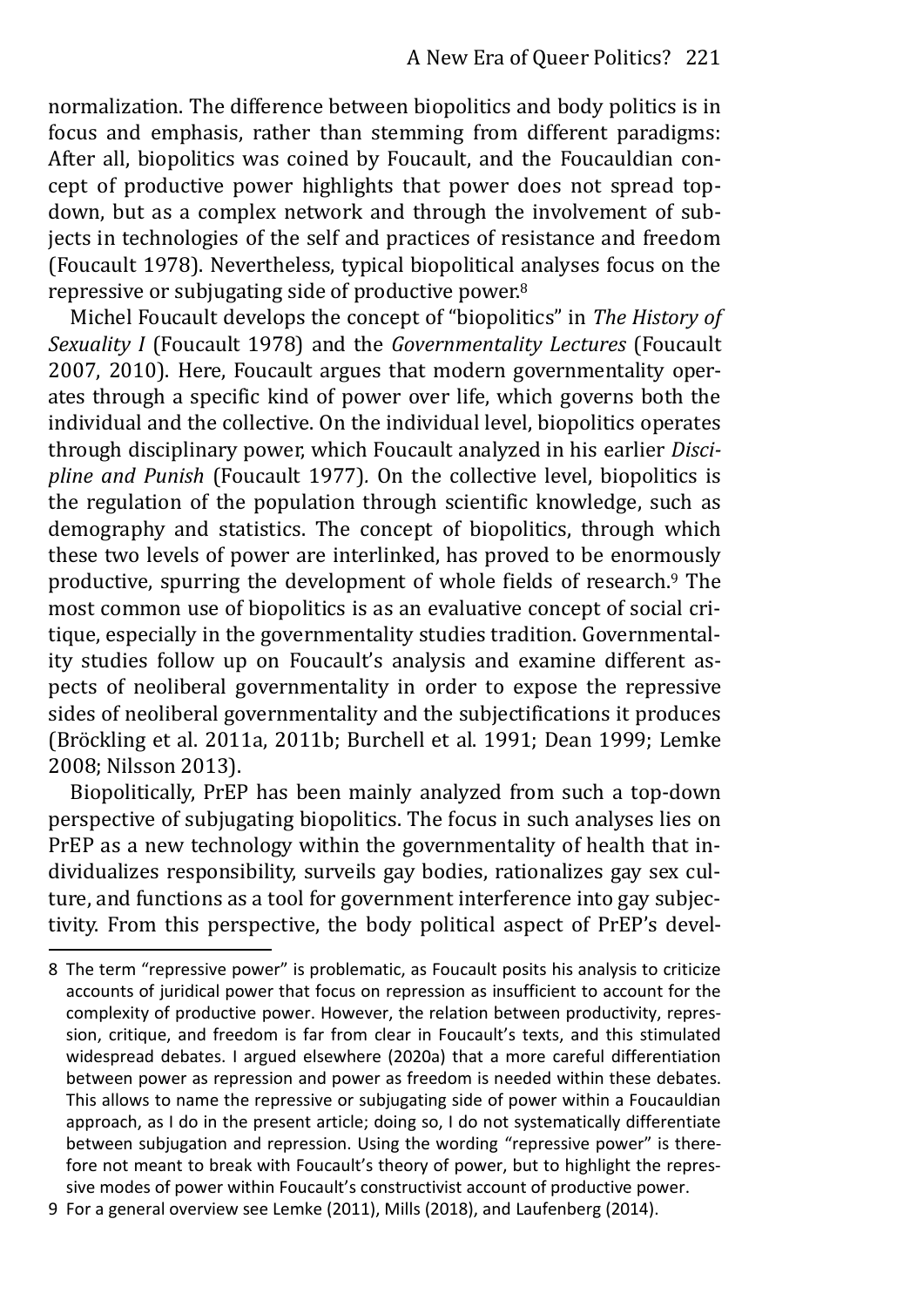normalization. The difference between biopolitics and body politics is in focus and emphasis, rather than stemming from different paradigms: After all, biopolitics was coined by Foucault, and the Foucauldian concept of productive power highlights that power does not spread topdown, but as a complex network and through the involvement of subjects in technologies of the self and practices of resistance and freedom (Foucault 1978). Nevertheless, typical biopolitical analyses focus on the repressive or subjugating side of productive power.<sup>8</sup>

Michel Foucault develops the concept of "biopolitics" in *The History of Sexuality I* (Foucault 1978) and the *Governmentality Lectures* (Foucault 2007, 2010). Here, Foucault argues that modern governmentality operates through a specific kind of power over life, which governs both the individual and the collective. On the individual level, biopolitics operates through disciplinary power, which Foucault analyzed in his earlier *Discipline and Punish* (Foucault 1977)*.* On the collective level, biopolitics is the regulation of the population through scientific knowledge, such as demography and statistics. The concept of biopolitics, through which these two levels of power are interlinked, has proved to be enormously productive, spurring the development of whole fields of research.9 The most common use of biopolitics is as an evaluative concept of social critique, especially in the governmentality studies tradition. Governmentality studies follow up on Foucault's analysis and examine different aspects of neoliberal governmentality in order to expose the repressive sides of neoliberal governmentality and the subjectifications it produces (Bröckling et al. 2011a, 2011b; Burchell et al. 1991; Dean 1999; Lemke 2008; Nilsson 2013).

Biopolitically, PrEP has been mainly analyzed from such a top-down perspective of subjugating biopolitics. The focus in such analyses lies on PrEP as a new technology within the governmentality of health that individualizes responsibility, surveils gay bodies, rationalizes gay sex culture, and functions as a tool for government interference into gay subjectivity. From this perspective, the body political aspect of PrEP's devel-

<sup>8</sup> The term "repressive power" is problematic, as Foucault posits his analysis to criticize accounts of juridical power that focus on repression as insufficient to account for the complexity of productive power. However, the relation between productivity, repression, critique, and freedom is far from clear in Foucault's texts, and this stimulated widespread debates. I argued elsewhere (2020a) that a more careful differentiation between power as repression and power as freedom is needed within these debates. This allows to name the repressive or subjugating side of power within a Foucauldian approach, as I do in the present article; doing so, I do not systematically differentiate between subjugation and repression. Using the wording "repressive power" is there‐ fore not meant to break with Foucault's theory of power, but to highlight the repressive modes of power within Foucault's constructivist account of productive power.

<sup>9</sup> For a general overview see Lemke (2011), Mills (2018), and Laufenberg (2014).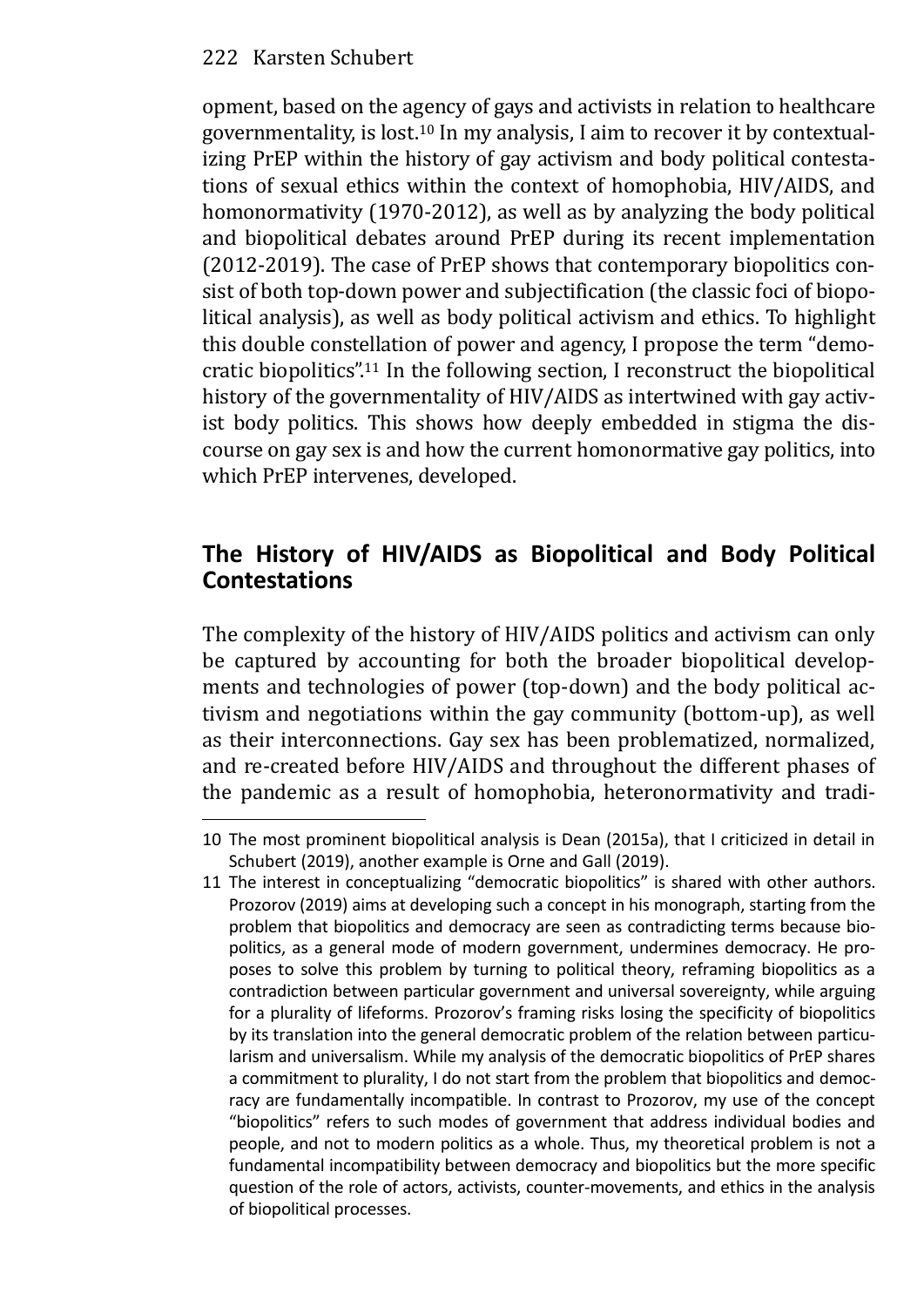opment, based on the agency of gays and activists in relation to healthcare governmentality, is lost.10 In my analysis, I aim to recover it by contextualizing PrEP within the history of gay activism and body political contestations of sexual ethics within the context of homophobia, HIV/AIDS, and homonormativity (1970-2012), as well as by analyzing the body political and biopolitical debates around PrEP during its recent implementation (2012-2019). The case of PrEP shows that contemporary biopolitics consist of both top-down power and subjectification (the classic foci of biopolitical analysis), as well as body political activism and ethics. To highlight this double constellation of power and agency, I propose the term "democratic biopolitics".<sup>11</sup> In the following section, I reconstruct the biopolitical history of the governmentality of HIV/AIDS as intertwined with gay activist body politics. This shows how deeply embedded in stigma the discourse on gay sex is and how the current homonormative gay politics, into which PrEP intervenes, developed.

# **The History of HIV/AIDS as Biopolitical and Body Political Contestations**

The complexity of the history of HIV/AIDS politics and activism can only be captured by accounting for both the broader biopolitical developments and technologies of power (top-down) and the body political activism and negotiations within the gay community (bottom-up), as well as their interconnections. Gay sex has been problematized, normalized, and re-created before HIV/AIDS and throughout the different phases of the pandemic as a result of homophobia, heteronormativity and tradi-

<sup>10</sup> The most prominent biopolitical analysis is Dean (2015a), that I criticized in detail in Schubert (2019), another example is Orne and Gall (2019).

<sup>11</sup> The interest in conceptualizing "democratic biopolitics" is shared with other authors. Prozorov (2019) aims at developing such a concept in his monograph, starting from the problem that biopolitics and democracy are seen as contradicting terms because biopolitics, as a general mode of modern government, undermines democracy. He proposes to solve this problem by turning to political theory, reframing biopolitics as a contradiction between particular government and universal sovereignty, while arguing for a plurality of lifeforms. Prozorov's framing risks losing the specificity of biopolitics by its translation into the general democratic problem of the relation between particularism and universalism. While my analysis of the democratic biopolitics of PrEP shares a commitment to plurality, I do not start from the problem that biopolitics and democracy are fundamentally incompatible. In contrast to Prozorov, my use of the concept "biopolitics" refers to such modes of government that address individual bodies and people, and not to modern politics as a whole. Thus, my theoretical problem is not a fundamental incompatibility between democracy and biopolitics but the more specific question of the role of actors, activists, counter-movements, and ethics in the analysis of biopolitical processes.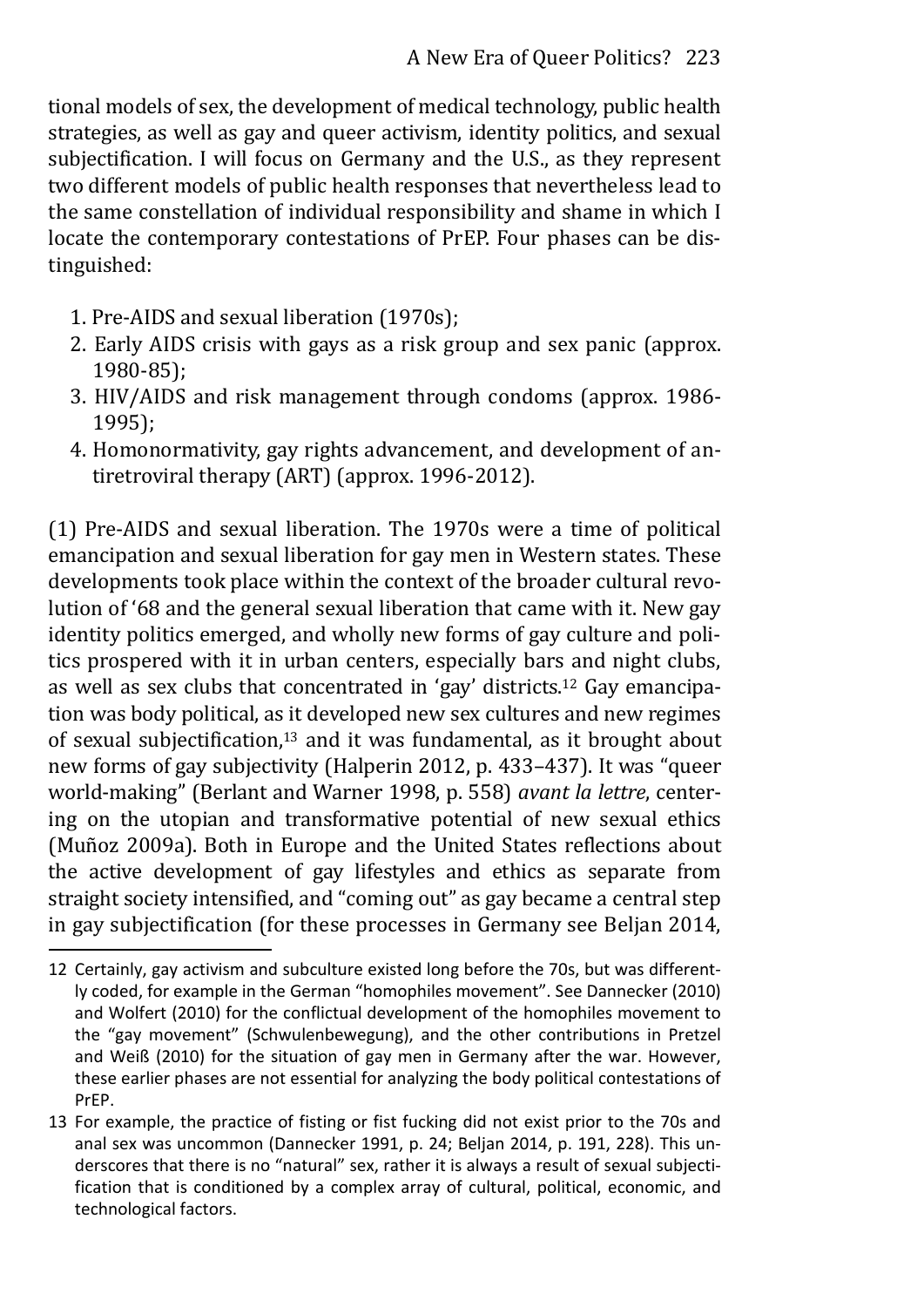tional models of sex, the development of medical technology, public health strategies, as well as gay and queer activism, identity politics, and sexual subjectification. I will focus on Germany and the U.S., as they represent two different models of public health responses that nevertheless lead to the same constellation of individual responsibility and shame in which I locate the contemporary contestations of PrEP. Four phases can be distinguished:

- 1. Pre-AIDS and sexual liberation (1970s);
- 2. Early AIDS crisis with gays as a risk group and sex panic (approx. 1980-85);
- 3. HIV/AIDS and risk management through condoms (approx. 1986- 1995);
- 4. Homonormativity, gay rights advancement, and development of antiretroviral therapy (ART) (approx. 1996-2012).

(1) Pre-AIDS and sexual liberation. The 1970s were a time of political emancipation and sexual liberation for gay men in Western states. These developments took place within the context of the broader cultural revolution of '68 and the general sexual liberation that came with it. New gay identity politics emerged, and wholly new forms of gay culture and politics prospered with it in urban centers, especially bars and night clubs, as well as sex clubs that concentrated in 'gay' districts.12 Gay emancipation was body political, as it developed new sex cultures and new regimes of sexual subjectification,13 and it was fundamental, as it brought about new forms of gay subjectivity (Halperin 2012, p. 433–437). It was "queer world-making" (Berlant and Warner 1998, p. 558) *avant la lettre*, centering on the utopian and transformative potential of new sexual ethics (Muñoz 2009a). Both in Europe and the United States reflections about the active development of gay lifestyles and ethics as separate from straight society intensified, and "coming out" as gay became a central step in gay subjectification (for these processes in Germany see Beljan 2014,

<sup>12</sup> Certainly, gay activism and subculture existed long before the 70s, but was differently coded, for example in the German "homophiles movement". See Dannecker (2010) and Wolfert (2010) for the conflictual development of the homophiles movement to the "gay movement" (Schwulenbewegung), and the other contributions in Pretzel and Weiß (2010) for the situation of gay men in Germany after the war. However, these earlier phases are not essential for analyzing the body political contestations of PrEP.

<sup>13</sup> For example, the practice of fisting or fist fucking did not exist prior to the 70s and anal sex was uncommon (Dannecker 1991, p. 24; Beljan 2014, p. 191, 228). This underscores that there is no "natural" sex, rather it is always a result of sexual subjecti‐ fication that is conditioned by a complex array of cultural, political, economic, and technological factors.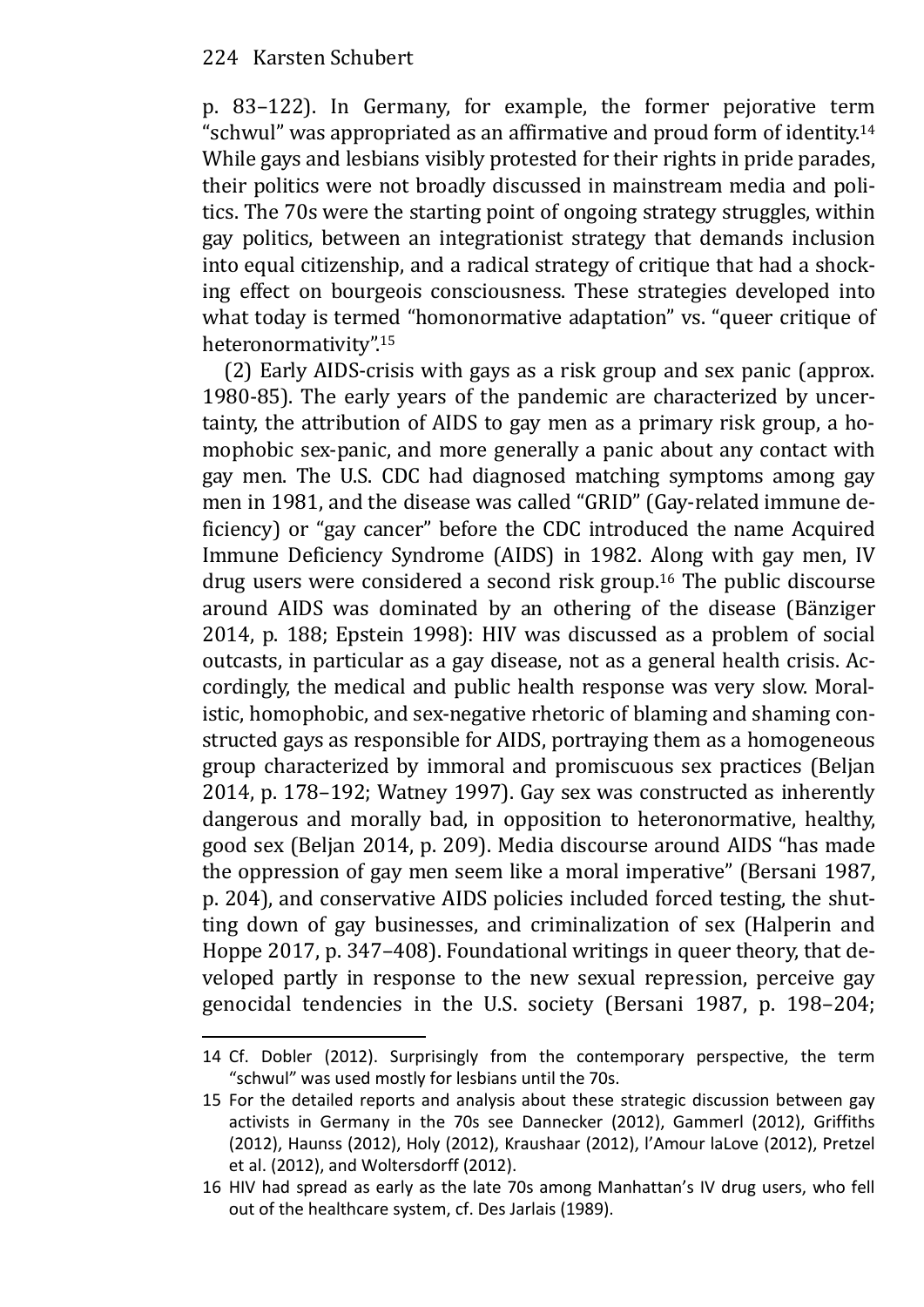p. 83–122). In Germany, for example, the former pejorative term "schwul" was appropriated as an affirmative and proud form of identity.<sup>14</sup> While gays and lesbians visibly protested for their rights in pride parades, their politics were not broadly discussed in mainstream media and politics. The 70s were the starting point of ongoing strategy struggles, within gay politics, between an integrationist strategy that demands inclusion into equal citizenship, and a radical strategy of critique that had a shocking effect on bourgeois consciousness. These strategies developed into what today is termed "homonormative adaptation" vs. "queer critique of heteronormativity".<sup>15</sup>

(2) Early AIDS-crisis with gays as a risk group and sex panic (approx. 1980-85). The early years of the pandemic are characterized by uncertainty, the attribution of AIDS to gay men as a primary risk group, a homophobic sex-panic, and more generally a panic about any contact with gay men. The U.S. CDC had diagnosed matching symptoms among gay men in 1981, and the disease was called "GRID" (Gay-related immune deficiency) or "gay cancer" before the CDC introduced the name Acquired Immune Deficiency Syndrome (AIDS) in 1982. Along with gay men, IV drug users were considered a second risk group.16 The public discourse around AIDS was dominated by an othering of the disease (Bänziger 2014, p. 188; Epstein 1998): HIV was discussed as a problem of social outcasts, in particular as a gay disease, not as a general health crisis. Accordingly, the medical and public health response was very slow. Moralistic, homophobic, and sex-negative rhetoric of blaming and shaming constructed gays as responsible for AIDS, portraying them as a homogeneous group characterized by immoral and promiscuous sex practices (Beljan 2014, p. 178–192; Watney 1997). Gay sex was constructed as inherently dangerous and morally bad, in opposition to heteronormative, healthy, good sex (Beljan 2014, p. 209). Media discourse around AIDS "has made the oppression of gay men seem like a moral imperative" (Bersani 1987, p. 204), and conservative AIDS policies included forced testing, the shutting down of gay businesses, and criminalization of sex (Halperin and Hoppe 2017, p. 347–408). Foundational writings in queer theory, that developed partly in response to the new sexual repression, perceive gay genocidal tendencies in the U.S. society (Bersani 1987, p. 198–204;

<sup>14</sup> Cf. Dobler (2012). Surprisingly from the contemporary perspective, the term "schwul" was used mostly for lesbians until the 70s.

<sup>15</sup> For the detailed reports and analysis about these strategic discussion between gay activists in Germany in the 70s see Dannecker (2012), Gammerl (2012), Griffiths (2012), Haunss (2012), Holy (2012), Kraushaar (2012), l'Amour laLove (2012), Pretzel et al. (2012), and Woltersdorff (2012).

<sup>16</sup> HIV had spread as early as the late 70s among Manhattan's IV drug users, who fell out of the healthcare system, cf. Des Jarlais (1989).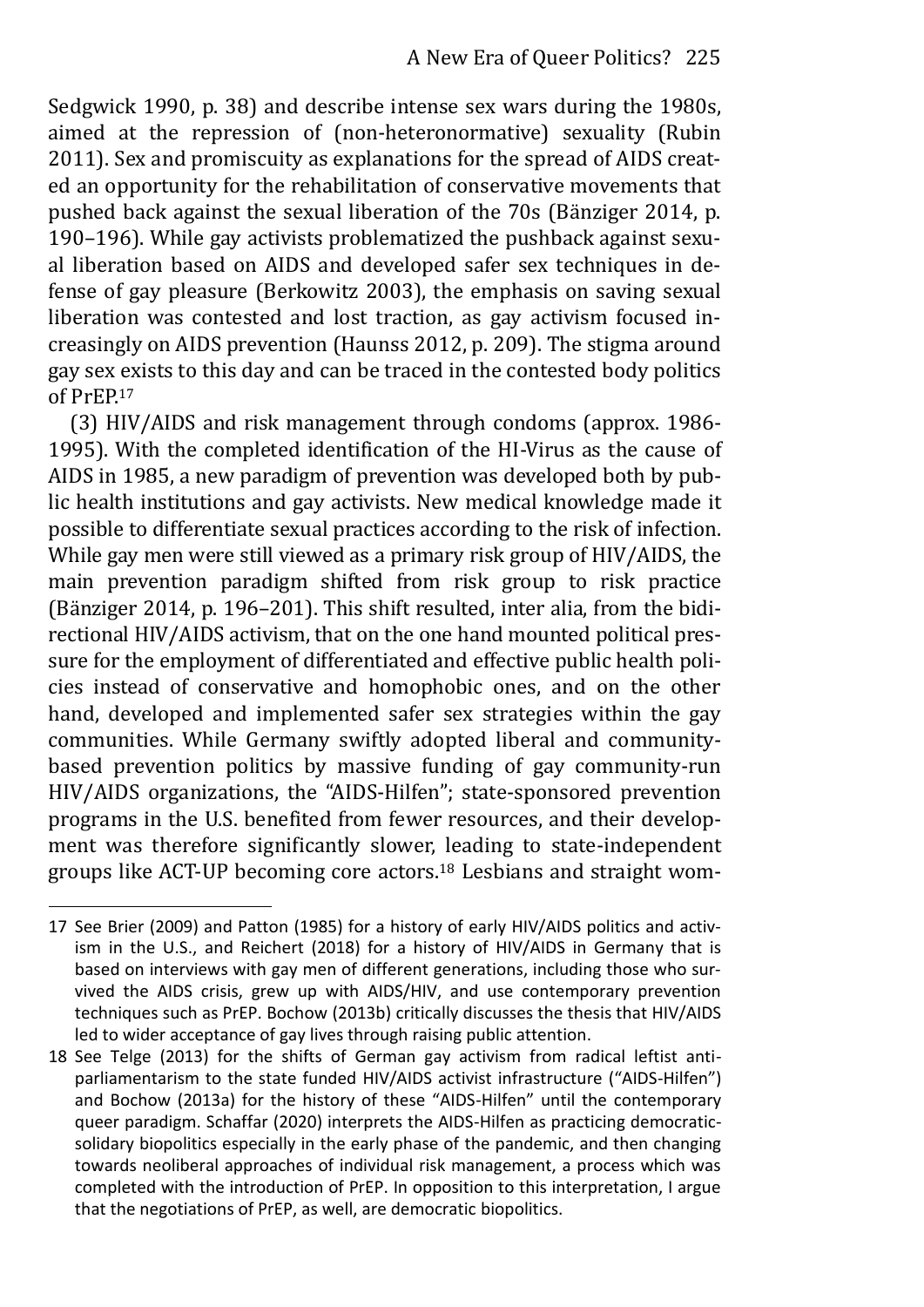Sedgwick 1990, p. 38) and describe intense sex wars during the 1980s, aimed at the repression of (non-heteronormative) sexuality (Rubin 2011). Sex and promiscuity as explanations for the spread of AIDS created an opportunity for the rehabilitation of conservative movements that pushed back against the sexual liberation of the 70s (Bänziger 2014, p. 190–196). While gay activists problematized the pushback against sexual liberation based on AIDS and developed safer sex techniques in defense of gay pleasure (Berkowitz 2003), the emphasis on saving sexual liberation was contested and lost traction, as gay activism focused increasingly on AIDS prevention (Haunss 2012, p. 209). The stigma around gay sex exists to this day and can be traced in the contested body politics of PrEP.<sup>17</sup>

(3) HIV/AIDS and risk management through condoms (approx. 1986- 1995). With the completed identification of the HI-Virus as the cause of AIDS in 1985, a new paradigm of prevention was developed both by public health institutions and gay activists. New medical knowledge made it possible to differentiate sexual practices according to the risk of infection. While gay men were still viewed as a primary risk group of HIV/AIDS, the main prevention paradigm shifted from risk group to risk practice (Bänziger 2014, p. 196–201). This shift resulted, inter alia, from the bidirectional HIV/AIDS activism, that on the one hand mounted political pressure for the employment of differentiated and effective public health policies instead of conservative and homophobic ones, and on the other hand, developed and implemented safer sex strategies within the gay communities. While Germany swiftly adopted liberal and communitybased prevention politics by massive funding of gay community-run HIV/AIDS organizations, the "AIDS-Hilfen"; state-sponsored prevention programs in the U.S. benefited from fewer resources, and their development was therefore significantly slower, leading to state-independent groups like ACT-UP becoming core actors.18 Lesbians and straight wom-

<sup>17</sup> See Brier (2009) and Patton (1985) for a history of early HIV/AIDS politics and activism in the U.S., and Reichert (2018) for a history of HIV/AIDS in Germany that is based on interviews with gay men of different generations, including those who survived the AIDS crisis, grew up with AIDS/HIV, and use contemporary prevention techniques such as PrEP. Bochow (2013b) critically discusses the thesis that HIV/AIDS led to wider acceptance of gay lives through raising public attention.

<sup>18</sup> See Telge (2013) for the shifts of German gay activism from radical leftist antiparliamentarism to the state funded HIV/AIDS activist infrastructure ("AIDS-Hilfen") and Bochow (2013a) for the history of these "AIDS-Hilfen" until the contemporary queer paradigm. Schaffar (2020) interprets the AIDS-Hilfen as practicing democraticsolidary biopolitics especially in the early phase of the pandemic, and then changing towards neoliberal approaches of individual risk management, a process which was completed with the introduction of PrEP. In opposition to this interpretation, I argue that the negotiations of PrEP, as well, are democratic biopolitics.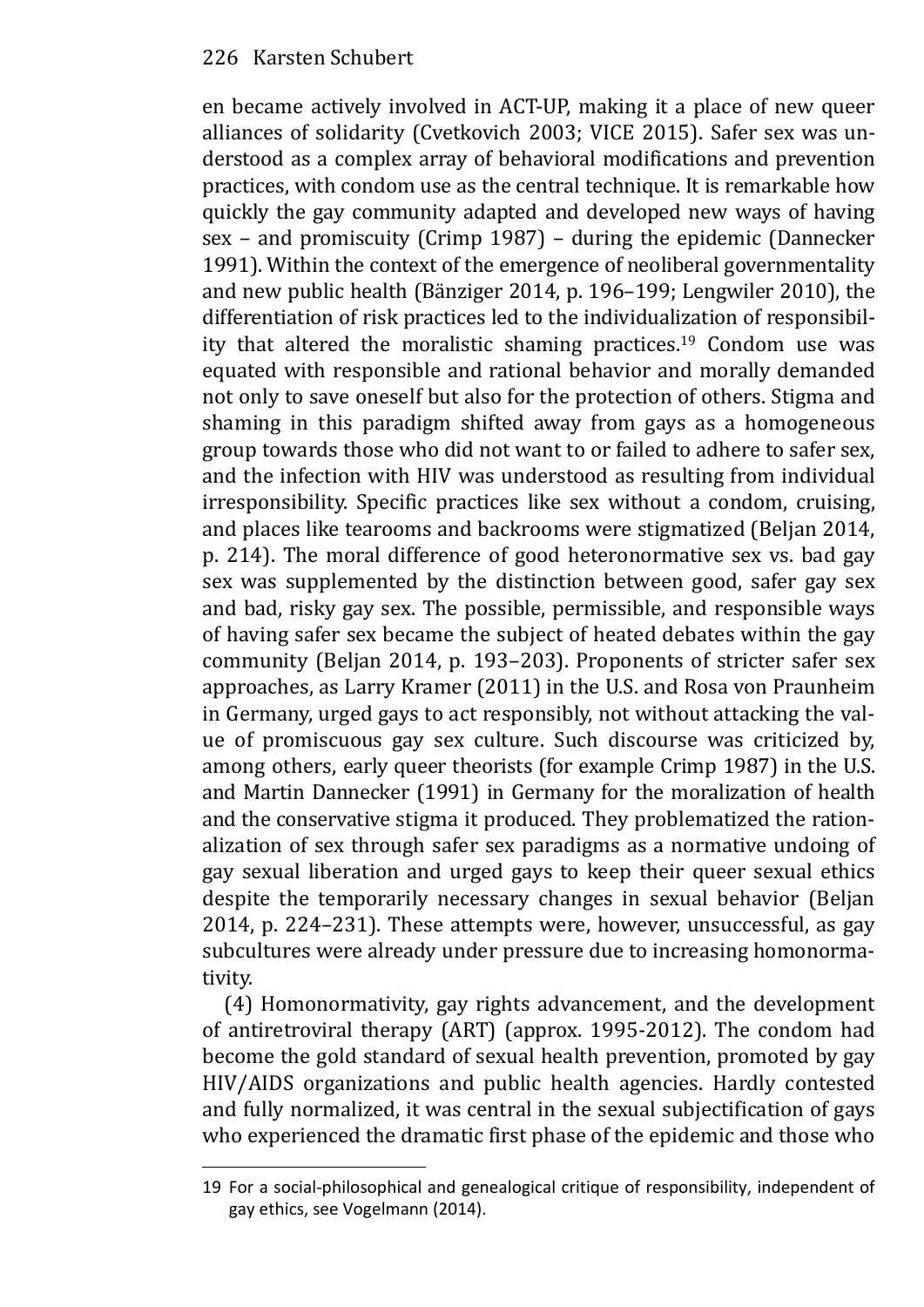en became actively involved in ACT-UP, making it a place of new queer alliances of solidarity (Cvetkovich 2003; VICE 2015). Safer sex was understood as a complex array of behavioral modifications and prevention practices, with condom use as the central technique. It is remarkable how quickly the gay community adapted and developed new ways of having sex – and promiscuity (Crimp 1987) – during the epidemic (Dannecker 1991). Within the context of the emergence of neoliberal governmentality and new public health (Bänziger 2014, p. 196–199; Lengwiler 2010), the differentiation of risk practices led to the individualization of responsibility that altered the moralistic shaming practices.19 Condom use was equated with responsible and rational behavior and morally demanded not only to save oneself but also for the protection of others. Stigma and shaming in this paradigm shifted away from gays as a homogeneous group towards those who did not want to or failed to adhere to safer sex, and the infection with HIV was understood as resulting from individual irresponsibility. Specific practices like sex without a condom, cruising, and places like tearooms and backrooms were stigmatized (Beljan 2014, p. 214). The moral difference of good heteronormative sex vs. bad gay sex was supplemented by the distinction between good, safer gay sex and bad, risky gay sex. The possible, permissible, and responsible ways of having safer sex became the subject of heated debates within the gay community (Beljan 2014, p. 193–203). Proponents of stricter safer sex approaches, as Larry Kramer (2011) in the U.S. and Rosa von Praunheim in Germany, urged gays to act responsibly, not without attacking the value of promiscuous gay sex culture. Such discourse was criticized by, among others, early queer theorists (for example Crimp 1987) in the U.S. and Martin Dannecker (1991) in Germany for the moralization of health and the conservative stigma it produced. They problematized the rationalization of sex through safer sex paradigms as a normative undoing of gay sexual liberation and urged gays to keep their queer sexual ethics despite the temporarily necessary changes in sexual behavior (Beljan 2014, p. 224–231). These attempts were, however, unsuccessful, as gay subcultures were already under pressure due to increasing homonormativity.

(4) Homonormativity, gay rights advancement, and the development of antiretroviral therapy (ART) (approx. 1995-2012). The condom had become the gold standard of sexual health prevention, promoted by gay HIV/AIDS organizations and public health agencies. Hardly contested and fully normalized, it was central in the sexual subjectification of gays who experienced the dramatic first phase of the epidemic and those who

<sup>19</sup> For a social-philosophical and genealogical critique of responsibility, independent of gay ethics, see Vogelmann (2014).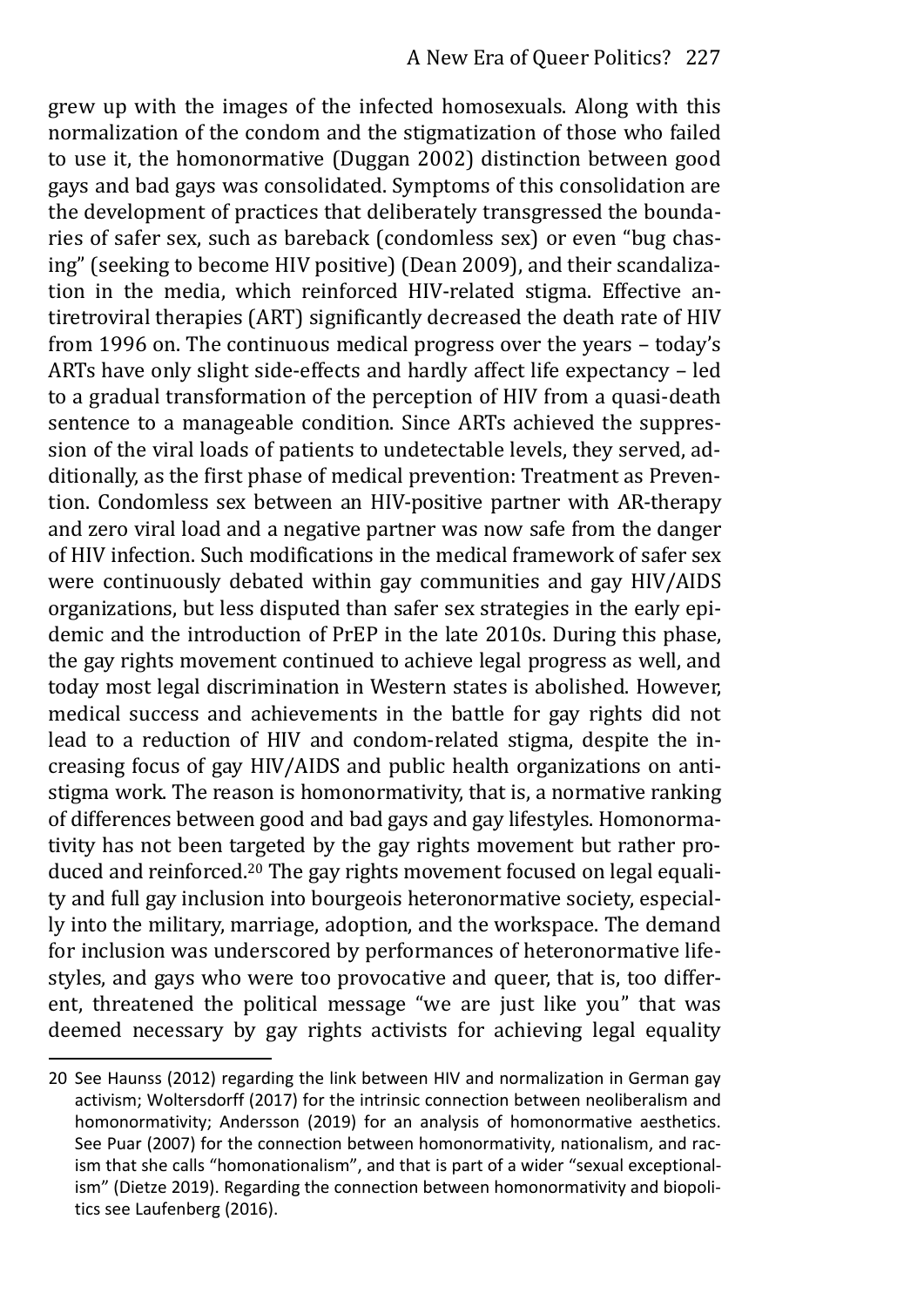grew up with the images of the infected homosexuals. Along with this normalization of the condom and the stigmatization of those who failed to use it, the homonormative (Duggan 2002) distinction between good gays and bad gays was consolidated. Symptoms of this consolidation are the development of practices that deliberately transgressed the boundaries of safer sex, such as bareback (condomless sex) or even "bug chasing" (seeking to become HIV positive) (Dean 2009), and their scandalization in the media, which reinforced HIV-related stigma. Effective antiretroviral therapies (ART) significantly decreased the death rate of HIV from 1996 on. The continuous medical progress over the years – today's ARTs have only slight side-effects and hardly affect life expectancy – led to a gradual transformation of the perception of HIV from a quasi-death sentence to a manageable condition. Since ARTs achieved the suppression of the viral loads of patients to undetectable levels, they served, additionally, as the first phase of medical prevention: Treatment as Prevention. Condomless sex between an HIV-positive partner with AR-therapy and zero viral load and a negative partner was now safe from the danger of HIV infection. Such modifications in the medical framework of safer sex were continuously debated within gay communities and gay HIV/AIDS organizations, but less disputed than safer sex strategies in the early epidemic and the introduction of PrEP in the late 2010s. During this phase, the gay rights movement continued to achieve legal progress as well, and today most legal discrimination in Western states is abolished. However, medical success and achievements in the battle for gay rights did not lead to a reduction of HIV and condom-related stigma, despite the increasing focus of gay HIV/AIDS and public health organizations on antistigma work. The reason is homonormativity, that is, a normative ranking of differences between good and bad gays and gay lifestyles. Homonormativity has not been targeted by the gay rights movement but rather produced and reinforced.20 The gay rights movement focused on legal equality and full gay inclusion into bourgeois heteronormative society, especially into the military, marriage, adoption, and the workspace. The demand for inclusion was underscored by performances of heteronormative lifestyles, and gays who were too provocative and queer, that is, too different, threatened the political message "we are just like you" that was deemed necessary by gay rights activists for achieving legal equality

<sup>20</sup> See Haunss (2012) regarding the link between HIV and normalization in German gay activism; Woltersdorff (2017) for the intrinsic connection between neoliberalism and homonormativity; Andersson (2019) for an analysis of homonormative aesthetics. See Puar (2007) for the connection between homonormativity, nationalism, and racism that she calls "homonationalism", and that is part of a wider "sexual exceptional‐ ism" (Dietze 2019). Regarding the connection between homonormativity and biopolitics see Laufenberg (2016).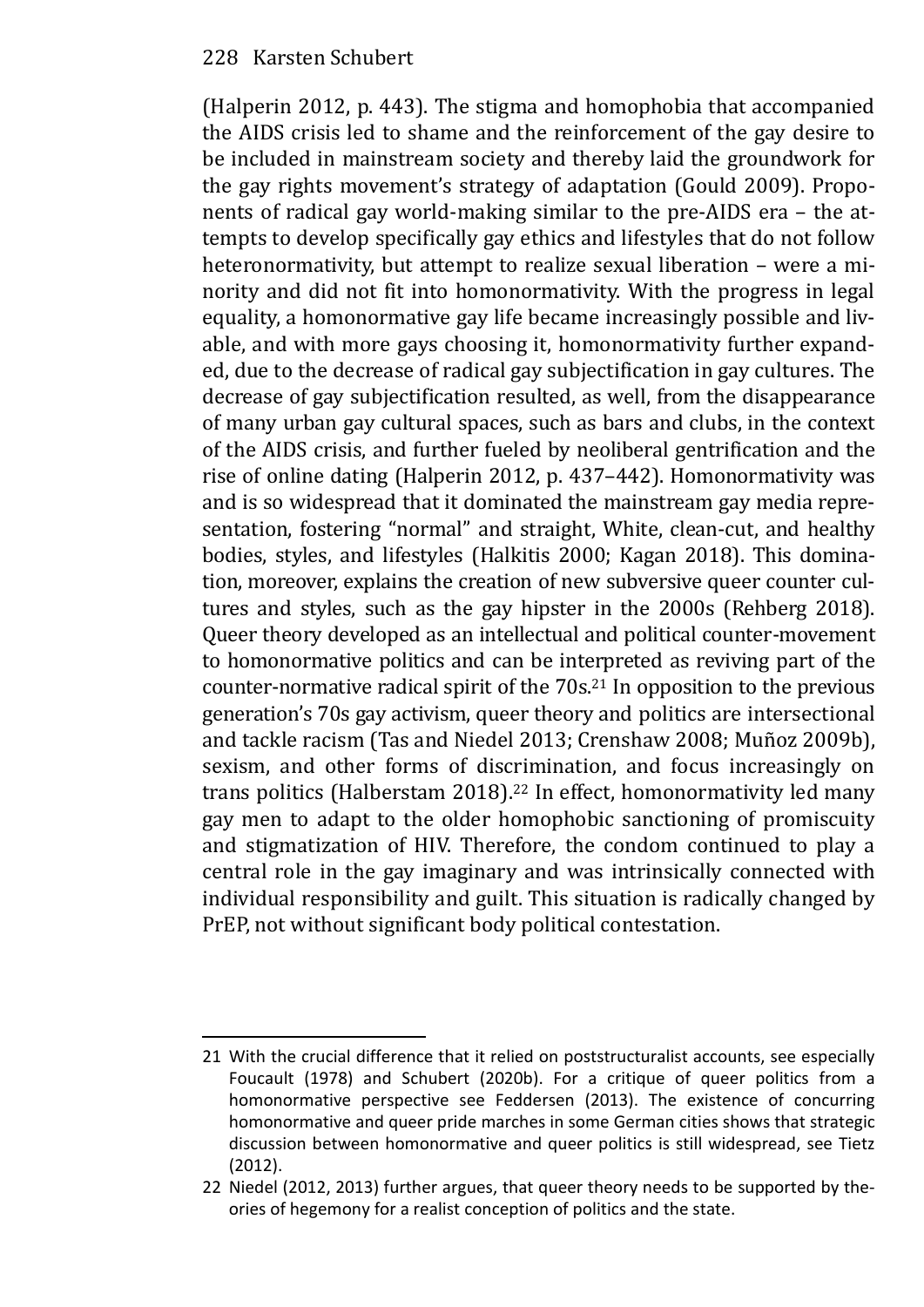(Halperin 2012, p. 443). The stigma and homophobia that accompanied the AIDS crisis led to shame and the reinforcement of the gay desire to be included in mainstream society and thereby laid the groundwork for the gay rights movement's strategy of adaptation (Gould 2009). Proponents of radical gay world-making similar to the pre-AIDS era – the attempts to develop specifically gay ethics and lifestyles that do not follow heteronormativity, but attempt to realize sexual liberation – were a minority and did not fit into homonormativity. With the progress in legal equality, a homonormative gay life became increasingly possible and livable, and with more gays choosing it, homonormativity further expanded, due to the decrease of radical gay subjectification in gay cultures. The decrease of gay subjectification resulted, as well, from the disappearance of many urban gay cultural spaces, such as bars and clubs, in the context of the AIDS crisis, and further fueled by neoliberal gentrification and the rise of online dating (Halperin 2012, p. 437–442). Homonormativity was and is so widespread that it dominated the mainstream gay media representation, fostering "normal" and straight, White, clean-cut, and healthy bodies, styles, and lifestyles (Halkitis 2000; Kagan 2018). This domination, moreover, explains the creation of new subversive queer counter cultures and styles, such as the gay hipster in the 2000s (Rehberg 2018). Queer theory developed as an intellectual and political counter-movement to homonormative politics and can be interpreted as reviving part of the counter-normative radical spirit of the 70s.21 In opposition to the previous generation's 70s gay activism, queer theory and politics are intersectional and tackle racism (Tas and Niedel 2013; Crenshaw 2008; Muñoz 2009b), sexism, and other forms of discrimination, and focus increasingly on trans politics (Halberstam 2018).<sup>22</sup> In effect, homonormativity led many gay men to adapt to the older homophobic sanctioning of promiscuity and stigmatization of HIV. Therefore, the condom continued to play a central role in the gay imaginary and was intrinsically connected with individual responsibility and guilt. This situation is radically changed by PrEP, not without significant body political contestation.

<sup>21</sup> With the crucial difference that it relied on poststructuralist accounts, see especially Foucault (1978) and Schubert (2020b). For a critique of queer politics from a homonormative perspective see Feddersen (2013). The existence of concurring homonormative and queer pride marches in some German cities shows that strategic discussion between homonormative and queer politics is still widespread, see Tietz (2012).

<sup>22</sup> Niedel (2012, 2013) further argues, that queer theory needs to be supported by theories of hegemony for a realist conception of politics and the state.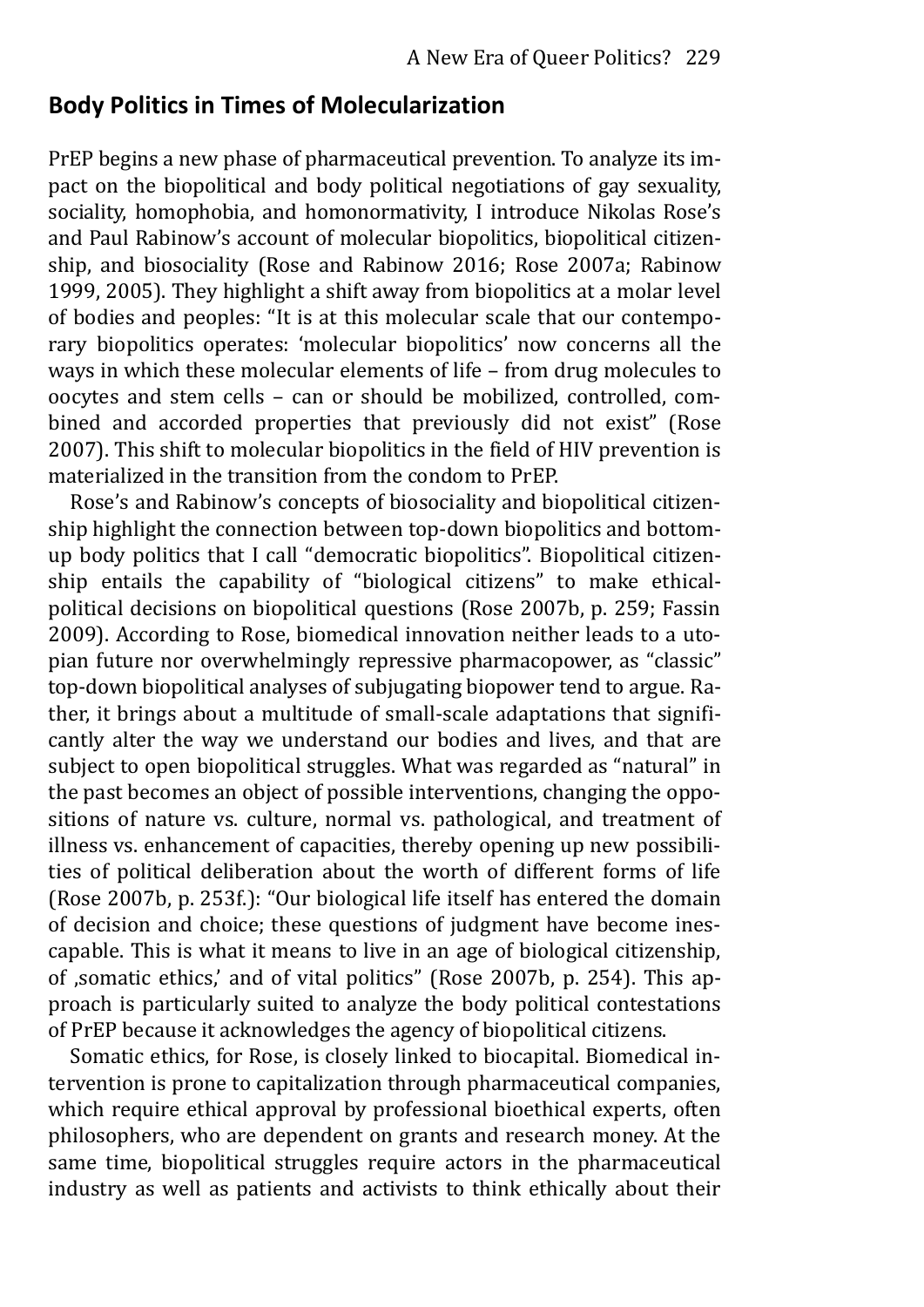# **Body Politics in Times of Molecularization**

PrEP begins a new phase of pharmaceutical prevention. To analyze its impact on the biopolitical and body political negotiations of gay sexuality, sociality, homophobia, and homonormativity, I introduce Nikolas Rose's and Paul Rabinow's account of molecular biopolitics, biopolitical citizenship, and biosociality (Rose and Rabinow 2016; Rose 2007a; Rabinow 1999, 2005). They highlight a shift away from biopolitics at a molar level of bodies and peoples: "It is at this molecular scale that our contemporary biopolitics operates: 'molecular biopolitics' now concerns all the ways in which these molecular elements of life – from drug molecules to oocytes and stem cells – can or should be mobilized, controlled, combined and accorded properties that previously did not exist" (Rose 2007). This shift to molecular biopolitics in the field of HIV prevention is materialized in the transition from the condom to PrEP.

Rose's and Rabinow's concepts of biosociality and biopolitical citizenship highlight the connection between top-down biopolitics and bottomup body politics that I call "democratic biopolitics". Biopolitical citizenship entails the capability of "biological citizens" to make ethicalpolitical decisions on biopolitical questions (Rose 2007b, p. 259; Fassin 2009). According to Rose, biomedical innovation neither leads to a utopian future nor overwhelmingly repressive pharmacopower, as "classic" top-down biopolitical analyses of subjugating biopower tend to argue. Rather, it brings about a multitude of small-scale adaptations that significantly alter the way we understand our bodies and lives, and that are subject to open biopolitical struggles. What was regarded as "natural" in the past becomes an object of possible interventions, changing the oppositions of nature vs. culture, normal vs. pathological, and treatment of illness vs. enhancement of capacities, thereby opening up new possibilities of political deliberation about the worth of different forms of life (Rose 2007b, p. 253f.): "Our biological life itself has entered the domain of decision and choice; these questions of judgment have become inescapable. This is what it means to live in an age of biological citizenship, of ,somatic ethics,' and of vital politics" (Rose 2007b, p. 254). This approach is particularly suited to analyze the body political contestations of PrEP because it acknowledges the agency of biopolitical citizens.

Somatic ethics, for Rose, is closely linked to biocapital. Biomedical intervention is prone to capitalization through pharmaceutical companies, which require ethical approval by professional bioethical experts, often philosophers, who are dependent on grants and research money. At the same time, biopolitical struggles require actors in the pharmaceutical industry as well as patients and activists to think ethically about their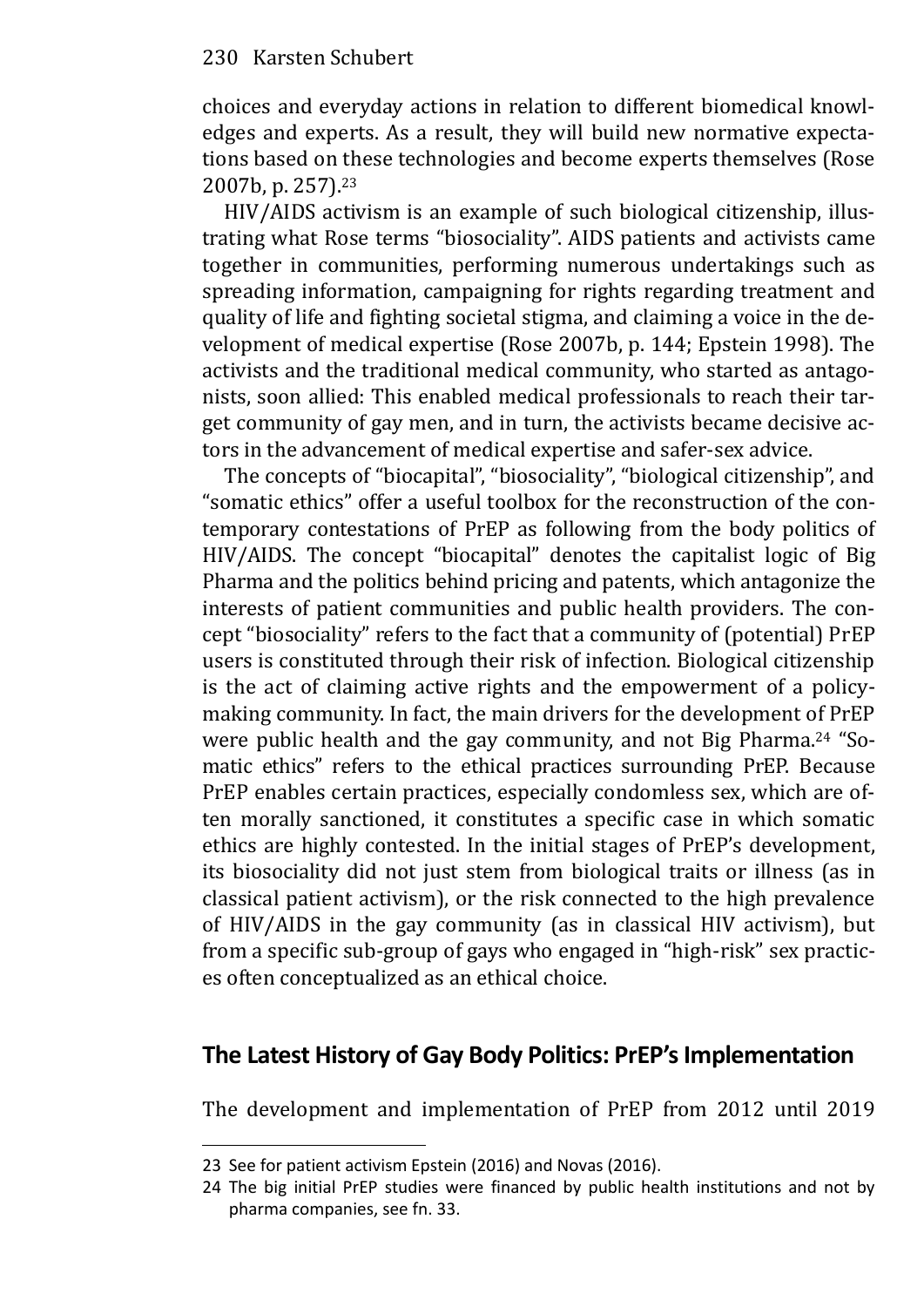choices and everyday actions in relation to different biomedical knowledges and experts. As a result, they will build new normative expectations based on these technologies and become experts themselves (Rose 2007b, p. 257).<sup>23</sup>

HIV/AIDS activism is an example of such biological citizenship, illustrating what Rose terms "biosociality". AIDS patients and activists came together in communities, performing numerous undertakings such as spreading information, campaigning for rights regarding treatment and quality of life and fighting societal stigma, and claiming a voice in the development of medical expertise (Rose 2007b, p. 144; Epstein 1998). The activists and the traditional medical community, who started as antagonists, soon allied: This enabled medical professionals to reach their target community of gay men, and in turn, the activists became decisive actors in the advancement of medical expertise and safer-sex advice.

The concepts of "biocapital", "biosociality", "biological citizenship", and "somatic ethics" offer a useful toolbox for the reconstruction of the contemporary contestations of PrEP as following from the body politics of HIV/AIDS. The concept "biocapital" denotes the capitalist logic of Big Pharma and the politics behind pricing and patents, which antagonize the interests of patient communities and public health providers. The concept "biosociality" refers to the fact that a community of (potential) PrEP users is constituted through their risk of infection. Biological citizenship is the act of claiming active rights and the empowerment of a policymaking community. In fact, the main drivers for the development of PrEP were public health and the gay community, and not Big Pharma.<sup>24</sup> "Somatic ethics" refers to the ethical practices surrounding PrEP. Because PrEP enables certain practices, especially condomless sex, which are often morally sanctioned, it constitutes a specific case in which somatic ethics are highly contested. In the initial stages of PrEP's development, its biosociality did not just stem from biological traits or illness (as in classical patient activism), or the risk connected to the high prevalence of HIV/AIDS in the gay community (as in classical HIV activism), but from a specific sub-group of gays who engaged in "high-risk" sex practices often conceptualized as an ethical choice.

# **The Latest History of Gay Body Politics: PrEP's Implementation**

The development and implementation of PrEP from 2012 until 2019

<sup>23</sup> See for patient activism Epstein (2016) and Novas (2016).

<sup>24</sup> The big initial PrEP studies were financed by public health institutions and not by pharma companies, see fn. 33.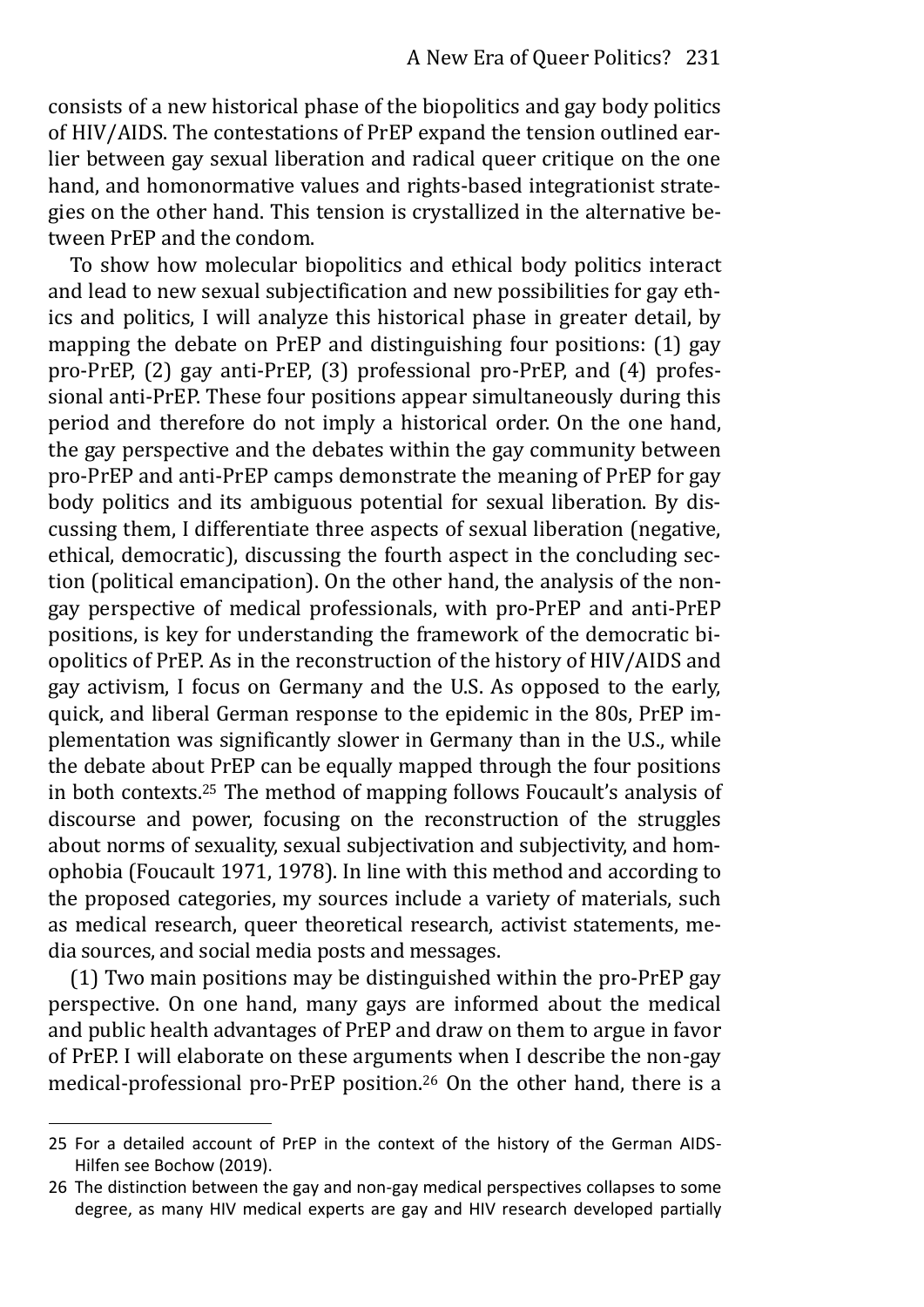consists of a new historical phase of the biopolitics and gay body politics of HIV/AIDS. The contestations of PrEP expand the tension outlined earlier between gay sexual liberation and radical queer critique on the one hand, and homonormative values and rights-based integrationist strategies on the other hand. This tension is crystallized in the alternative between PrEP and the condom.

To show how molecular biopolitics and ethical body politics interact and lead to new sexual subjectification and new possibilities for gay ethics and politics, I will analyze this historical phase in greater detail, by mapping the debate on PrEP and distinguishing four positions: (1) gay pro-PrEP, (2) gay anti-PrEP, (3) professional pro-PrEP, and (4) professional anti-PrEP. These four positions appear simultaneously during this period and therefore do not imply a historical order. On the one hand, the gay perspective and the debates within the gay community between pro-PrEP and anti-PrEP camps demonstrate the meaning of PrEP for gay body politics and its ambiguous potential for sexual liberation. By discussing them, I differentiate three aspects of sexual liberation (negative, ethical, democratic), discussing the fourth aspect in the concluding section (political emancipation). On the other hand, the analysis of the nongay perspective of medical professionals, with pro-PrEP and anti-PrEP positions, is key for understanding the framework of the democratic biopolitics of PrEP. As in the reconstruction of the history of HIV/AIDS and gay activism, I focus on Germany and the U.S. As opposed to the early, quick, and liberal German response to the epidemic in the 80s, PrEP implementation was significantly slower in Germany than in the U.S., while the debate about PrEP can be equally mapped through the four positions in both contexts.25 The method of mapping follows Foucault's analysis of discourse and power, focusing on the reconstruction of the struggles about norms of sexuality, sexual subjectivation and subjectivity, and homophobia (Foucault 1971, 1978). In line with this method and according to the proposed categories, my sources include a variety of materials, such as medical research, queer theoretical research, activist statements, media sources, and social media posts and messages.

(1) Two main positions may be distinguished within the pro-PrEP gay perspective. On one hand, many gays are informed about the medical and public health advantages of PrEP and draw on them to argue in favor of PrEP. I will elaborate on these arguments when I describe the non-gay medical-professional pro-PrEP position.26 On the other hand, there is a

<sup>25</sup> For a detailed account of PrEP in the context of the history of the German AIDS-Hilfen see Bochow (2019).

<sup>26</sup> The distinction between the gay and non-gay medical perspectives collapses to some degree, as many HIV medical experts are gay and HIV research developed partially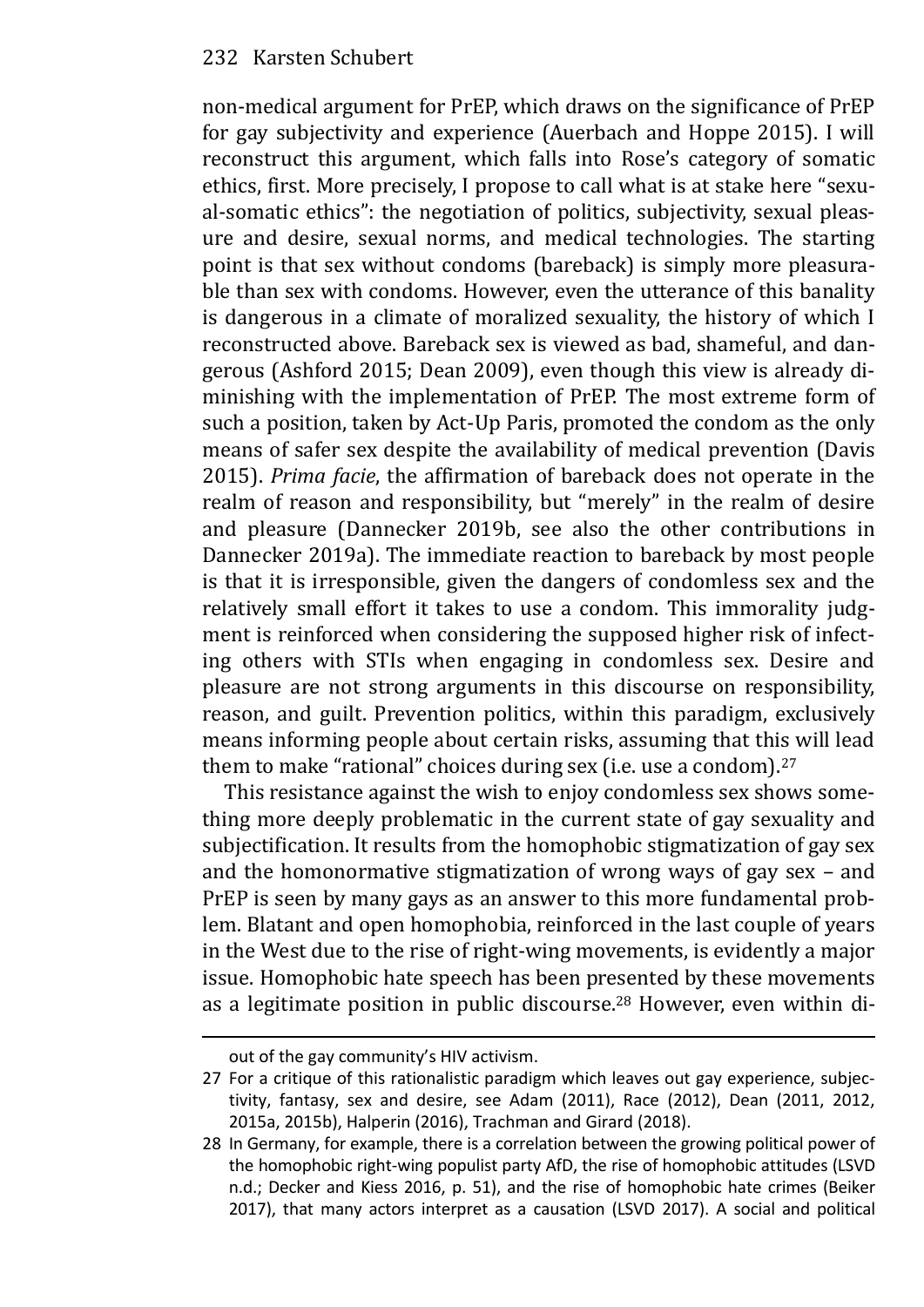non-medical argument for PrEP, which draws on the significance of PrEP for gay subjectivity and experience (Auerbach and Hoppe 2015). I will reconstruct this argument, which falls into Rose's category of somatic ethics, first. More precisely, I propose to call what is at stake here "sexual-somatic ethics": the negotiation of politics, subjectivity, sexual pleasure and desire, sexual norms, and medical technologies. The starting point is that sex without condoms (bareback) is simply more pleasurable than sex with condoms. However, even the utterance of this banality is dangerous in a climate of moralized sexuality, the history of which I reconstructed above. Bareback sex is viewed as bad, shameful, and dangerous (Ashford 2015; Dean 2009), even though this view is already diminishing with the implementation of PrEP. The most extreme form of such a position, taken by Act-Up Paris, promoted the condom as the only means of safer sex despite the availability of medical prevention (Davis 2015). *Prima facie*, the affirmation of bareback does not operate in the realm of reason and responsibility, but "merely" in the realm of desire and pleasure (Dannecker 2019b, see also the other contributions in Dannecker 2019a). The immediate reaction to bareback by most people is that it is irresponsible, given the dangers of condomless sex and the relatively small effort it takes to use a condom. This immorality judgment is reinforced when considering the supposed higher risk of infecting others with STIs when engaging in condomless sex. Desire and pleasure are not strong arguments in this discourse on responsibility, reason, and guilt. Prevention politics, within this paradigm, exclusively means informing people about certain risks, assuming that this will lead them to make "rational" choices during sex (i.e. use a condom).<sup>27</sup>

This resistance against the wish to enjoy condomless sex shows something more deeply problematic in the current state of gay sexuality and subjectification. It results from the homophobic stigmatization of gay sex and the homonormative stigmatization of wrong ways of gay sex – and PrEP is seen by many gays as an answer to this more fundamental problem. Blatant and open homophobia, reinforced in the last couple of years in the West due to the rise of right-wing movements, is evidently a major issue. Homophobic hate speech has been presented by these movements as a legitimate position in public discourse.28 However, even within di-

out of the gay community's HIV activism.

<sup>27</sup> For a critique of this rationalistic paradigm which leaves out gay experience, subjectivity, fantasy, sex and desire, see Adam (2011), Race (2012), Dean (2011, 2012, 2015a, 2015b), Halperin (2016), Trachman and Girard (2018).

<sup>28</sup> In Germany, for example, there is a correlation between the growing political power of the homophobic right-wing populist party AfD, the rise of homophobic attitudes (LSVD n.d.; Decker and Kiess 2016, p. 51), and the rise of homophobic hate crimes (Beiker 2017), that many actors interpret as a causation (LSVD 2017). A social and political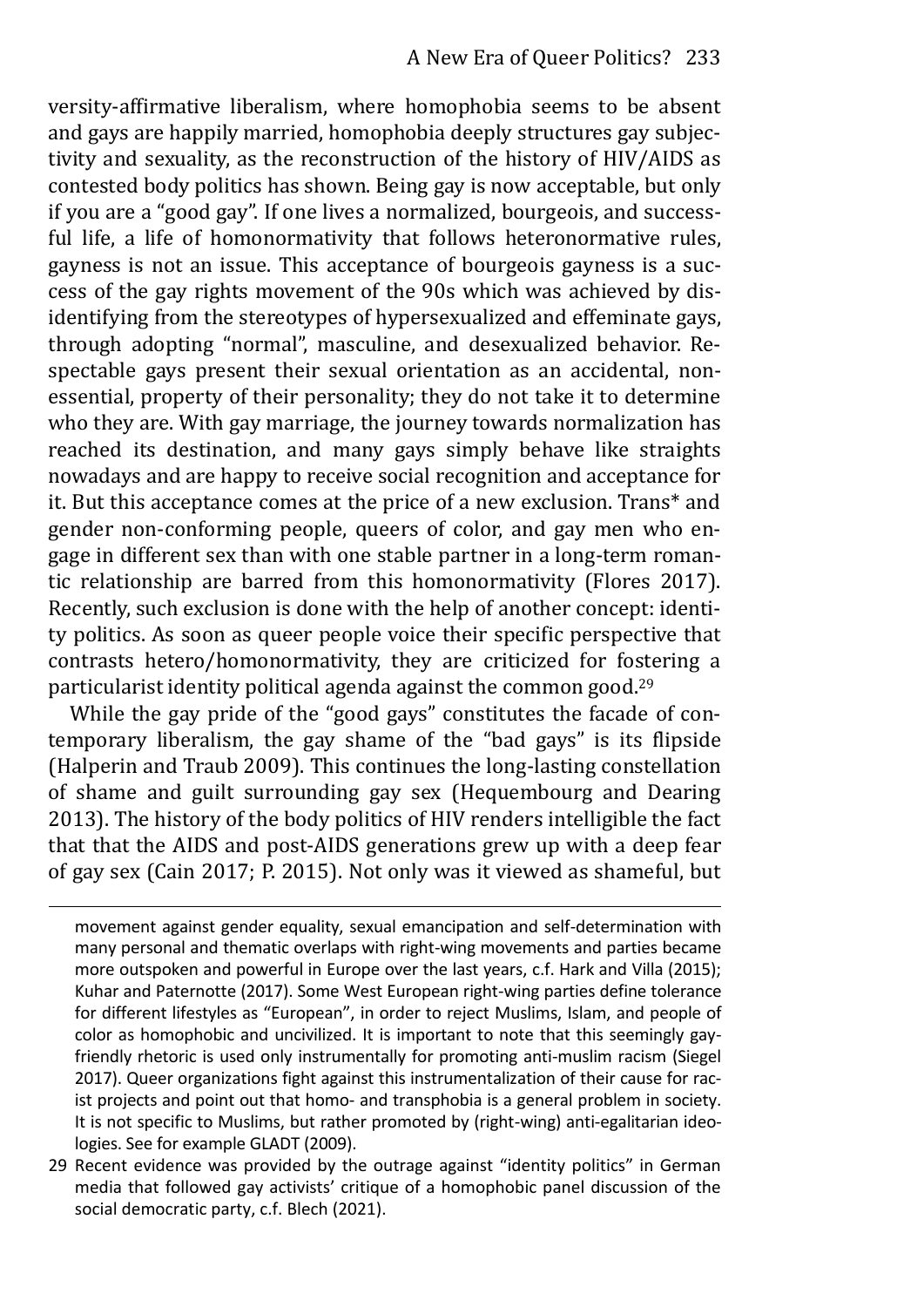versity-affirmative liberalism, where homophobia seems to be absent and gays are happily married, homophobia deeply structures gay subjectivity and sexuality, as the reconstruction of the history of HIV/AIDS as contested body politics has shown. Being gay is now acceptable, but only if you are a "good gay". If one lives a normalized, bourgeois, and successful life, a life of homonormativity that follows heteronormative rules, gayness is not an issue. This acceptance of bourgeois gayness is a success of the gay rights movement of the 90s which was achieved by disidentifying from the stereotypes of hypersexualized and effeminate gays, through adopting "normal", masculine, and desexualized behavior. Respectable gays present their sexual orientation as an accidental, nonessential, property of their personality; they do not take it to determine who they are. With gay marriage, the journey towards normalization has reached its destination, and many gays simply behave like straights nowadays and are happy to receive social recognition and acceptance for it. But this acceptance comes at the price of a new exclusion. Trans\* and gender non-conforming people, queers of color, and gay men who engage in different sex than with one stable partner in a long-term romantic relationship are barred from this homonormativity (Flores 2017). Recently, such exclusion is done with the help of another concept: identity politics. As soon as queer people voice their specific perspective that contrasts hetero/homonormativity, they are criticized for fostering a particularist identity political agenda against the common good.<sup>29</sup>

While the gay pride of the "good gays" constitutes the facade of contemporary liberalism, the gay shame of the "bad gays" is its flipside (Halperin and Traub 2009). This continues the long-lasting constellation of shame and guilt surrounding gay sex (Hequembourg and Dearing 2013). The history of the body politics of HIV renders intelligible the fact that that the AIDS and post-AIDS generations grew up with a deep fear of gay sex (Cain 2017; P. 2015). Not only was it viewed as shameful, but

movement against gender equality, sexual emancipation and self-determination with many personal and thematic overlaps with right-wing movements and parties became more outspoken and powerful in Europe over the last years, c.f. Hark and Villa (2015); Kuhar and Paternotte (2017). Some West European right-wing parties define tolerance for different lifestyles as "European", in order to reject Muslims, Islam, and people of color as homophobic and uncivilized. It is important to note that this seemingly gayfriendly rhetoric is used only instrumentally for promoting anti-muslim racism (Siegel 2017). Queer organizations fight against this instrumentalization of their cause for racist projects and point out that homo- and transphobia is a general problem in society. It is not specific to Muslims, but rather promoted by (right-wing) anti-egalitarian ideologies. See for example GLADT (2009).

<sup>29</sup> Recent evidence was provided by the outrage against "identity politics" in German media that followed gay activists' critique of a homophobic panel discussion of the social democratic party, c.f. Blech (2021).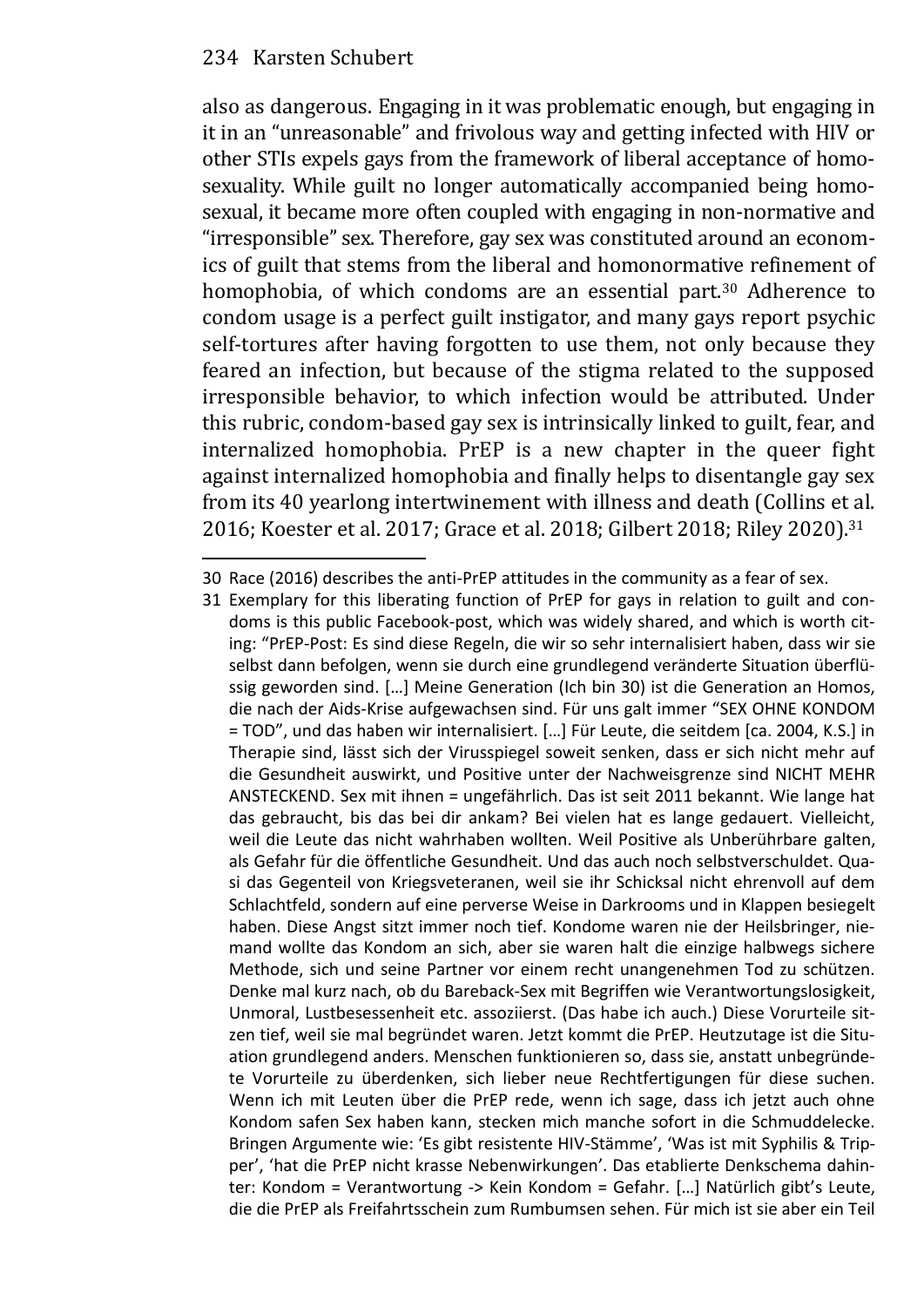also as dangerous. Engaging in it was problematic enough, but engaging in it in an "unreasonable" and frivolous way and getting infected with HIV or other STIs expels gays from the framework of liberal acceptance of homosexuality. While guilt no longer automatically accompanied being homosexual, it became more often coupled with engaging in non-normative and "irresponsible" sex. Therefore, gay sex was constituted around an economics of guilt that stems from the liberal and homonormative refinement of homophobia, of which condoms are an essential part.<sup>30</sup> Adherence to condom usage is a perfect guilt instigator, and many gays report psychic self-tortures after having forgotten to use them, not only because they feared an infection, but because of the stigma related to the supposed irresponsible behavior, to which infection would be attributed. Under this rubric, condom-based gay sex is intrinsically linked to guilt, fear, and internalized homophobia. PrEP is a new chapter in the queer fight against internalized homophobia and finally helps to disentangle gay sex from its 40 yearlong intertwinement with illness and death (Collins et al. 2016; Koester et al. 2017; Grace et al. 2018; Gilbert 2018; Riley 2020).<sup>31</sup>

<sup>30</sup> Race (2016) describes the anti-PrEP attitudes in the community as a fear of sex.

<sup>31</sup> Exemplary for this liberating function of PrEP for gays in relation to guilt and condoms is this public Facebook-post, which was widely shared, and which is worth citing: "PrEP-Post: Es sind diese Regeln, die wir so sehr internalisiert haben, dass wir sie selbst dann befolgen, wenn sie durch eine grundlegend veränderte Situation überflüssig geworden sind. […] Meine Generation (Ich bin 30) ist die Generation an Homos, die nach der Aids-Krise aufgewachsen sind. Für uns galt immer "SEX OHNE KONDOM = TOD", und das haben wir internalisiert. […] Für Leute, die seitdem [ca. 2004, K.S.] in Therapie sind, lässt sich der Virusspiegel soweit senken, dass er sich nicht mehr auf die Gesundheit auswirkt, und Positive unter der Nachweisgrenze sind NICHT MEHR ANSTECKEND. Sex mit ihnen = ungefährlich. Das ist seit 2011 bekannt. Wie lange hat das gebraucht, bis das bei dir ankam? Bei vielen hat es lange gedauert. Vielleicht, weil die Leute das nicht wahrhaben wollten. Weil Positive als Unberührbare galten, als Gefahr für die öffentliche Gesundheit. Und das auch noch selbstverschuldet. Quasi das Gegenteil von Kriegsveteranen, weil sie ihr Schicksal nicht ehrenvoll auf dem Schlachtfeld, sondern auf eine perverse Weise in Darkrooms und in Klappen besiegelt haben. Diese Angst sitzt immer noch tief. Kondome waren nie der Heilsbringer, niemand wollte das Kondom an sich, aber sie waren halt die einzige halbwegs sichere Methode, sich und seine Partner vor einem recht unangenehmen Tod zu schützen. Denke mal kurz nach, ob du Bareback-Sex mit Begriffen wie Verantwortungslosigkeit, Unmoral, Lustbesessenheit etc. assoziierst. (Das habe ich auch.) Diese Vorurteile sitzen tief, weil sie mal begründet waren. Jetzt kommt die PrEP. Heutzutage ist die Situation grundlegend anders. Menschen funktionieren so, dass sie, anstatt unbegründete Vorurteile zu überdenken, sich lieber neue Rechtfertigungen für diese suchen. Wenn ich mit Leuten über die PrEP rede, wenn ich sage, dass ich jetzt auch ohne Kondom safen Sex haben kann, stecken mich manche sofort in die Schmuddelecke. Bringen Argumente wie: 'Es gibt resistente HIV-Stämme', 'Was ist mit Syphilis & Trip‐ per', 'hat die PrEP nicht krasse Nebenwirkungen'. Das etablierte Denkschema dahin‐ ter: Kondom = Verantwortung -> Kein Kondom = Gefahr. […] Natürlich gibt's Leute, die die PrEP als Freifahrtsschein zum Rumbumsen sehen. Für mich ist sie aber ein Teil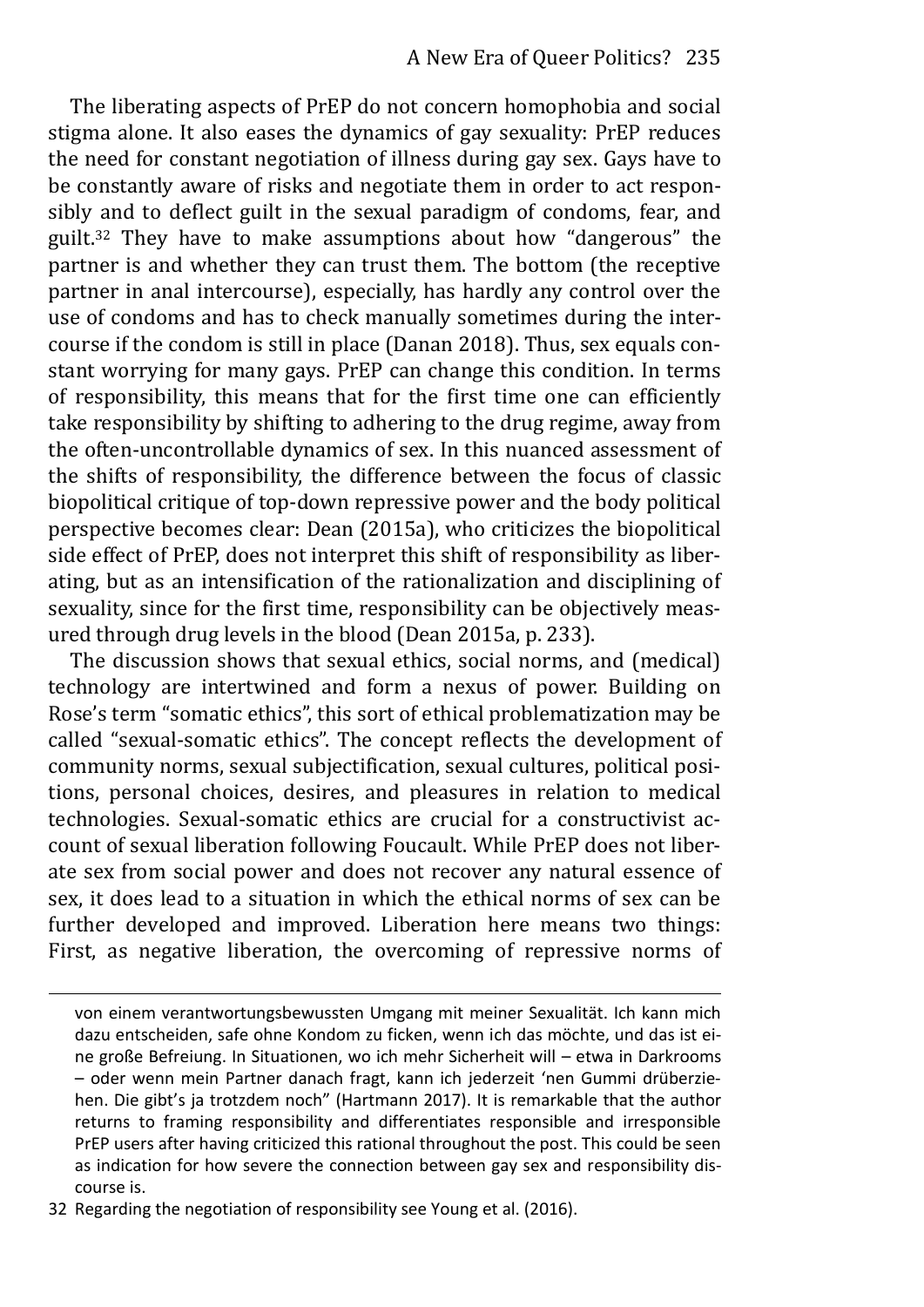The liberating aspects of PrEP do not concern homophobia and social stigma alone. It also eases the dynamics of gay sexuality: PrEP reduces the need for constant negotiation of illness during gay sex. Gays have to be constantly aware of risks and negotiate them in order to act responsibly and to deflect guilt in the sexual paradigm of condoms, fear, and guilt.<sup>32</sup> They have to make assumptions about how "dangerous" the partner is and whether they can trust them. The bottom (the receptive partner in anal intercourse), especially, has hardly any control over the use of condoms and has to check manually sometimes during the intercourse if the condom is still in place (Danan 2018). Thus, sex equals constant worrying for many gays. PrEP can change this condition. In terms of responsibility, this means that for the first time one can efficiently take responsibility by shifting to adhering to the drug regime, away from the often-uncontrollable dynamics of sex. In this nuanced assessment of the shifts of responsibility, the difference between the focus of classic biopolitical critique of top-down repressive power and the body political perspective becomes clear: Dean (2015a), who criticizes the biopolitical side effect of PrEP, does not interpret this shift of responsibility as liberating, but as an intensification of the rationalization and disciplining of sexuality, since for the first time, responsibility can be objectively measured through drug levels in the blood (Dean 2015a, p. 233).

The discussion shows that sexual ethics, social norms, and (medical) technology are intertwined and form a nexus of power. Building on Rose's term "somatic ethics", this sort of ethical problematization may be called "sexual-somatic ethics". The concept reflects the development of community norms, sexual subjectification, sexual cultures, political positions, personal choices, desires, and pleasures in relation to medical technologies. Sexual-somatic ethics are crucial for a constructivist account of sexual liberation following Foucault. While PrEP does not liberate sex from social power and does not recover any natural essence of sex, it does lead to a situation in which the ethical norms of sex can be further developed and improved. Liberation here means two things: First, as negative liberation, the overcoming of repressive norms of

32 Regarding the negotiation of responsibility see Young et al. (2016).

von einem verantwortungsbewussten Umgang mit meiner Sexualität. Ich kann mich dazu entscheiden, safe ohne Kondom zu ficken, wenn ich das möchte, und das ist eine große Befreiung. In Situationen, wo ich mehr Sicherheit will – etwa in Darkrooms – oder wenn mein Partner danach fragt, kann ich jederzeit 'nen Gummi drüberzie‐ hen. Die gibt's ja trotzdem noch" (Hartmann 2017). It is remarkable that the author returns to framing responsibility and differentiates responsible and irresponsible PrEP users after having criticized this rational throughout the post. This could be seen as indication for how severe the connection between gay sex and responsibility discourse is.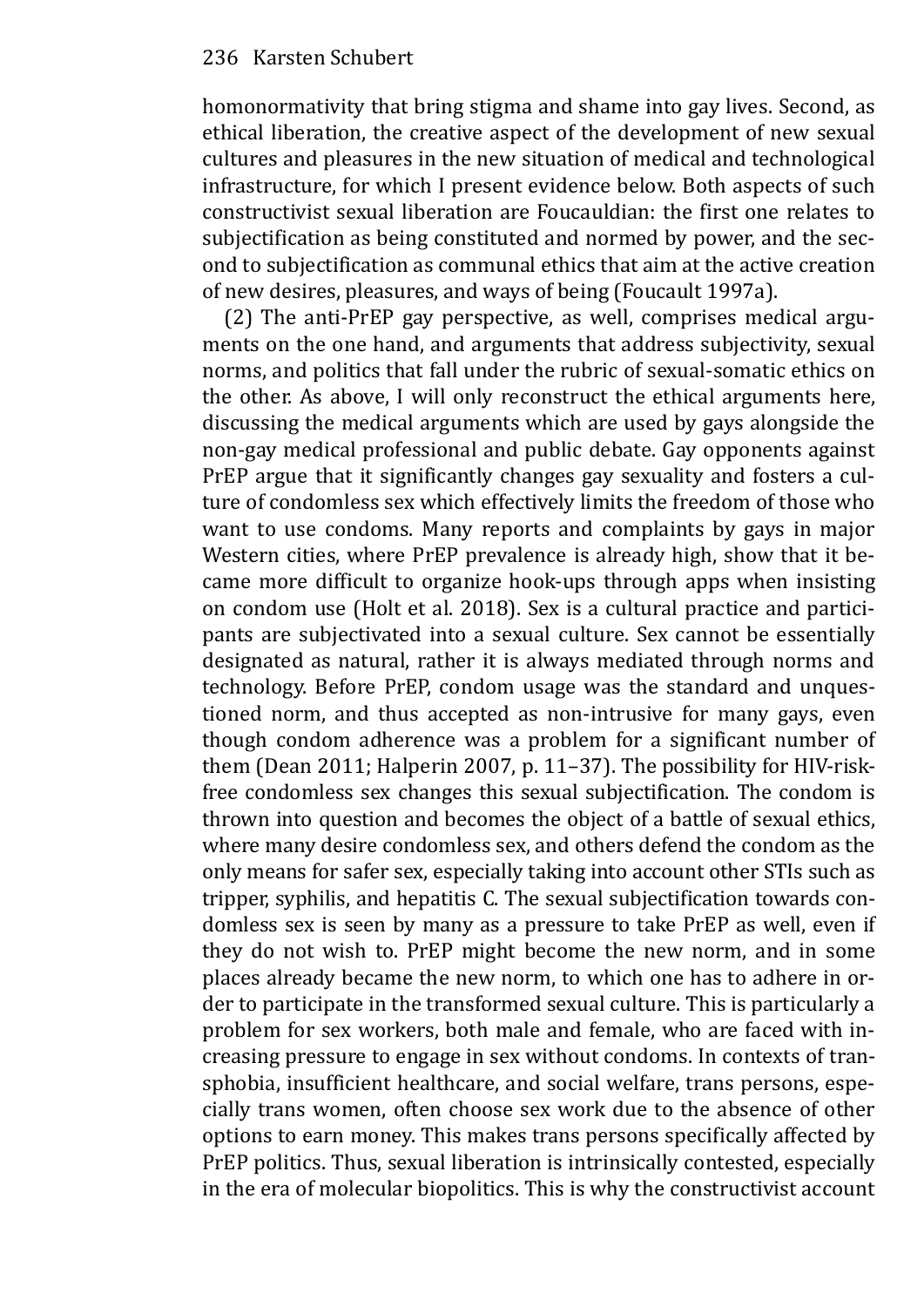homonormativity that bring stigma and shame into gay lives. Second, as ethical liberation, the creative aspect of the development of new sexual cultures and pleasures in the new situation of medical and technological infrastructure, for which I present evidence below. Both aspects of such constructivist sexual liberation are Foucauldian: the first one relates to subjectification as being constituted and normed by power, and the second to subjectification as communal ethics that aim at the active creation of new desires, pleasures, and ways of being (Foucault 1997a).

(2) The anti-PrEP gay perspective, as well, comprises medical arguments on the one hand, and arguments that address subjectivity, sexual norms, and politics that fall under the rubric of sexual-somatic ethics on the other. As above, I will only reconstruct the ethical arguments here, discussing the medical arguments which are used by gays alongside the non-gay medical professional and public debate. Gay opponents against PrEP argue that it significantly changes gay sexuality and fosters a culture of condomless sex which effectively limits the freedom of those who want to use condoms. Many reports and complaints by gays in major Western cities, where PrEP prevalence is already high, show that it became more difficult to organize hook-ups through apps when insisting on condom use (Holt et al. 2018). Sex is a cultural practice and participants are subjectivated into a sexual culture. Sex cannot be essentially designated as natural, rather it is always mediated through norms and technology. Before PrEP, condom usage was the standard and unquestioned norm, and thus accepted as non-intrusive for many gays, even though condom adherence was a problem for a significant number of them (Dean 2011; Halperin 2007, p. 11–37). The possibility for HIV-riskfree condomless sex changes this sexual subjectification. The condom is thrown into question and becomes the object of a battle of sexual ethics, where many desire condomless sex, and others defend the condom as the only means for safer sex, especially taking into account other STIs such as tripper, syphilis, and hepatitis C. The sexual subjectification towards condomless sex is seen by many as a pressure to take PrEP as well, even if they do not wish to. PrEP might become the new norm, and in some places already became the new norm, to which one has to adhere in order to participate in the transformed sexual culture. This is particularly a problem for sex workers, both male and female, who are faced with increasing pressure to engage in sex without condoms. In contexts of transphobia, insufficient healthcare, and social welfare, trans persons, especially trans women, often choose sex work due to the absence of other options to earn money. This makes trans persons specifically affected by PrEP politics. Thus, sexual liberation is intrinsically contested, especially in the era of molecular biopolitics. This is why the constructivist account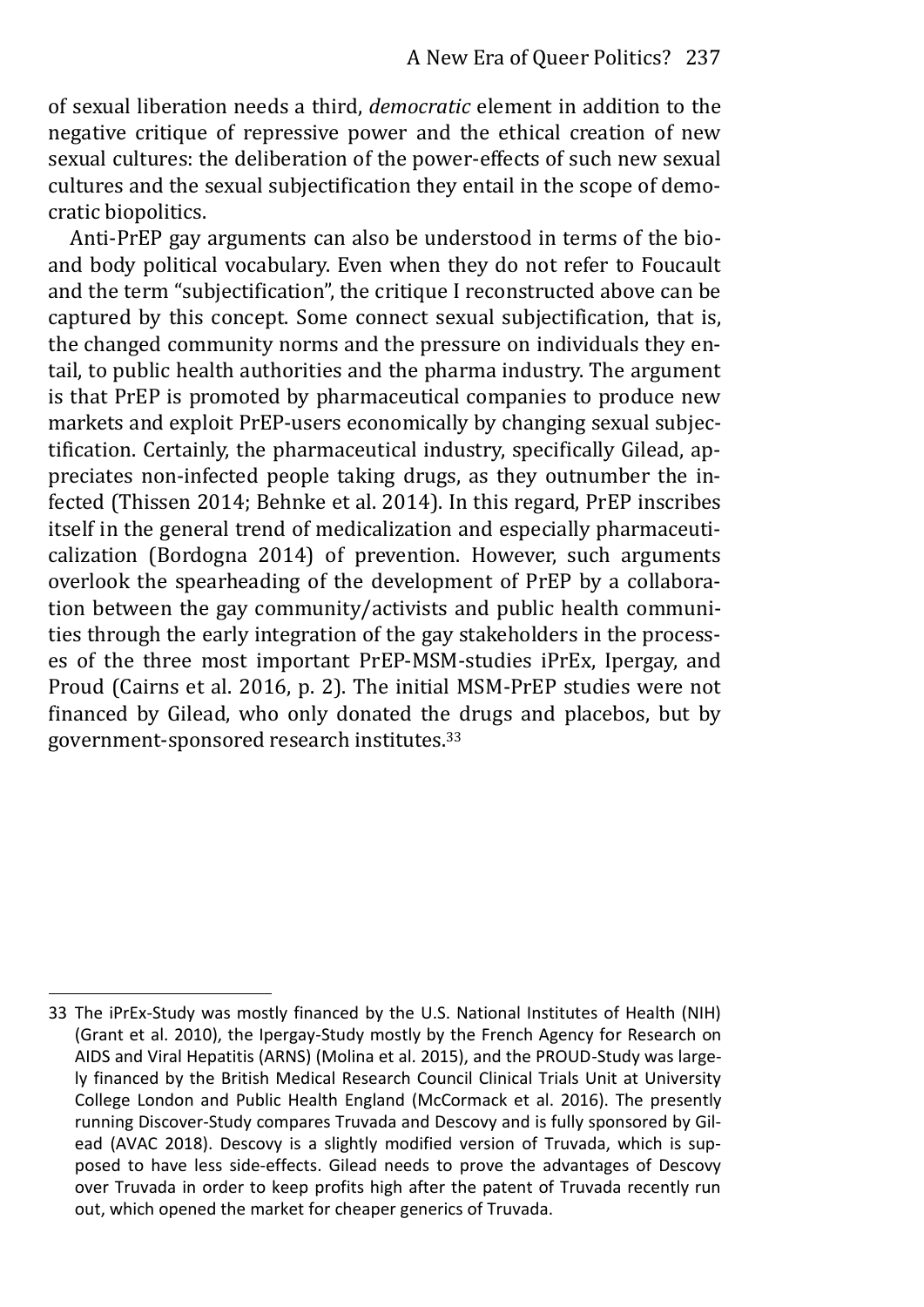of sexual liberation needs a third, *democratic* element in addition to the negative critique of repressive power and the ethical creation of new sexual cultures: the deliberation of the power-effects of such new sexual cultures and the sexual subjectification they entail in the scope of democratic biopolitics.

Anti-PrEP gay arguments can also be understood in terms of the bioand body political vocabulary. Even when they do not refer to Foucault and the term "subjectification", the critique I reconstructed above can be captured by this concept. Some connect sexual subjectification, that is, the changed community norms and the pressure on individuals they entail, to public health authorities and the pharma industry. The argument is that PrEP is promoted by pharmaceutical companies to produce new markets and exploit PrEP-users economically by changing sexual subjectification. Certainly, the pharmaceutical industry, specifically Gilead, appreciates non-infected people taking drugs, as they outnumber the infected (Thissen 2014; Behnke et al. 2014). In this regard, PrEP inscribes itself in the general trend of medicalization and especially pharmaceuticalization (Bordogna 2014) of prevention. However, such arguments overlook the spearheading of the development of PrEP by a collaboration between the gay community/activists and public health communities through the early integration of the gay stakeholders in the processes of the three most important PrEP-MSM-studies iPrEx, Ipergay, and Proud (Cairns et al. 2016, p. 2). The initial MSM-PrEP studies were not financed by Gilead, who only donated the drugs and placebos, but by government-sponsored research institutes.<sup>33</sup>

<sup>33</sup> The iPrEx-Study was mostly financed by the U.S. National Institutes of Health (NIH) (Grant et al. 2010), the Ipergay-Study mostly by the French Agency for Research on AIDS and Viral Hepatitis (ARNS) (Molina et al. 2015), and the PROUD-Study was largely financed by the British Medical Research Council Clinical Trials Unit at University College London and Public Health England (McCormack et al. 2016). The presently running Discover-Study compares Truvada and Descovy and is fully sponsored by Gilead (AVAC 2018). Descovy is a slightly modified version of Truvada, which is supposed to have less side-effects. Gilead needs to prove the advantages of Descovy over Truvada in order to keep profits high after the patent of Truvada recently run out, which opened the market for cheaper generics of Truvada.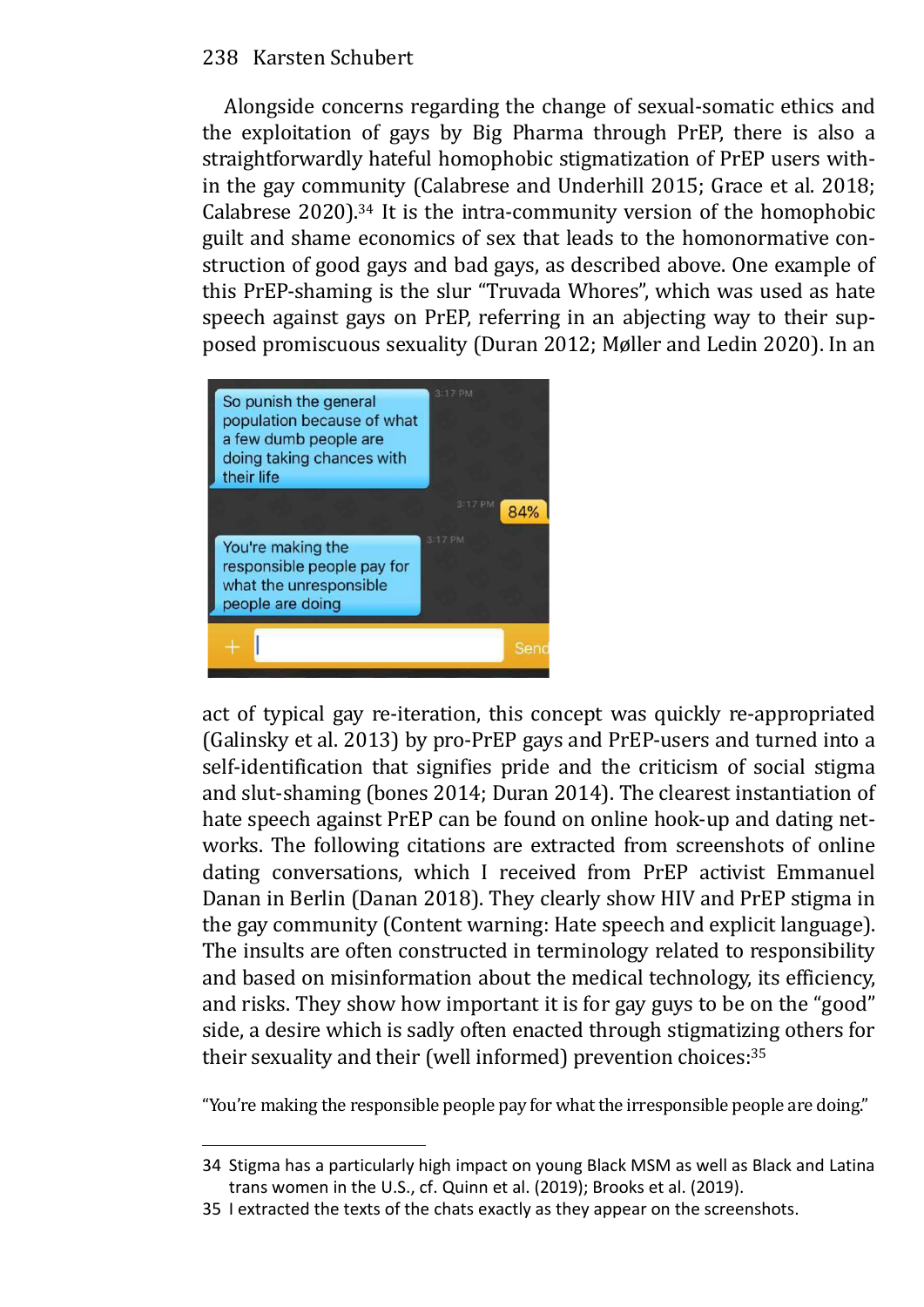Alongside concerns regarding the change of sexual-somatic ethics and the exploitation of gays by Big Pharma through PrEP, there is also a straightforwardly hateful homophobic stigmatization of PrEP users within the gay community (Calabrese and Underhill 2015; Grace et al. 2018; Calabrese 2020).34 It is the intra-community version of the homophobic guilt and shame economics of sex that leads to the homonormative construction of good gays and bad gays, as described above. One example of this PrEP-shaming is the slur "Truvada Whores", which was used as hate speech against gays on PrEP, referring in an abjecting way to their supposed promiscuous sexuality (Duran 2012; Møller and Ledin 2020). In an



act of typical gay re-iteration, this concept was quickly re-appropriated (Galinsky et al. 2013) by pro-PrEP gays and PrEP-users and turned into a self-identification that signifies pride and the criticism of social stigma and slut-shaming (bones 2014; Duran 2014). The clearest instantiation of hate speech against PrEP can be found on online hook-up and dating networks. The following citations are extracted from screenshots of online dating conversations, which I received from PrEP activist Emmanuel Danan in Berlin (Danan 2018). They clearly show HIV and PrEP stigma in the gay community (Content warning: Hate speech and explicit language). The insults are often constructed in terminology related to responsibility and based on misinformation about the medical technology, its efficiency, and risks. They show how important it is for gay guys to be on the "good" side, a desire which is sadly often enacted through stigmatizing others for their sexuality and their (well informed) prevention choices:<sup>35</sup>

"You're making the responsible people pay for what the irresponsible people are doing."

<sup>34</sup> Stigma has a particularly high impact on young Black MSM as well as Black and Latina trans women in the U.S., cf. Quinn et al. (2019); Brooks et al. (2019).

<sup>35</sup> I extracted the texts of the chats exactly as they appear on the screenshots.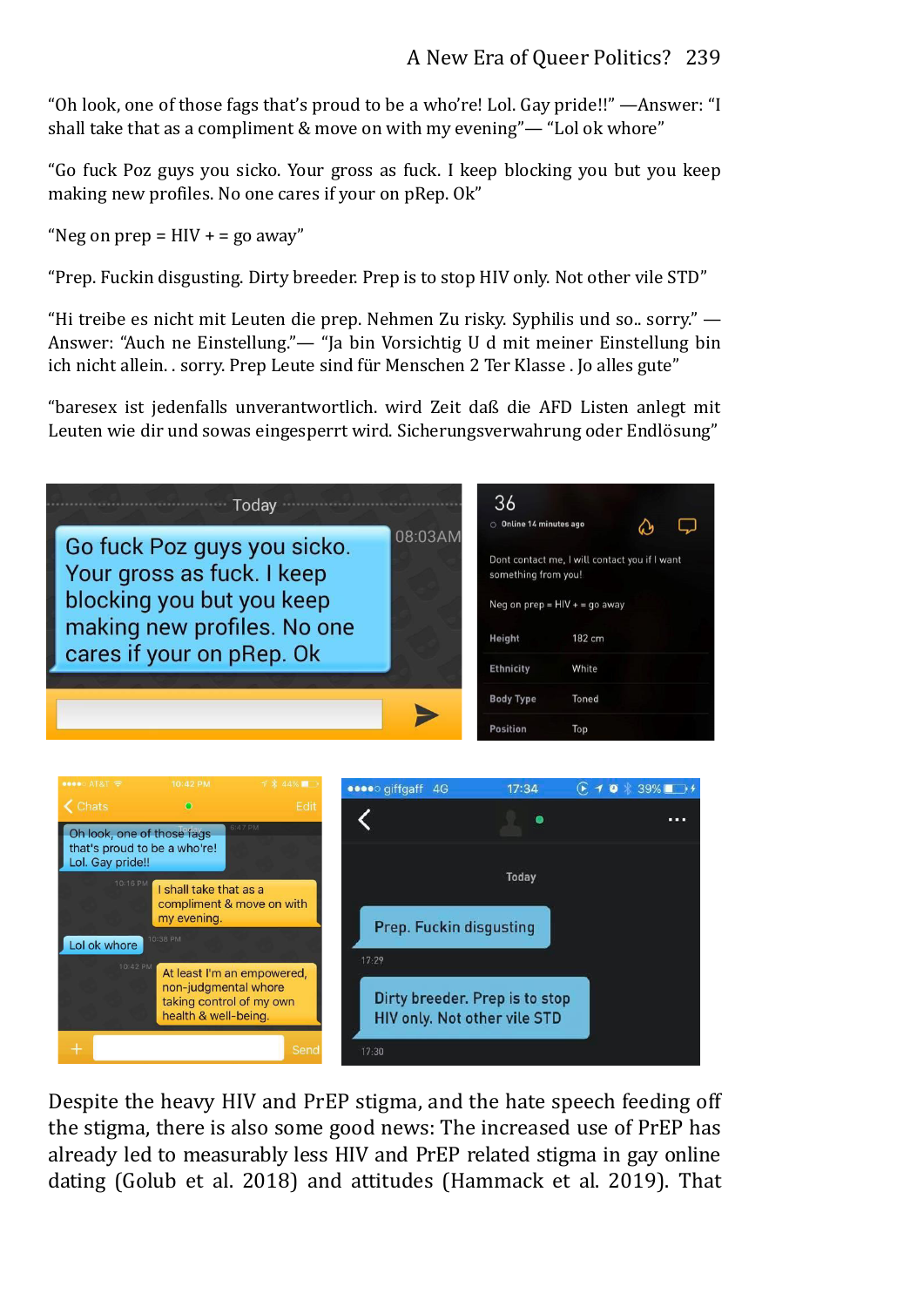"Oh look, one of those fags that's proud to be a who're! Lol. Gay pride!!" —Answer: "I shall take that as a compliment & move on with my evening"— "Lol ok whore"

"Go fuck Poz guys you sicko. Your gross as fuck. I keep blocking you but you keep making new profiles. No one cares if your on pRep. Ok"

"Neg on prep  $=$  HIV  $+$  = go away"

"Prep. Fuckin disgusting. Dirty breeder. Prep is to stop HIV only. Not other vile STD"

"Hi treibe es nicht mit Leuten die prep. Nehmen Zu risky. Syphilis und so.. sorry." — Answer: "Auch ne Einstellung."— "Ja bin Vorsichtig U d mit meiner Einstellung bin ich nicht allein. . sorry. Prep Leute sind für Menschen 2 Ter Klasse . Jo alles gute"

"baresex ist jedenfalls unverantwortlich. wird Zeit daß die AFD Listen anlegt mit Leuten wie dir und sowas eingesperrt wird. Sicherungsverwahrung oder Endlösung"





Despite the heavy HIV and PrEP stigma, and the hate speech feeding off the stigma, there is also some good news: The increased use of PrEP has already led to measurably less HIV and PrEP related stigma in gay online dating (Golub et al. 2018) and attitudes (Hammack et al. 2019). That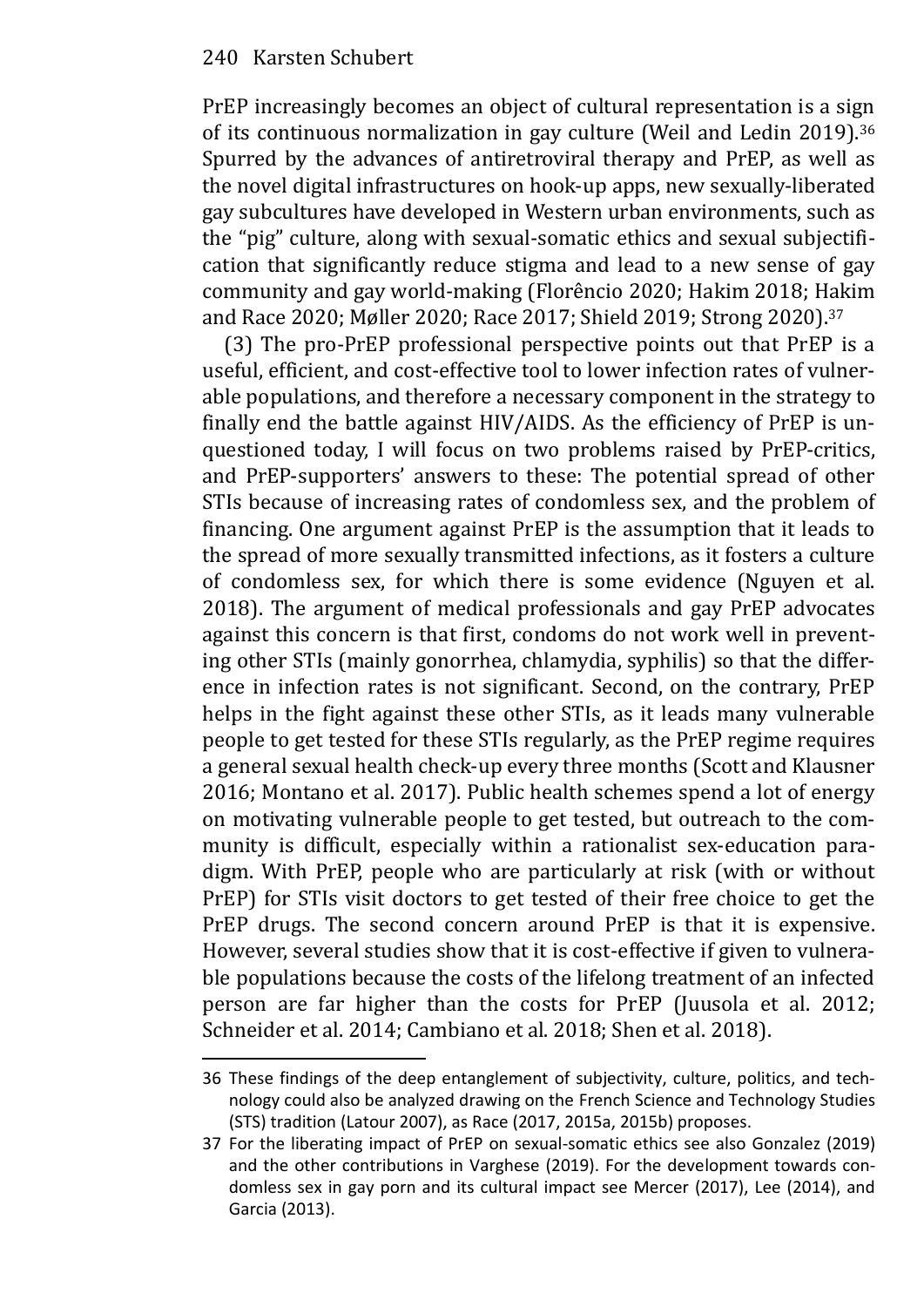PrEP increasingly becomes an object of cultural representation is a sign of its continuous normalization in gay culture (Weil and Ledin 2019).<sup>36</sup> Spurred by the advances of antiretroviral therapy and PrEP, as well as the novel digital infrastructures on hook-up apps, new sexually-liberated gay subcultures have developed in Western urban environments, such as the "pig" culture, along with sexual-somatic ethics and sexual subjectification that significantly reduce stigma and lead to a new sense of gay community and gay world-making (Florêncio 2020; Hakim 2018; Hakim and Race 2020; Møller 2020; Race 2017; Shield 2019; Strong 2020).<sup>37</sup>

(3) The pro-PrEP professional perspective points out that PrEP is a useful, efficient, and cost-effective tool to lower infection rates of vulnerable populations, and therefore a necessary component in the strategy to finally end the battle against HIV/AIDS. As the efficiency of PrEP is unquestioned today, I will focus on two problems raised by PrEP-critics, and PrEP-supporters' answers to these: The potential spread of other STIs because of increasing rates of condomless sex, and the problem of financing. One argument against PrEP is the assumption that it leads to the spread of more sexually transmitted infections, as it fosters a culture of condomless sex, for which there is some evidence (Nguyen et al. 2018). The argument of medical professionals and gay PrEP advocates against this concern is that first, condoms do not work well in preventing other STIs (mainly gonorrhea, chlamydia, syphilis) so that the difference in infection rates is not significant. Second, on the contrary, PrEP helps in the fight against these other STIs, as it leads many vulnerable people to get tested for these STIs regularly, as the PrEP regime requires a general sexual health check-up every three months (Scott and Klausner 2016; Montano et al. 2017). Public health schemes spend a lot of energy on motivating vulnerable people to get tested, but outreach to the community is difficult, especially within a rationalist sex-education paradigm. With PrEP, people who are particularly at risk (with or without PrEP) for STIs visit doctors to get tested of their free choice to get the PrEP drugs. The second concern around PrEP is that it is expensive. However, several studies show that it is cost-effective if given to vulnerable populations because the costs of the lifelong treatment of an infected person are far higher than the costs for PrEP (Juusola et al. 2012; Schneider et al. 2014; Cambiano et al. 2018; Shen et al. 2018).

<sup>36</sup> These findings of the deep entanglement of subjectivity, culture, politics, and technology could also be analyzed drawing on the French Science and Technology Studies (STS) tradition (Latour 2007), as Race (2017, 2015a, 2015b) proposes.

<sup>37</sup> For the liberating impact of PrEP on sexual-somatic ethics see also Gonzalez (2019) and the other contributions in Varghese (2019). For the development towards condomless sex in gay porn and its cultural impact see Mercer (2017), Lee (2014), and Garcia (2013).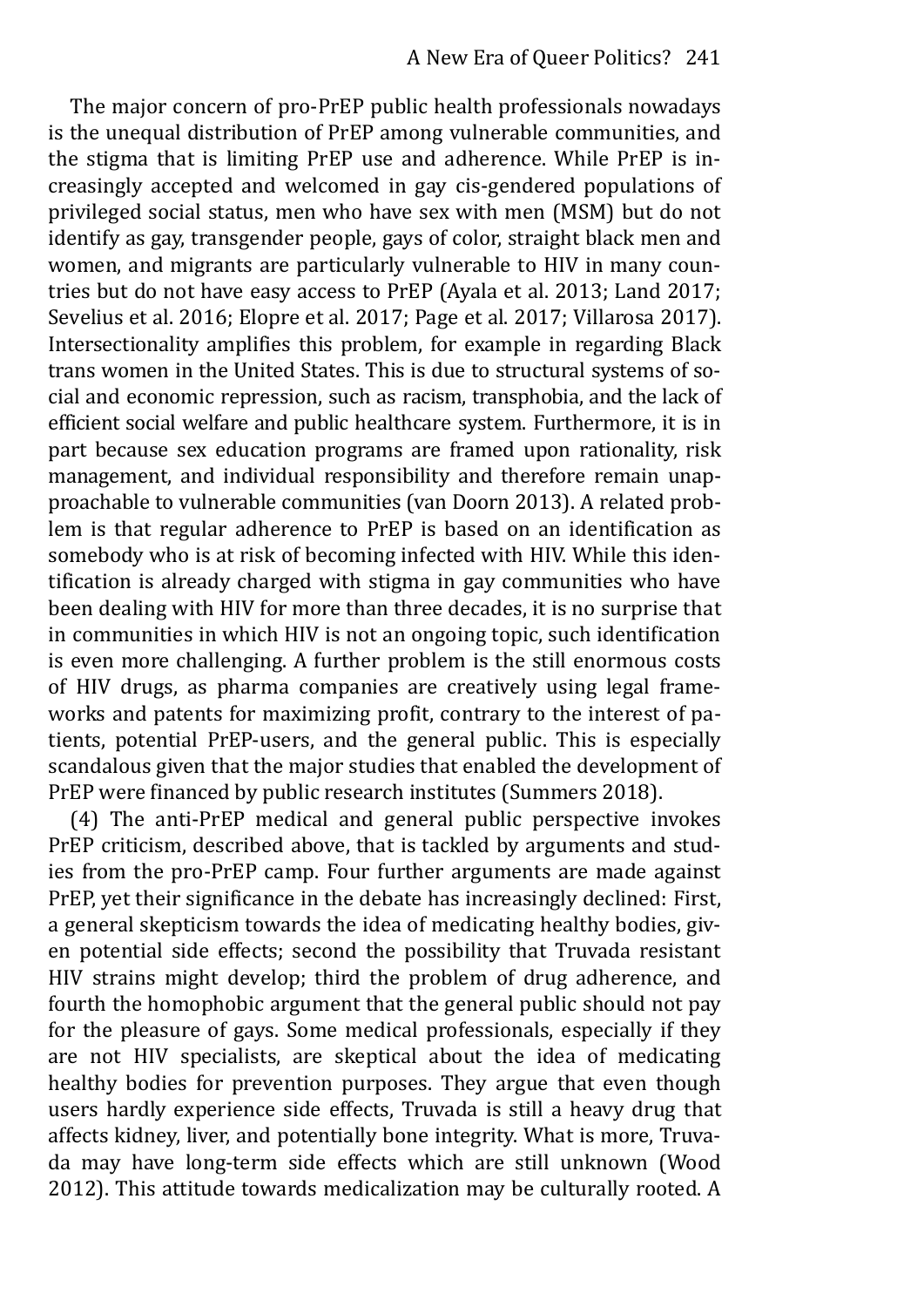The major concern of pro-PrEP public health professionals nowadays is the unequal distribution of PrEP among vulnerable communities, and the stigma that is limiting PrEP use and adherence. While PrEP is increasingly accepted and welcomed in gay cis-gendered populations of privileged social status, men who have sex with men (MSM) but do not identify as gay, transgender people, gays of color, straight black men and women, and migrants are particularly vulnerable to HIV in many countries but do not have easy access to PrEP (Ayala et al. 2013; Land 2017; Sevelius et al. 2016; Elopre et al. 2017; Page et al. 2017; Villarosa 2017). Intersectionality amplifies this problem, for example in regarding Black trans women in the United States. This is due to structural systems of social and economic repression, such as racism, transphobia, and the lack of efficient social welfare and public healthcare system. Furthermore, it is in part because sex education programs are framed upon rationality, risk management, and individual responsibility and therefore remain unapproachable to vulnerable communities (van Doorn 2013). A related problem is that regular adherence to PrEP is based on an identification as somebody who is at risk of becoming infected with HIV. While this identification is already charged with stigma in gay communities who have been dealing with HIV for more than three decades, it is no surprise that in communities in which HIV is not an ongoing topic, such identification is even more challenging. A further problem is the still enormous costs of HIV drugs, as pharma companies are creatively using legal frameworks and patents for maximizing profit, contrary to the interest of patients, potential PrEP-users, and the general public. This is especially scandalous given that the major studies that enabled the development of PrEP were financed by public research institutes (Summers 2018).

(4) The anti-PrEP medical and general public perspective invokes PrEP criticism, described above, that is tackled by arguments and studies from the pro-PrEP camp. Four further arguments are made against PrEP, yet their significance in the debate has increasingly declined: First, a general skepticism towards the idea of medicating healthy bodies, given potential side effects; second the possibility that Truvada resistant HIV strains might develop; third the problem of drug adherence, and fourth the homophobic argument that the general public should not pay for the pleasure of gays. Some medical professionals, especially if they are not HIV specialists, are skeptical about the idea of medicating healthy bodies for prevention purposes. They argue that even though users hardly experience side effects, Truvada is still a heavy drug that affects kidney, liver, and potentially bone integrity. What is more, Truvada may have long-term side effects which are still unknown (Wood 2012). This attitude towards medicalization may be culturally rooted. A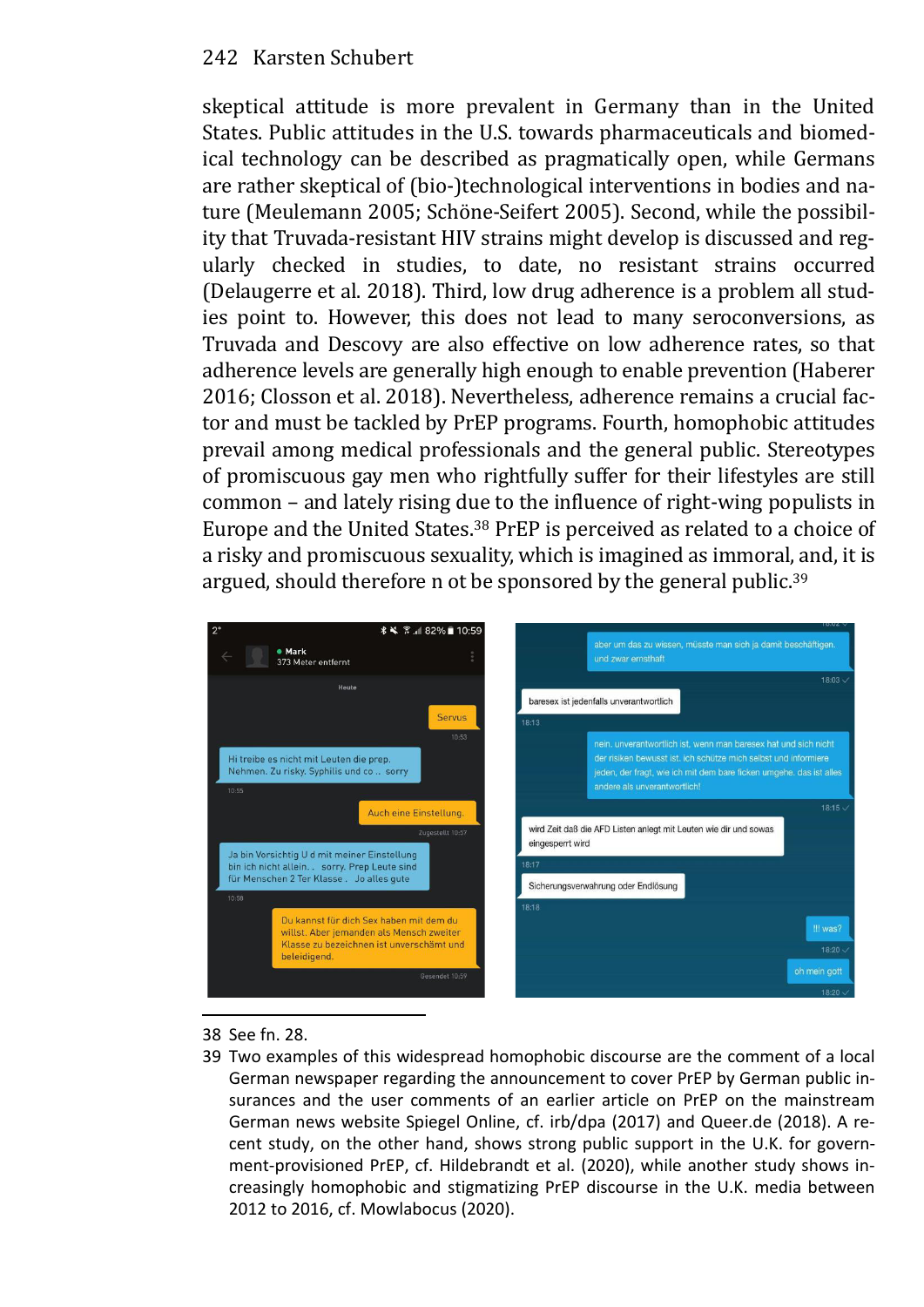skeptical attitude is more prevalent in Germany than in the United States. Public attitudes in the U.S. towards pharmaceuticals and biomedical technology can be described as pragmatically open, while Germans are rather skeptical of (bio-)technological interventions in bodies and nature (Meulemann 2005; Schöne-Seifert 2005). Second, while the possibility that Truvada-resistant HIV strains might develop is discussed and regularly checked in studies, to date, no resistant strains occurred (Delaugerre et al. 2018). Third, low drug adherence is a problem all studies point to. However, this does not lead to many seroconversions, as Truvada and Descovy are also effective on low adherence rates, so that adherence levels are generally high enough to enable prevention (Haberer 2016; Closson et al. 2018). Nevertheless, adherence remains a crucial factor and must be tackled by PrEP programs. Fourth, homophobic attitudes prevail among medical professionals and the general public. Stereotypes of promiscuous gay men who rightfully suffer for their lifestyles are still common – and lately rising due to the influence of right-wing populists in Europe and the United States.38 PrEP is perceived as related to a choice of a risky and promiscuous sexuality, which is imagined as immoral, and, it is argued, should therefore n ot be sponsored by the general public.<sup>39</sup>



- 38 See fn. 28.
- 39 Two examples of this widespread homophobic discourse are the comment of a local German newspaper regarding the announcement to cover PrEP by German public insurances and the user comments of an earlier article on PrEP on the mainstream German news website Spiegel Online, cf. irb/dpa (2017) and Queer.de (2018). A recent study, on the other hand, shows strong public support in the U.K. for government-provisioned PrEP, cf. Hildebrandt et al. (2020), while another study shows increasingly homophobic and stigmatizing PrEP discourse in the U.K. media between 2012 to 2016, cf. Mowlabocus (2020).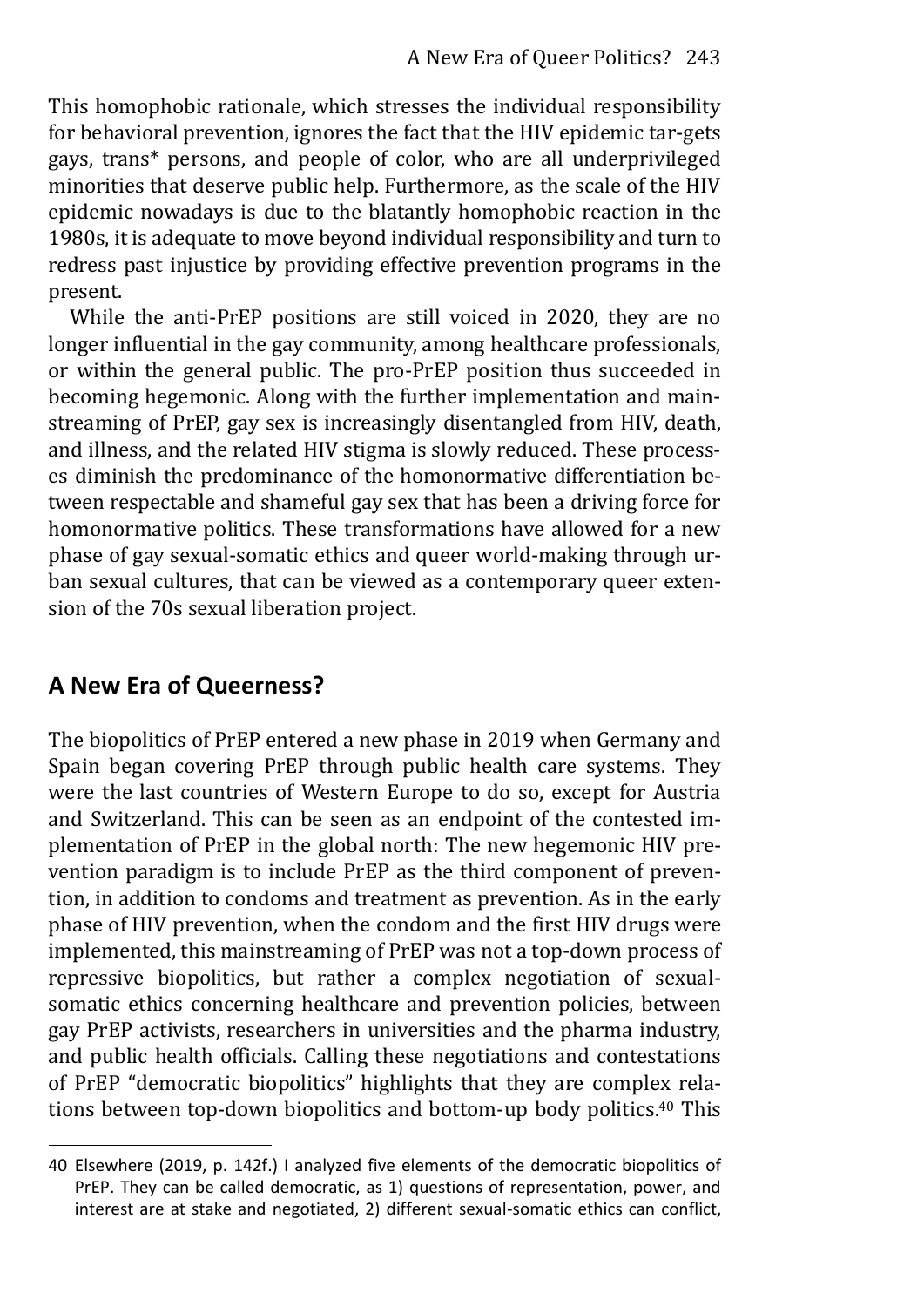This homophobic rationale, which stresses the individual responsibility for behavioral prevention, ignores the fact that the HIV epidemic tar-gets gays, trans\* persons, and people of color, who are all underprivileged minorities that deserve public help. Furthermore, as the scale of the HIV epidemic nowadays is due to the blatantly homophobic reaction in the 1980s, it is adequate to move beyond individual responsibility and turn to redress past injustice by providing effective prevention programs in the present.

While the anti-PrEP positions are still voiced in 2020, they are no longer influential in the gay community, among healthcare professionals, or within the general public. The pro-PrEP position thus succeeded in becoming hegemonic. Along with the further implementation and mainstreaming of PrEP, gay sex is increasingly disentangled from HIV, death, and illness, and the related HIV stigma is slowly reduced. These processes diminish the predominance of the homonormative differentiation between respectable and shameful gay sex that has been a driving force for homonormative politics. These transformations have allowed for a new phase of gay sexual-somatic ethics and queer world-making through urban sexual cultures, that can be viewed as a contemporary queer extension of the 70s sexual liberation project.

# **A New Era of Queerness?**

The biopolitics of PrEP entered a new phase in 2019 when Germany and Spain began covering PrEP through public health care systems. They were the last countries of Western Europe to do so, except for Austria and Switzerland. This can be seen as an endpoint of the contested implementation of PrEP in the global north: The new hegemonic HIV prevention paradigm is to include PrEP as the third component of prevention, in addition to condoms and treatment as prevention. As in the early phase of HIV prevention, when the condom and the first HIV drugs were implemented, this mainstreaming of PrEP was not a top-down process of repressive biopolitics, but rather a complex negotiation of sexualsomatic ethics concerning healthcare and prevention policies, between gay PrEP activists, researchers in universities and the pharma industry, and public health officials. Calling these negotiations and contestations of PrEP "democratic biopolitics" highlights that they are complex relations between top-down biopolitics and bottom-up body politics.40 This

<sup>40</sup> Elsewhere (2019, p. 142f.) I analyzed five elements of the democratic biopolitics of PrEP. They can be called democratic, as 1) questions of representation, power, and interest are at stake and negotiated, 2) different sexual-somatic ethics can conflict,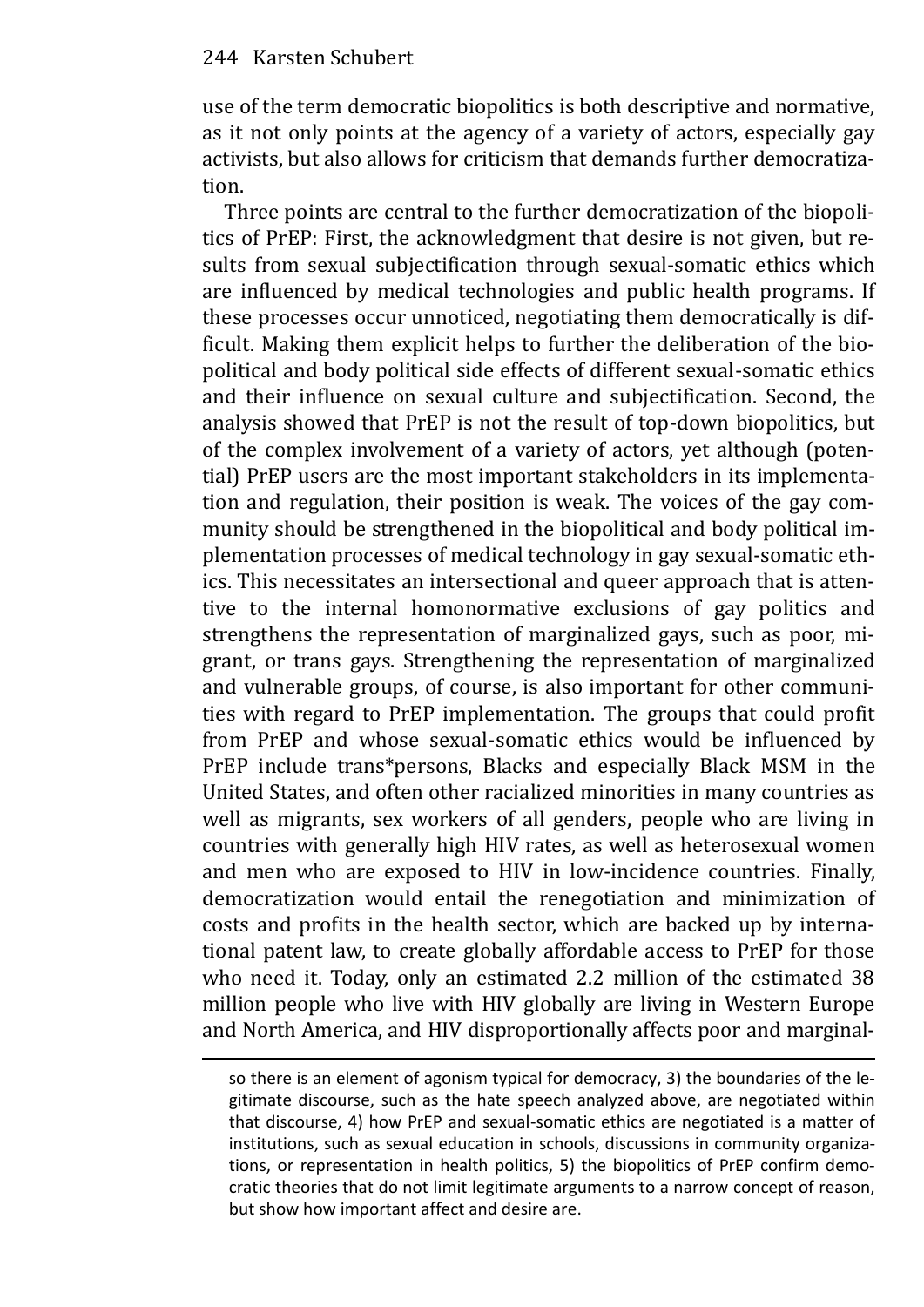use of the term democratic biopolitics is both descriptive and normative, as it not only points at the agency of a variety of actors, especially gay activists, but also allows for criticism that demands further democratization.

Three points are central to the further democratization of the biopolitics of PrEP: First, the acknowledgment that desire is not given, but results from sexual subjectification through sexual-somatic ethics which are influenced by medical technologies and public health programs. If these processes occur unnoticed, negotiating them democratically is difficult. Making them explicit helps to further the deliberation of the biopolitical and body political side effects of different sexual-somatic ethics and their influence on sexual culture and subjectification. Second, the analysis showed that PrEP is not the result of top-down biopolitics, but of the complex involvement of a variety of actors, yet although (potential) PrEP users are the most important stakeholders in its implementation and regulation, their position is weak. The voices of the gay community should be strengthened in the biopolitical and body political implementation processes of medical technology in gay sexual-somatic ethics. This necessitates an intersectional and queer approach that is attentive to the internal homonormative exclusions of gay politics and strengthens the representation of marginalized gays, such as poor, migrant, or trans gays. Strengthening the representation of marginalized and vulnerable groups, of course, is also important for other communities with regard to PrEP implementation. The groups that could profit from PrEP and whose sexual-somatic ethics would be influenced by PrEP include trans\*persons, Blacks and especially Black MSM in the United States, and often other racialized minorities in many countries as well as migrants, sex workers of all genders, people who are living in countries with generally high HIV rates, as well as heterosexual women and men who are exposed to HIV in low-incidence countries. Finally, democratization would entail the renegotiation and minimization of costs and profits in the health sector, which are backed up by international patent law, to create globally affordable access to PrEP for those who need it. Today, only an estimated 2.2 million of the estimated 38 million people who live with HIV globally are living in Western Europe and North America, and HIV disproportionally affects poor and marginal-

so there is an element of agonism typical for democracy, 3) the boundaries of the legitimate discourse, such as the hate speech analyzed above, are negotiated within that discourse, 4) how PrEP and sexual-somatic ethics are negotiated is a matter of institutions, such as sexual education in schools, discussions in community organizations, or representation in health politics, 5) the biopolitics of PrEP confirm democratic theories that do not limit legitimate arguments to a narrow concept of reason, but show how important affect and desire are.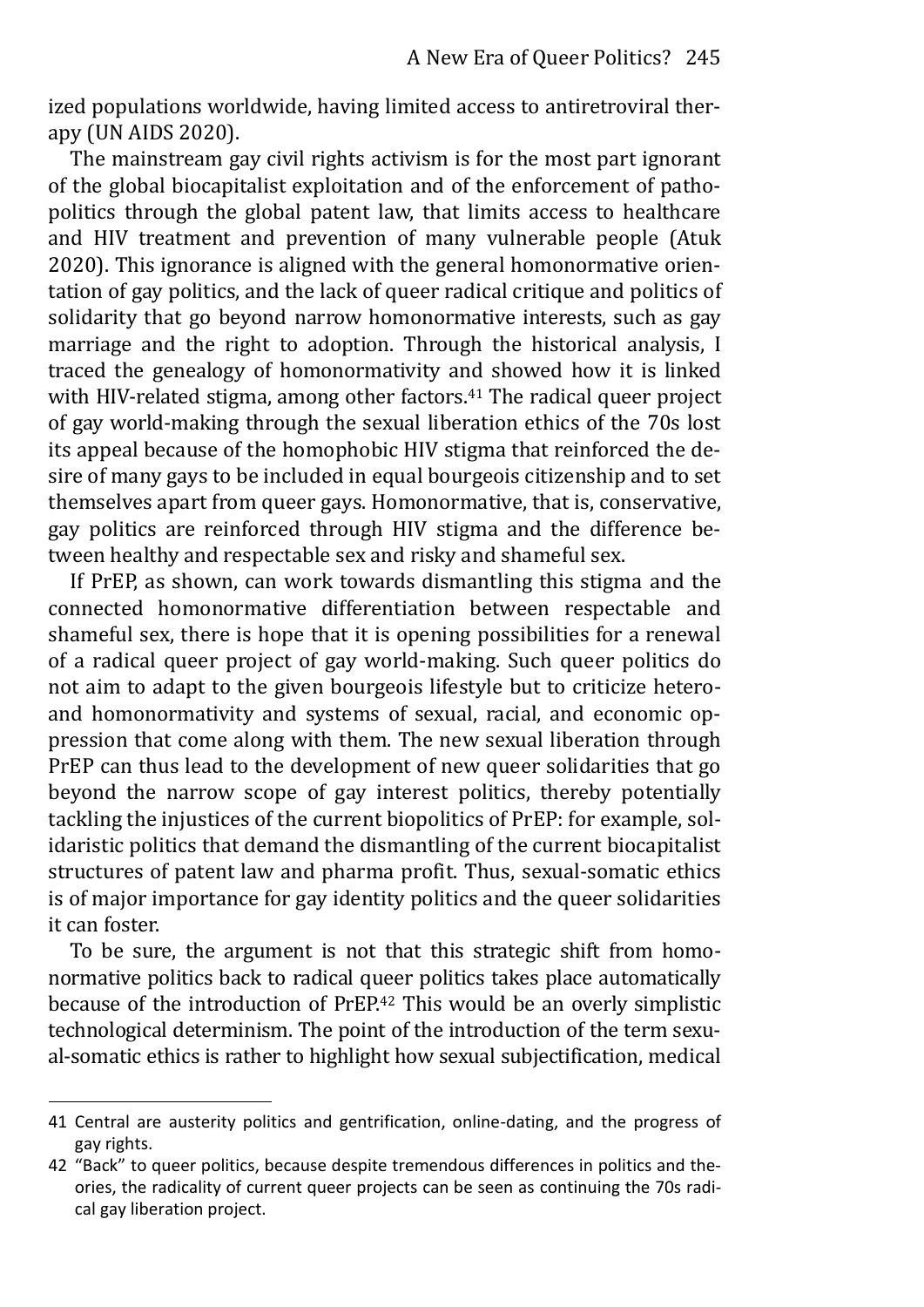ized populations worldwide, having limited access to antiretroviral therapy (UN AIDS 2020).

The mainstream gay civil rights activism is for the most part ignorant of the global biocapitalist exploitation and of the enforcement of pathopolitics through the global patent law, that limits access to healthcare and HIV treatment and prevention of many vulnerable people (Atuk 2020). This ignorance is aligned with the general homonormative orientation of gay politics, and the lack of queer radical critique and politics of solidarity that go beyond narrow homonormative interests, such as gay marriage and the right to adoption. Through the historical analysis, I traced the genealogy of homonormativity and showed how it is linked with HIV-related stigma, among other factors.<sup>41</sup> The radical queer project of gay world-making through the sexual liberation ethics of the 70s lost its appeal because of the homophobic HIV stigma that reinforced the desire of many gays to be included in equal bourgeois citizenship and to set themselves apart from queer gays. Homonormative, that is, conservative, gay politics are reinforced through HIV stigma and the difference between healthy and respectable sex and risky and shameful sex.

If PrEP, as shown, can work towards dismantling this stigma and the connected homonormative differentiation between respectable and shameful sex, there is hope that it is opening possibilities for a renewal of a radical queer project of gay world-making. Such queer politics do not aim to adapt to the given bourgeois lifestyle but to criticize heteroand homonormativity and systems of sexual, racial, and economic oppression that come along with them. The new sexual liberation through PrEP can thus lead to the development of new queer solidarities that go beyond the narrow scope of gay interest politics, thereby potentially tackling the injustices of the current biopolitics of PrEP: for example, solidaristic politics that demand the dismantling of the current biocapitalist structures of patent law and pharma profit. Thus, sexual-somatic ethics is of major importance for gay identity politics and the queer solidarities it can foster.

To be sure, the argument is not that this strategic shift from homonormative politics back to radical queer politics takes place automatically because of the introduction of PrEP.42 This would be an overly simplistic technological determinism. The point of the introduction of the term sexual-somatic ethics is rather to highlight how sexual subjectification, medical

<sup>41</sup> Central are austerity politics and gentrification, online-dating, and the progress of gay rights.

<sup>42 &</sup>quot;Back" to queer politics, because despite tremendous differences in politics and theories, the radicality of current queer projects can be seen as continuing the 70s radical gay liberation project.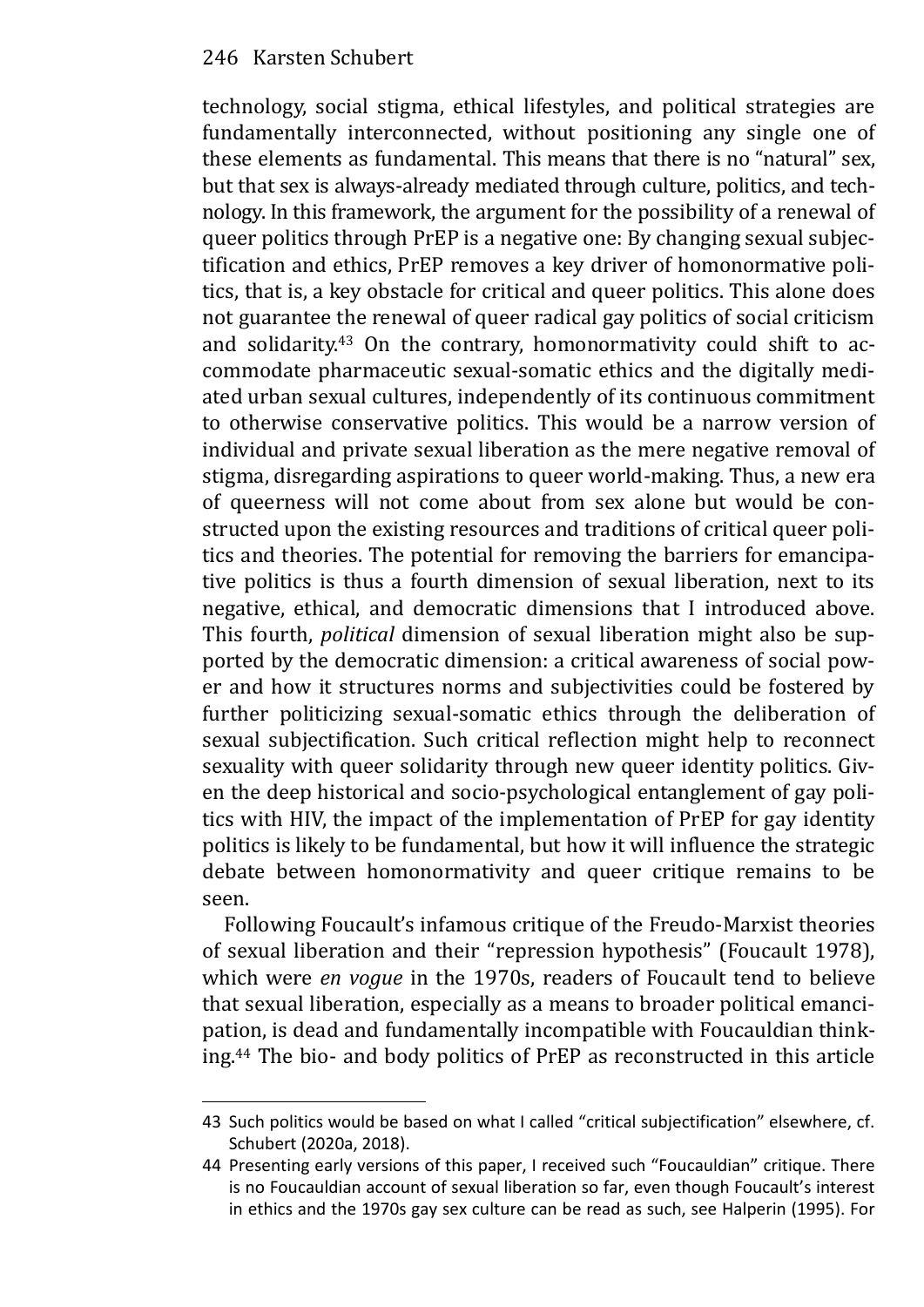technology, social stigma, ethical lifestyles, and political strategies are fundamentally interconnected, without positioning any single one of these elements as fundamental. This means that there is no "natural" sex, but that sex is always-already mediated through culture, politics, and technology. In this framework, the argument for the possibility of a renewal of queer politics through PrEP is a negative one: By changing sexual subjectification and ethics, PrEP removes a key driver of homonormative politics, that is, a key obstacle for critical and queer politics. This alone does not guarantee the renewal of queer radical gay politics of social criticism and solidarity.43 On the contrary, homonormativity could shift to accommodate pharmaceutic sexual-somatic ethics and the digitally mediated urban sexual cultures, independently of its continuous commitment to otherwise conservative politics. This would be a narrow version of individual and private sexual liberation as the mere negative removal of stigma, disregarding aspirations to queer world-making. Thus, a new era of queerness will not come about from sex alone but would be constructed upon the existing resources and traditions of critical queer politics and theories. The potential for removing the barriers for emancipative politics is thus a fourth dimension of sexual liberation, next to its negative, ethical, and democratic dimensions that I introduced above. This fourth, *political* dimension of sexual liberation might also be supported by the democratic dimension: a critical awareness of social power and how it structures norms and subjectivities could be fostered by further politicizing sexual-somatic ethics through the deliberation of sexual subjectification. Such critical reflection might help to reconnect sexuality with queer solidarity through new queer identity politics. Given the deep historical and socio-psychological entanglement of gay politics with HIV, the impact of the implementation of PrEP for gay identity politics is likely to be fundamental, but how it will influence the strategic debate between homonormativity and queer critique remains to be seen.

Following Foucault's infamous critique of the Freudo-Marxist theories of sexual liberation and their "repression hypothesis" (Foucault 1978), which were *en vogue* in the 1970s, readers of Foucault tend to believe that sexual liberation, especially as a means to broader political emancipation, is dead and fundamentally incompatible with Foucauldian thinking.44 The bio- and body politics of PrEP as reconstructed in this article

<sup>43</sup> Such politics would be based on what I called "critical subjectification" elsewhere, cf. Schubert (2020a, 2018).

<sup>44</sup> Presenting early versions of this paper, I received such "Foucauldian" critique. There is no Foucauldian account of sexual liberation so far, even though Foucault's interest in ethics and the 1970s gay sex culture can be read as such, see Halperin (1995). For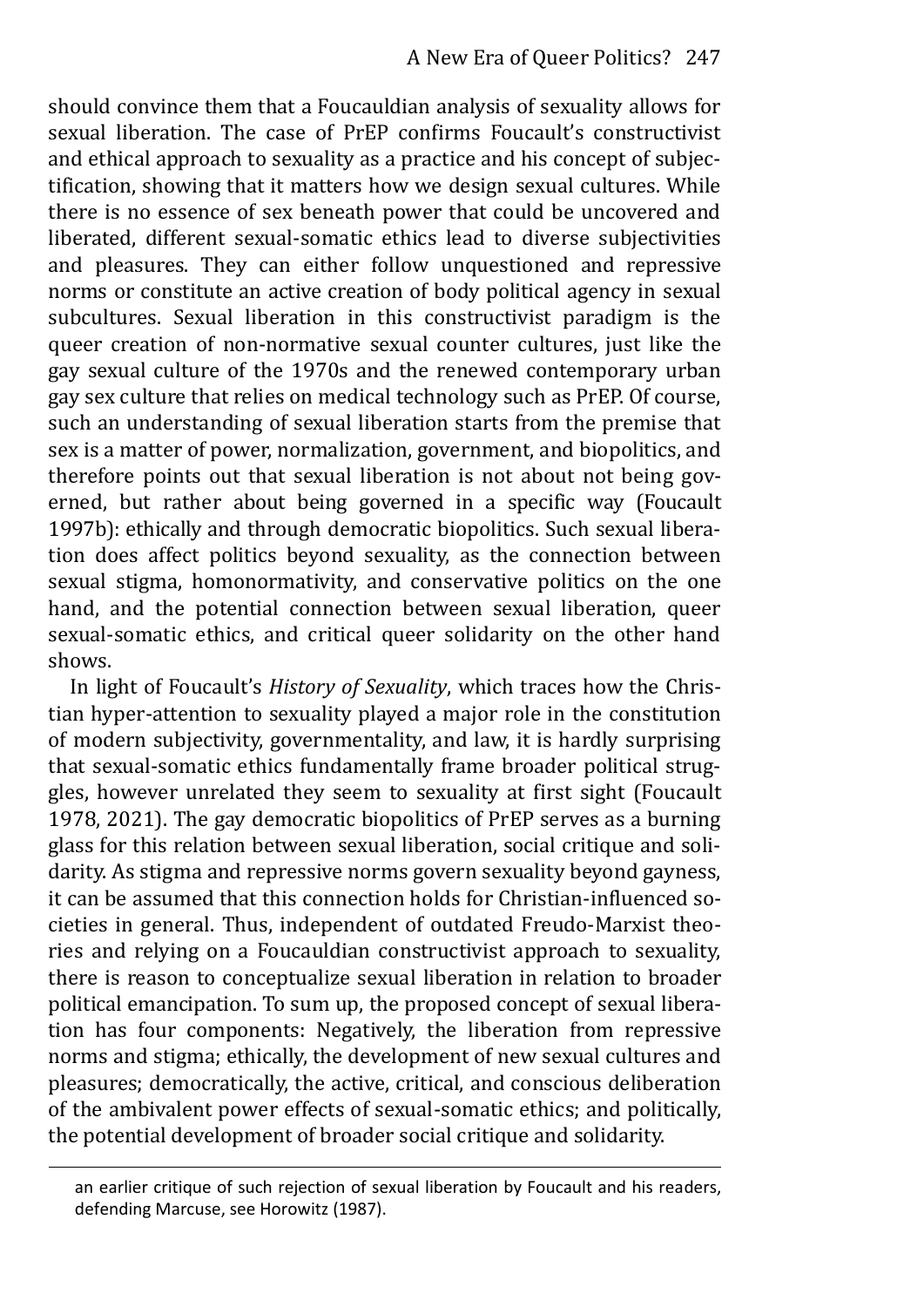should convince them that a Foucauldian analysis of sexuality allows for sexual liberation. The case of PrEP confirms Foucault's constructivist and ethical approach to sexuality as a practice and his concept of subjectification, showing that it matters how we design sexual cultures. While there is no essence of sex beneath power that could be uncovered and liberated, different sexual-somatic ethics lead to diverse subjectivities and pleasures. They can either follow unquestioned and repressive norms or constitute an active creation of body political agency in sexual subcultures. Sexual liberation in this constructivist paradigm is the queer creation of non-normative sexual counter cultures, just like the gay sexual culture of the 1970s and the renewed contemporary urban gay sex culture that relies on medical technology such as PrEP. Of course, such an understanding of sexual liberation starts from the premise that sex is a matter of power, normalization, government, and biopolitics, and therefore points out that sexual liberation is not about not being governed, but rather about being governed in a specific way (Foucault 1997b): ethically and through democratic biopolitics. Such sexual liberation does affect politics beyond sexuality, as the connection between sexual stigma, homonormativity, and conservative politics on the one hand, and the potential connection between sexual liberation, queer sexual-somatic ethics, and critical queer solidarity on the other hand shows.

In light of Foucault's *History of Sexuality*, which traces how the Christian hyper-attention to sexuality played a major role in the constitution of modern subjectivity, governmentality, and law, it is hardly surprising that sexual-somatic ethics fundamentally frame broader political struggles, however unrelated they seem to sexuality at first sight (Foucault 1978, 2021). The gay democratic biopolitics of PrEP serves as a burning glass for this relation between sexual liberation, social critique and solidarity. As stigma and repressive norms govern sexuality beyond gayness, it can be assumed that this connection holds for Christian-influenced societies in general. Thus, independent of outdated Freudo-Marxist theories and relying on a Foucauldian constructivist approach to sexuality, there is reason to conceptualize sexual liberation in relation to broader political emancipation. To sum up, the proposed concept of sexual liberation has four components: Negatively, the liberation from repressive norms and stigma; ethically, the development of new sexual cultures and pleasures; democratically, the active, critical, and conscious deliberation of the ambivalent power effects of sexual-somatic ethics; and politically, the potential development of broader social critique and solidarity.

an earlier critique of such rejection of sexual liberation by Foucault and his readers, defending Marcuse, see Horowitz (1987).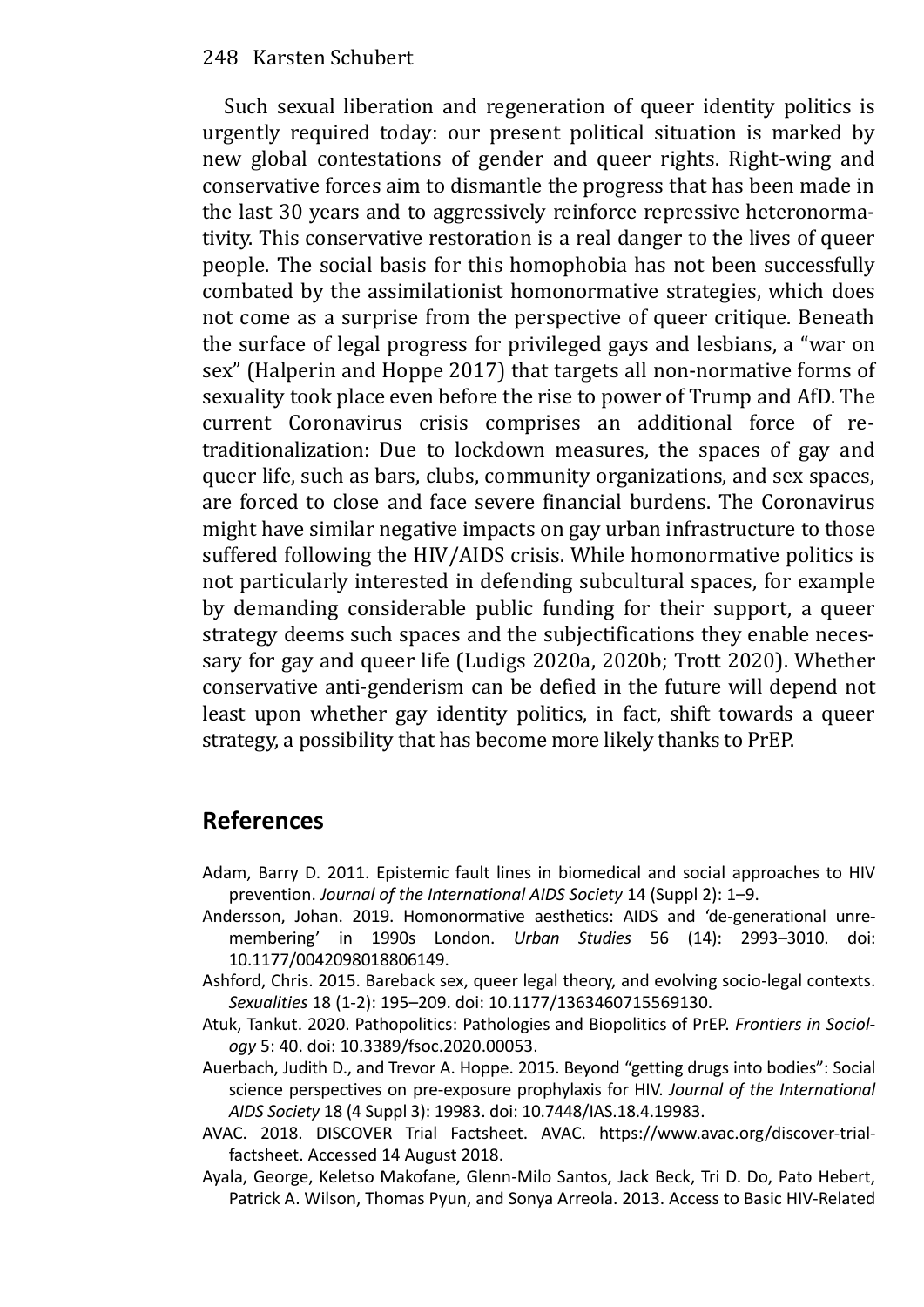Such sexual liberation and regeneration of queer identity politics is urgently required today: our present political situation is marked by new global contestations of gender and queer rights. Right-wing and conservative forces aim to dismantle the progress that has been made in the last 30 years and to aggressively reinforce repressive heteronormativity. This conservative restoration is a real danger to the lives of queer people. The social basis for this homophobia has not been successfully combated by the assimilationist homonormative strategies, which does not come as a surprise from the perspective of queer critique. Beneath the surface of legal progress for privileged gays and lesbians, a "war on sex" (Halperin and Hoppe 2017) that targets all non-normative forms of sexuality took place even before the rise to power of Trump and AfD. The current Coronavirus crisis comprises an additional force of retraditionalization: Due to lockdown measures, the spaces of gay and queer life, such as bars, clubs, community organizations, and sex spaces, are forced to close and face severe financial burdens. The Coronavirus might have similar negative impacts on gay urban infrastructure to those suffered following the HIV/AIDS crisis. While homonormative politics is not particularly interested in defending subcultural spaces, for example by demanding considerable public funding for their support, a queer strategy deems such spaces and the subjectifications they enable necessary for gay and queer life (Ludigs 2020a, 2020b; Trott 2020). Whether conservative anti-genderism can be defied in the future will depend not least upon whether gay identity politics, in fact, shift towards a queer strategy, a possibility that has become more likely thanks to PrEP.

# **References**

- Adam, Barry D. 2011. Epistemic fault lines in biomedical and social approaches to HIV prevention. *Journal of the International AIDS Society* 14 (Suppl 2): 1–9.
- Andersson, Johan. 2019. Homonormative aesthetics: AIDS and 'de-generational unremembering' in 1990s London. *Urban Studies* 56 (14): 2993–3010. doi: 10.1177/0042098018806149.
- Ashford, Chris. 2015. Bareback sex, queer legal theory, and evolving socio-legal contexts. *Sexualities* 18 (1-2): 195–209. doi: 10.1177/1363460715569130.
- Atuk, Tankut. 2020. Pathopolitics: Pathologies and Biopolitics of PrEP. *Frontiers in Sociology* 5: 40. doi: 10.3389/fsoc.2020.00053.
- Auerbach, Judith D., and Trevor A. Hoppe. 2015. Beyond "getting drugs into bodies": Social science perspectives on pre-exposure prophylaxis for HIV. *Journal of the International AIDS Society* 18 (4 Suppl 3): 19983. doi: 10.7448/IAS.18.4.19983.
- AVAC. 2018. DISCOVER Trial Factsheet. AVAC. https://www.avac.org/discover-trialfactsheet. Accessed 14 August 2018.
- Ayala, George, Keletso Makofane, Glenn-Milo Santos, Jack Beck, Tri D. Do, Pato Hebert, Patrick A. Wilson, Thomas Pyun, and Sonya Arreola. 2013. Access to Basic HIV-Related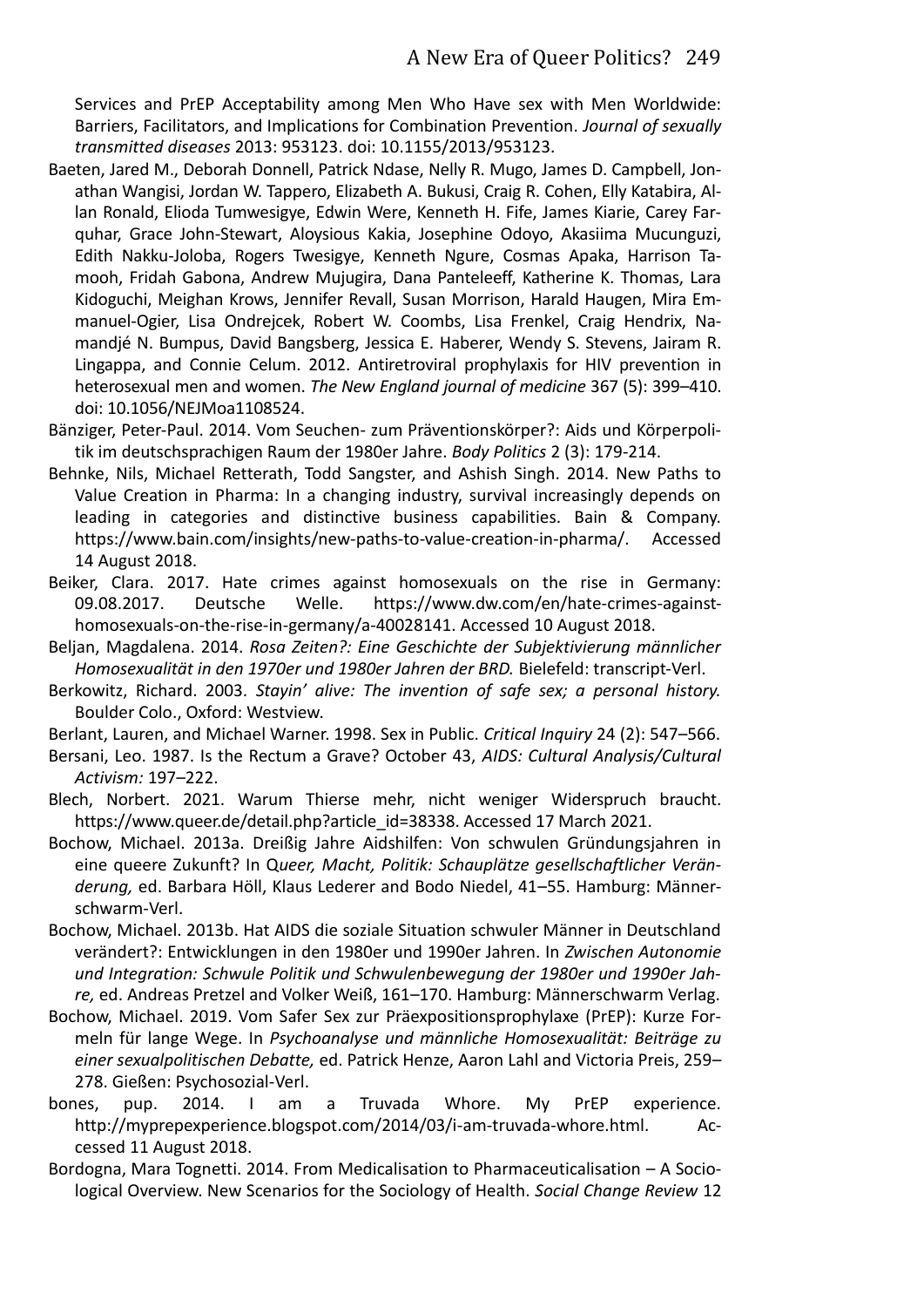Services and PrEP Acceptability among Men Who Have sex with Men Worldwide: Barriers, Facilitators, and Implications for Combination Prevention. *Journal of sexually transmitted diseases* 2013: 953123. doi: 10.1155/2013/953123.

- Baeten, Jared M., Deborah Donnell, Patrick Ndase, Nelly R. Mugo, James D. Campbell, Jonathan Wangisi, Jordan W. Tappero, Elizabeth A. Bukusi, Craig R. Cohen, Elly Katabira, Allan Ronald, Elioda Tumwesigye, Edwin Were, Kenneth H. Fife, James Kiarie, Carey Farquhar, Grace John-Stewart, Aloysious Kakia, Josephine Odoyo, Akasiima Mucunguzi, Edith Nakku-Joloba, Rogers Twesigye, Kenneth Ngure, Cosmas Apaka, Harrison Tamooh, Fridah Gabona, Andrew Mujugira, Dana Panteleeff, Katherine K. Thomas, Lara Kidoguchi, Meighan Krows, Jennifer Revall, Susan Morrison, Harald Haugen, Mira Emmanuel-Ogier, Lisa Ondrejcek, Robert W. Coombs, Lisa Frenkel, Craig Hendrix, Namandjé N. Bumpus, David Bangsberg, Jessica E. Haberer, Wendy S. Stevens, Jairam R. Lingappa, and Connie Celum. 2012. Antiretroviral prophylaxis for HIV prevention in heterosexual men and women. *The New England journal of medicine* 367 (5): 399–410. doi: 10.1056/NEJMoa1108524.
- Bänziger, Peter-Paul. 2014. Vom Seuchen- zum Präventionskörper?: Aids und Körperpolitik im deutschsprachigen Raum der 1980er Jahre. *Body Politics* 2 (3): 179-214.
- Behnke, Nils, Michael Retterath, Todd Sangster, and Ashish Singh. 2014. New Paths to Value Creation in Pharma: In a changing industry, survival increasingly depends on leading in categories and distinctive business capabilities. Bain & Company. https://www.bain.com/insights/new-paths-to-value-creation-in-pharma/. Accessed 14 August 2018.
- Beiker, Clara. 2017. Hate crimes against homosexuals on the rise in Germany: 09.08.2017. Deutsche Welle. https://www.dw.com/en/hate-crimes-againsthomosexuals-on-the-rise-in-germany/a-40028141. Accessed 10 August 2018.
- Beljan, Magdalena. 2014. *Rosa Zeiten?: Eine Geschichte der Subjektivierung männlicher Homosexualität in den 1970er und 1980er Jahren der BRD.* Bielefeld: transcript-Verl.
- Berkowitz, Richard. 2003. *Stayin' alive: The invention of safe sex; a personal history.* Boulder Colo., Oxford: Westview.
- Berlant, Lauren, and Michael Warner. 1998. Sex in Public. *Critical Inquiry* 24 (2): 547–566.
- Bersani, Leo. 1987. Is the Rectum a Grave? October 43, *AIDS: Cultural Analysis/Cultural Activism:* 197–222.
- Blech, Norbert. 2021. Warum Thierse mehr, nicht weniger Widerspruch braucht. https://www.queer.de/detail.php?article\_id=38338. Accessed 17 March 2021.
- Bochow, Michael. 2013a. Dreißig Jahre Aidshilfen: Von schwulen Gründungsjahren in eine queere Zukunft? In Q*ueer, Macht, Politik: Schauplätze gesellschaftlicher Veränderung,* ed. Barbara Höll, Klaus Lederer and Bodo Niedel, 41–55. Hamburg: Männerschwarm-Verl.
- Bochow, Michael. 2013b. Hat AIDS die soziale Situation schwuler Männer in Deutschland verändert?: Entwicklungen in den 1980er und 1990er Jahren. In *Zwischen Autonomie und Integration: Schwule Politik und Schwulenbewegung der 1980er und 1990er Jahre,* ed. Andreas Pretzel and Volker Weiß, 161–170. Hamburg: Männerschwarm Verlag.
- Bochow, Michael. 2019. Vom Safer Sex zur Präexpositionsprophylaxe (PrEP): Kurze Formeln für lange Wege. In *Psychoanalyse und männliche Homosexualität: Beiträge zu einer sexualpolitischen Debatte,* ed. Patrick Henze, Aaron Lahl and Victoria Preis, 259– 278. Gießen: Psychosozial-Verl.
- bones, pup. 2014. I am a Truvada Whore. My PrEP experience. http://myprepexperience.blogspot.com/2014/03/i-am-truvada-whore.html. Accessed 11 August 2018.
- Bordogna, Mara Tognetti. 2014. From Medicalisation to Pharmaceuticalisation A Sociological Overview. New Scenarios for the Sociology of Health. *Social Change Review* 12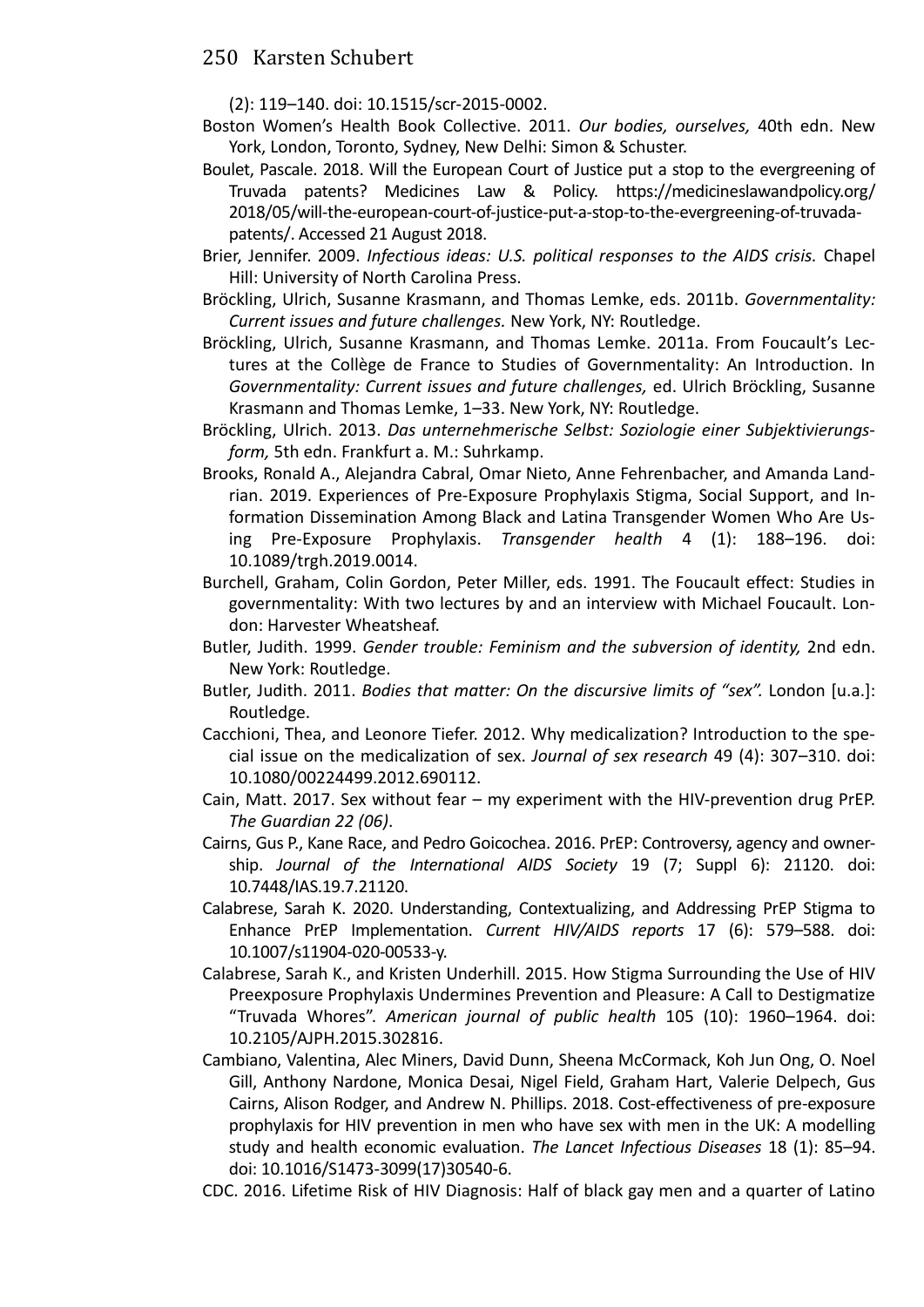(2): 119–140. doi: 10.1515/scr-2015-0002.

- Boston Women's Health Book Collective. 2011. *Our bodies, ourselves,* 40th edn. New York, London, Toronto, Sydney, New Delhi: Simon & Schuster.
- Boulet, Pascale. 2018. Will the European Court of Justice put a stop to the evergreening of Truvada patents? Medicines Law & Policy. https://medicineslawandpolicy.org/ 2018/05/will-the-european-court-of-justice-put-a-stop-to-the-evergreening-of-truvadapatents/. Accessed 21 August 2018.
- Brier, Jennifer. 2009. *Infectious ideas: U.S. political responses to the AIDS crisis.* Chapel Hill: University of North Carolina Press.
- Bröckling, Ulrich, Susanne Krasmann, and Thomas Lemke, eds. 2011b. *Governmentality: Current issues and future challenges.* New York, NY: Routledge.
- Bröckling, Ulrich, Susanne Krasmann, and Thomas Lemke. 2011a. From Foucault's Lec‐ tures at the Collège de France to Studies of Governmentality: An Introduction. In *Governmentality: Current issues and future challenges,* ed. Ulrich Bröckling, Susanne Krasmann and Thomas Lemke, 1–33. New York, NY: Routledge.
- Bröckling, Ulrich. 2013. *Das unternehmerische Selbst: Soziologie einer Subjektivierungsform,* 5th edn. Frankfurt a. M.: Suhrkamp.
- Brooks, Ronald A., Alejandra Cabral, Omar Nieto, Anne Fehrenbacher, and Amanda Landrian. 2019. Experiences of Pre-Exposure Prophylaxis Stigma, Social Support, and Information Dissemination Among Black and Latina Transgender Women Who Are Using Pre-Exposure Prophylaxis. *Transgender health* 4 (1): 188–196. doi: 10.1089/trgh.2019.0014.
- Burchell, Graham, Colin Gordon, Peter Miller, eds. 1991. The Foucault effect: Studies in governmentality: With two lectures by and an interview with Michael Foucault. London: Harvester Wheatsheaf.
- Butler, Judith. 1999. *Gender trouble: Feminism and the subversion of identity,* 2nd edn. New York: Routledge.
- Butler, Judith. 2011. *Bodies that matter: On the discursive limits of "sex".* London [u.a.]: Routledge.
- Cacchioni, Thea, and Leonore Tiefer. 2012. Why medicalization? Introduction to the special issue on the medicalization of sex. *Journal of sex research* 49 (4): 307–310. doi: 10.1080/00224499.2012.690112.
- Cain, Matt. 2017. Sex without fear my experiment with the HIV-prevention drug PrEP. *The Guardian 22 (06)*.
- Cairns, Gus P., Kane Race, and Pedro Goicochea. 2016. PrEP: Controversy, agency and ownership. *Journal of the International AIDS Society* 19 (7; Suppl 6): 21120. doi: 10.7448/IAS.19.7.21120.
- Calabrese, Sarah K. 2020. Understanding, Contextualizing, and Addressing PrEP Stigma to Enhance PrEP Implementation. *Current HIV/AIDS reports* 17 (6): 579–588. doi: 10.1007/s11904-020-00533-y.
- Calabrese, Sarah K., and Kristen Underhill. 2015. How Stigma Surrounding the Use of HIV Preexposure Prophylaxis Undermines Prevention and Pleasure: A Call to Destigmatize "Truvada Whores". *American journal of public health* 105 (10): 1960–1964. doi: 10.2105/AJPH.2015.302816.
- Cambiano, Valentina, Alec Miners, David Dunn, Sheena McCormack, Koh Jun Ong, O. Noel Gill, Anthony Nardone, Monica Desai, Nigel Field, Graham Hart, Valerie Delpech, Gus Cairns, Alison Rodger, and Andrew N. Phillips. 2018. Cost-effectiveness of pre-exposure prophylaxis for HIV prevention in men who have sex with men in the UK: A modelling study and health economic evaluation. *The Lancet Infectious Diseases* 18 (1): 85–94. doi: 10.1016/S1473-3099(17)30540-6.
- CDC. 2016. Lifetime Risk of HIV Diagnosis: Half of black gay men and a quarter of Latino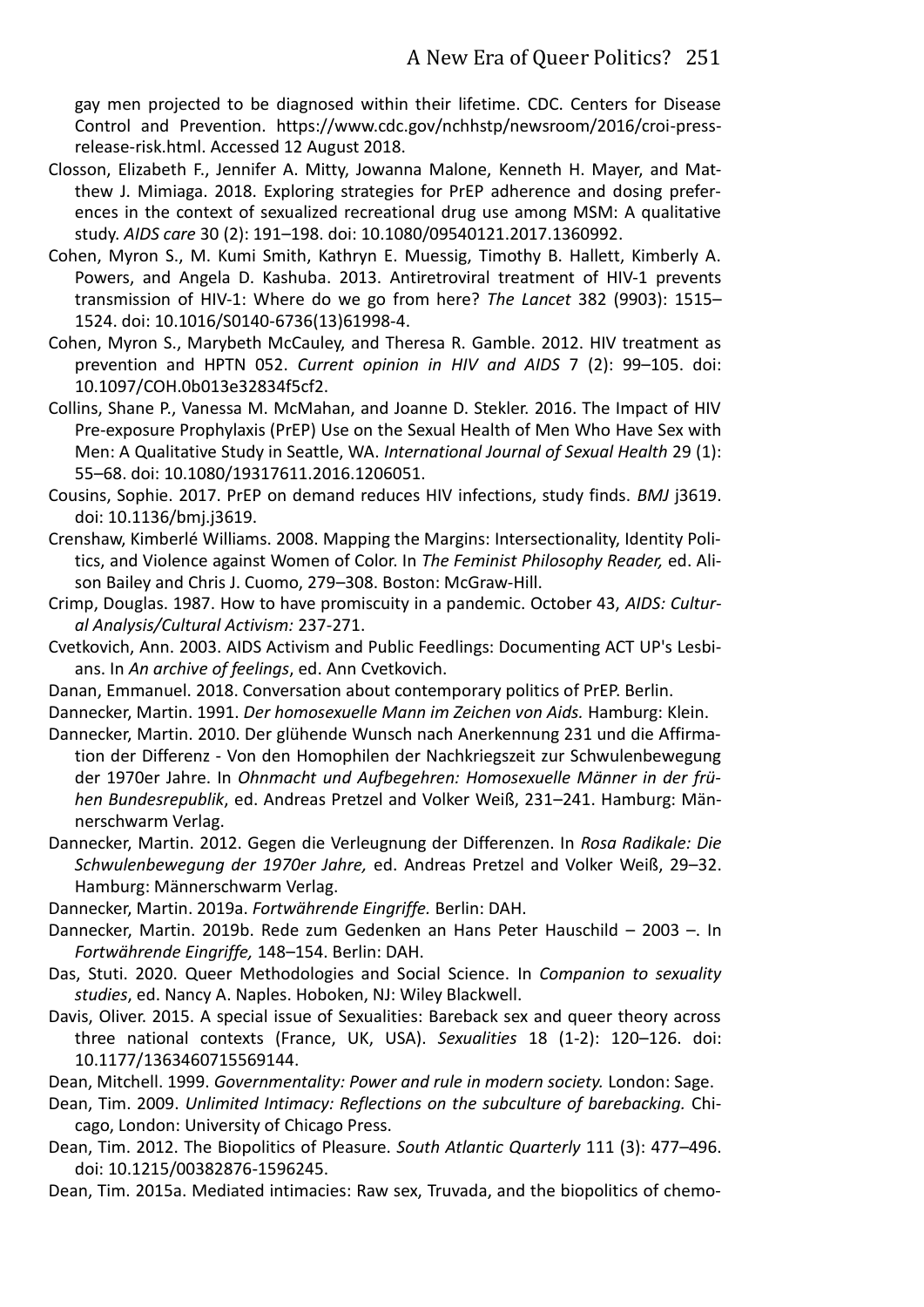gay men projected to be diagnosed within their lifetime. CDC. Centers for Disease Control and Prevention. https://www.cdc.gov/nchhstp/newsroom/2016/croi-pressrelease-risk.html. Accessed 12 August 2018.

- Closson, Elizabeth F., Jennifer A. Mitty, Jowanna Malone, Kenneth H. Mayer, and Matthew J. Mimiaga. 2018. Exploring strategies for PrEP adherence and dosing preferences in the context of sexualized recreational drug use among MSM: A qualitative study. *AIDS care* 30 (2): 191–198. doi: 10.1080/09540121.2017.1360992.
- Cohen, Myron S., M. Kumi Smith, Kathryn E. Muessig, Timothy B. Hallett, Kimberly A. Powers, and Angela D. Kashuba. 2013. Antiretroviral treatment of HIV-1 prevents transmission of HIV-1: Where do we go from here? *The Lancet* 382 (9903): 1515– 1524. doi: 10.1016/S0140-6736(13)61998-4.
- Cohen, Myron S., Marybeth McCauley, and Theresa R. Gamble. 2012. HIV treatment as prevention and HPTN 052. *Current opinion in HIV and AIDS* 7 (2): 99–105. doi: 10.1097/COH.0b013e32834f5cf2.
- Collins, Shane P., Vanessa M. McMahan, and Joanne D. Stekler. 2016. The Impact of HIV Pre-exposure Prophylaxis (PrEP) Use on the Sexual Health of Men Who Have Sex with Men: A Qualitative Study in Seattle, WA. *International Journal of Sexual Health* 29 (1): 55–68. doi: 10.1080/19317611.2016.1206051.
- Cousins, Sophie. 2017. PrEP on demand reduces HIV infections, study finds. *BMJ* j3619. doi: 10.1136/bmj.j3619.
- Crenshaw, Kimberlé Williams. 2008. Mapping the Margins: Intersectionality, Identity Politics, and Violence against Women of Color. In *The Feminist Philosophy Reader,* ed. Alison Bailey and Chris J. Cuomo, 279–308. Boston: McGraw-Hill.
- Crimp, Douglas. 1987. How to have promiscuity in a pandemic. October 43, *AIDS: Cultural Analysis/Cultural Activism:* 237-271.
- Cvetkovich, Ann. 2003. AIDS Activism and Public Feedlings: Documenting ACT UP's Lesbians. In *An archive of feelings*, ed. Ann Cvetkovich.
- Danan, Emmanuel. 2018. Conversation about contemporary politics of PrEP. Berlin.
- Dannecker, Martin. 1991. *Der homosexuelle Mann im Zeichen von Aids.* Hamburg: Klein.
- Dannecker, Martin. 2010. Der glühende Wunsch nach Anerkennung 231 und die Affirmation der Differenz - Von den Homophilen der Nachkriegszeit zur Schwulenbewegung der 1970er Jahre. In *Ohnmacht und Aufbegehren: Homosexuelle Männer in der frühen Bundesrepublik*, ed. Andreas Pretzel and Volker Weiß, 231–241. Hamburg: Männerschwarm Verlag.
- Dannecker, Martin. 2012. Gegen die Verleugnung der Differenzen. In *Rosa Radikale: Die Schwulenbewegung der 1970er Jahre,* ed. Andreas Pretzel and Volker Weiß, 29–32. Hamburg: Männerschwarm Verlag.
- Dannecker, Martin. 2019a. *Fortwährende Eingriffe.* Berlin: DAH.
- Dannecker, Martin. 2019b. Rede zum Gedenken an Hans Peter Hauschild 2003 –. In *Fortwährende Eingriffe,* 148–154. Berlin: DAH.
- Das, Stuti. 2020. Queer Methodologies and Social Science. In *Companion to sexuality studies*, ed. Nancy A. Naples. Hoboken, NJ: Wiley Blackwell.
- Davis, Oliver. 2015. A special issue of Sexualities: Bareback sex and queer theory across three national contexts (France, UK, USA). *Sexualities* 18 (1-2): 120–126. doi: 10.1177/1363460715569144.
- Dean, Mitchell. 1999. *Governmentality: Power and rule in modern society.* London: Sage.
- Dean, Tim. 2009. *Unlimited Intimacy: Reflections on the subculture of barebacking.* Chicago, London: University of Chicago Press.
- Dean, Tim. 2012. The Biopolitics of Pleasure. *South Atlantic Quarterly* 111 (3): 477–496. doi: 10.1215/00382876-1596245.
- Dean, Tim. 2015a. Mediated intimacies: Raw sex, Truvada, and the biopolitics of chemo-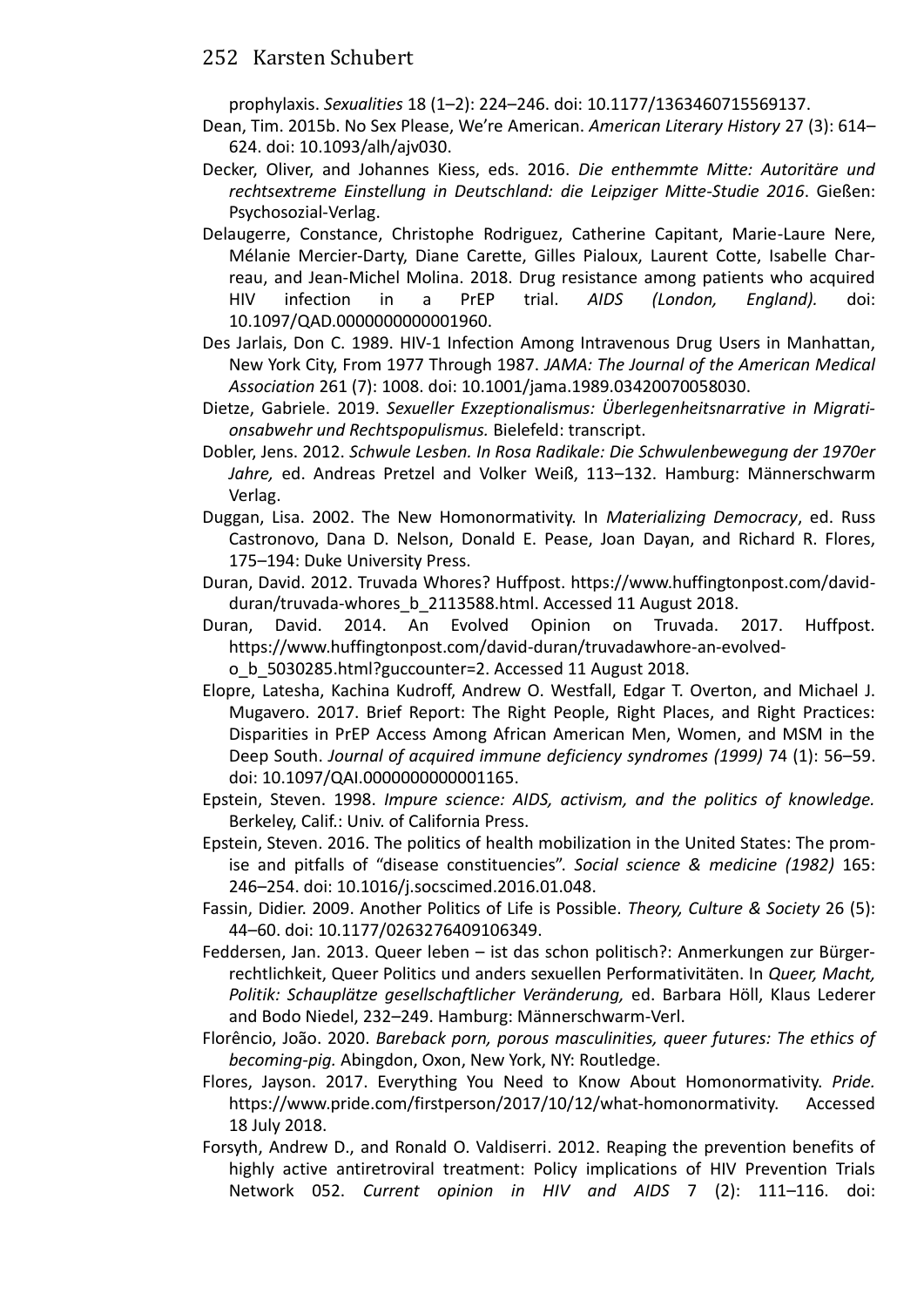prophylaxis. *Sexualities* 18 (1–2): 224–246. doi: 10.1177/1363460715569137.

- Dean, Tim. 2015b. No Sex Please, We're American. *American Literary History* 27 (3): 614– 624. doi: 10.1093/alh/ajv030.
- Decker, Oliver, and Johannes Kiess, eds. 2016. *Die enthemmte Mitte: Autoritäre und rechtsextreme Einstellung in Deutschland: die Leipziger Mitte-Studie 2016*. Gießen: Psychosozial-Verlag.
- Delaugerre, Constance, Christophe Rodriguez, Catherine Capitant, Marie-Laure Nere, Mélanie Mercier-Darty, Diane Carette, Gilles Pialoux, Laurent Cotte, Isabelle Charreau, and Jean-Michel Molina. 2018. Drug resistance among patients who acquired HIV infection in a PrEP trial. *AIDS (London, England).* doi: 10.1097/QAD.0000000000001960.
- Des Jarlais, Don C. 1989. HIV-1 Infection Among Intravenous Drug Users in Manhattan, New York City, From 1977 Through 1987. *JAMA: The Journal of the American Medical Association* 261 (7): 1008. doi: 10.1001/jama.1989.03420070058030.
- Dietze, Gabriele. 2019. *Sexueller Exzeptionalismus: Überlegenheitsnarrative in Migrationsabwehr und Rechtspopulismus.* Bielefeld: transcript.
- Dobler, Jens. 2012. *Schwule Lesben. In Rosa Radikale: Die Schwulenbewegung der 1970er Jahre,* ed. Andreas Pretzel and Volker Weiß, 113–132. Hamburg: Männerschwarm Verlag.
- Duggan, Lisa. 2002. The New Homonormativity. In *Materializing Democracy*, ed. Russ Castronovo, Dana D. Nelson, Donald E. Pease, Joan Dayan, and Richard R. Flores, 175–194: Duke University Press.
- Duran, David. 2012. Truvada Whores? Huffpost. https://www.huffingtonpost.com/davidduran/truvada-whores\_b\_2113588.html. Accessed 11 August 2018.
- Duran, David. 2014. An Evolved Opinion on Truvada. 2017. Huffpost. https://www.huffingtonpost.com/david-duran/truvadawhore-an-evolvedo\_b\_5030285.html?guccounter=2. Accessed 11 August 2018.
- Elopre, Latesha, Kachina Kudroff, Andrew O. Westfall, Edgar T. Overton, and Michael J. Mugavero. 2017. Brief Report: The Right People, Right Places, and Right Practices: Disparities in PrEP Access Among African American Men, Women, and MSM in the Deep South. *Journal of acquired immune deficiency syndromes (1999)* 74 (1): 56–59. doi: 10.1097/QAI.0000000000001165.
- Epstein, Steven. 1998. *Impure science: AIDS, activism, and the politics of knowledge.*  Berkeley, Calif.: Univ. of California Press.
- Epstein, Steven. 2016. The politics of health mobilization in the United States: The promise and pitfalls of "disease constituencies". *Social science & medicine (1982)* 165: 246–254. doi: 10.1016/j.socscimed.2016.01.048.
- Fassin, Didier. 2009. Another Politics of Life is Possible. *Theory, Culture & Society* 26 (5): 44–60. doi: 10.1177/0263276409106349.
- Feddersen, Jan. 2013. Queer leben ist das schon politisch?: Anmerkungen zur Bürgerrechtlichkeit, Queer Politics und anders sexuellen Performativitäten. In *Queer, Macht, Politik: Schauplätze gesellschaftlicher Veränderung,* ed. Barbara Höll, Klaus Lederer and Bodo Niedel, 232–249. Hamburg: Männerschwarm-Verl.
- Florêncio, João. 2020. *Bareback porn, porous masculinities, queer futures: The ethics of becoming-pig.* Abingdon, Oxon, New York, NY: Routledge.
- Flores, Jayson. 2017. Everything You Need to Know About Homonormativity. *Pride.* https://www.pride.com/firstperson/2017/10/12/what-homonormativity. Accessed 18 July 2018.
- Forsyth, Andrew D., and Ronald O. Valdiserri. 2012. Reaping the prevention benefits of highly active antiretroviral treatment: Policy implications of HIV Prevention Trials Network 052. *Current opinion in HIV and AIDS* 7 (2): 111–116. doi: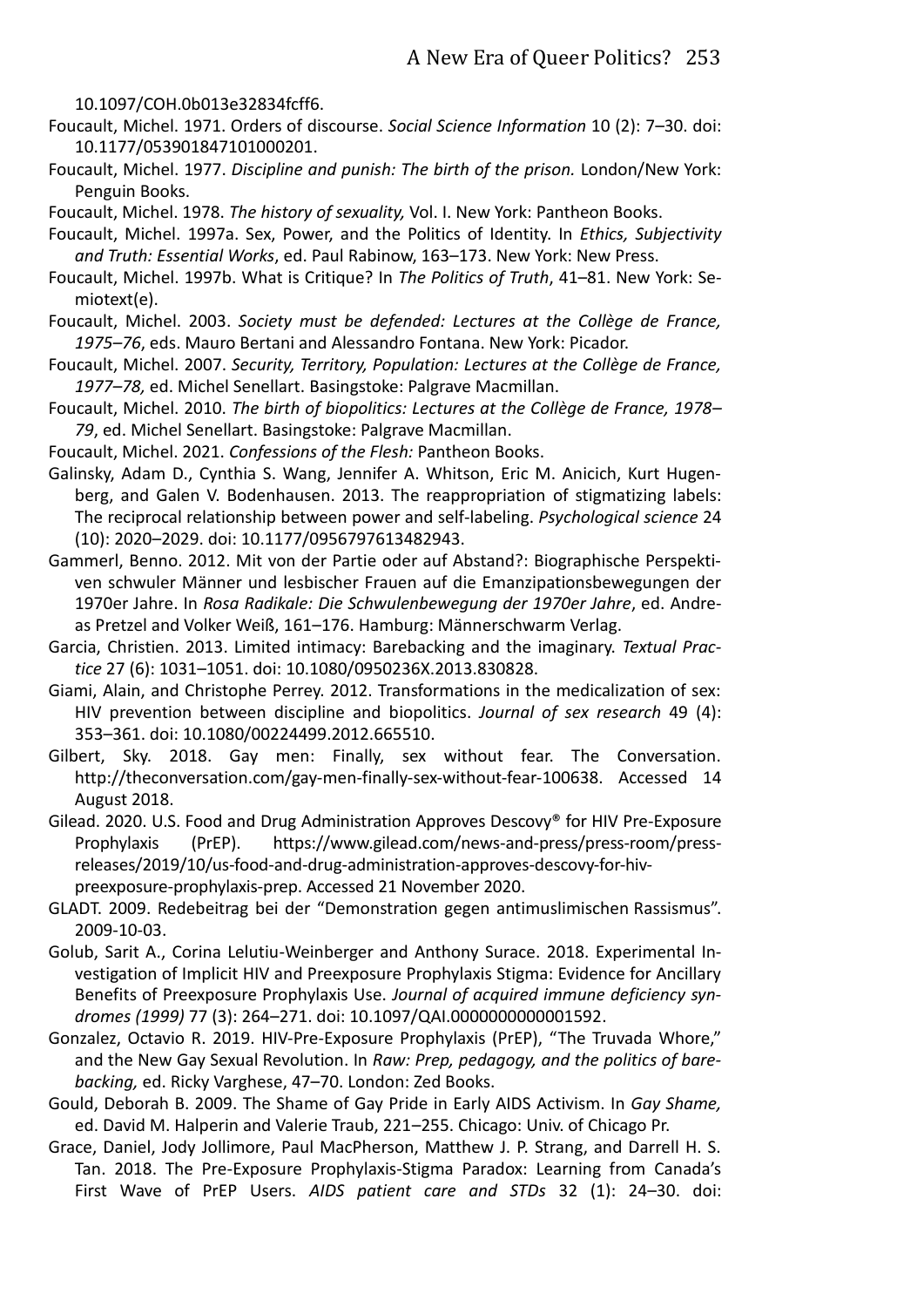10.1097/COH.0b013e32834fcff6.

- Foucault, Michel. 1971. Orders of discourse. *Social Science Information* 10 (2): 7–30. doi: 10.1177/053901847101000201.
- Foucault, Michel. 1977. *Discipline and punish: The birth of the prison.* London/New York: Penguin Books.
- Foucault, Michel. 1978. *The history of sexuality,* Vol. I. New York: Pantheon Books.
- Foucault, Michel. 1997a. Sex, Power, and the Politics of Identity. In *Ethics, Subjectivity and Truth: Essential Works*, ed. Paul Rabinow, 163–173. New York: New Press.
- Foucault, Michel. 1997b. What is Critique? In *The Politics of Truth*, 41–81. New York: Semiotext(e).
- Foucault, Michel. 2003. *Society must be defended: Lectures at the Collège de France, 1975–76*, eds. Mauro Bertani and Alessandro Fontana. New York: Picador.
- Foucault, Michel. 2007. *Security, Territory, Population: Lectures at the Collège de France, 1977–78,* ed. Michel Senellart. Basingstoke: Palgrave Macmillan.
- Foucault, Michel. 2010. *The birth of biopolitics: Lectures at the Collège de France, 1978– 79*, ed. Michel Senellart. Basingstoke: Palgrave Macmillan.
- Foucault, Michel. 2021. *Confessions of the Flesh:* Pantheon Books.
- Galinsky, Adam D., Cynthia S. Wang, Jennifer A. Whitson, Eric M. Anicich, Kurt Hugenberg, and Galen V. Bodenhausen. 2013. The reappropriation of stigmatizing labels: The reciprocal relationship between power and self-labeling. *Psychological science* 24 (10): 2020–2029. doi: 10.1177/0956797613482943.
- Gammerl, Benno. 2012. Mit von der Partie oder auf Abstand?: Biographische Perspektiven schwuler Männer und lesbischer Frauen auf die Emanzipationsbewegungen der 1970er Jahre. In *Rosa Radikale: Die Schwulenbewegung der 1970er Jahre*, ed. Andreas Pretzel and Volker Weiß, 161–176. Hamburg: Männerschwarm Verlag.
- Garcia, Christien. 2013. Limited intimacy: Barebacking and the imaginary. *Textual Practice* 27 (6): 1031–1051. doi: 10.1080/0950236X.2013.830828.
- Giami, Alain, and Christophe Perrey. 2012. Transformations in the medicalization of sex: HIV prevention between discipline and biopolitics. *Journal of sex research* 49 (4): 353–361. doi: 10.1080/00224499.2012.665510.
- Gilbert, Sky. 2018. Gay men: Finally, sex without fear. The Conversation. http://theconversation.com/gay-men-finally-sex-without-fear-100638. Accessed 14 August 2018.
- Gilead. 2020. U.S. Food and Drug Administration Approves Descovy® for HIV Pre-Exposure Prophylaxis (PrEP). https://www.gilead.com/news-and-press/press-room/pressreleases/2019/10/us-food-and-drug-administration-approves-descovy-for-hivpreexposure-prophylaxis-prep. Accessed 21 November 2020.
- GLADT. 2009. Redebeitrag bei der "Demonstration gegen antimuslimischen Rassismus". 2009-10-03.
- Golub, Sarit A., Corina Lelutiu-Weinberger and Anthony Surace. 2018. Experimental Investigation of Implicit HIV and Preexposure Prophylaxis Stigma: Evidence for Ancillary Benefits of Preexposure Prophylaxis Use. *Journal of acquired immune deficiency syndromes (1999)* 77 (3): 264–271. doi: 10.1097/QAI.0000000000001592.
- Gonzalez, Octavio R. 2019. HIV-Pre-Exposure Prophylaxis (PrEP), "The Truvada Whore," and the New Gay Sexual Revolution. In *Raw: Prep, pedagogy, and the politics of barebacking,* ed. Ricky Varghese, 47–70. London: Zed Books.
- Gould, Deborah B. 2009. The Shame of Gay Pride in Early AIDS Activism. In *Gay Shame,* ed. David M. Halperin and Valerie Traub, 221–255. Chicago: Univ. of Chicago Pr.
- Grace, Daniel, Jody Jollimore, Paul MacPherson, Matthew J. P. Strang, and Darrell H. S. Tan. 2018. The Pre-Exposure Prophylaxis-Stigma Paradox: Learning from Canada's First Wave of PrEP Users. *AIDS patient care and STDs* 32 (1): 24–30. doi: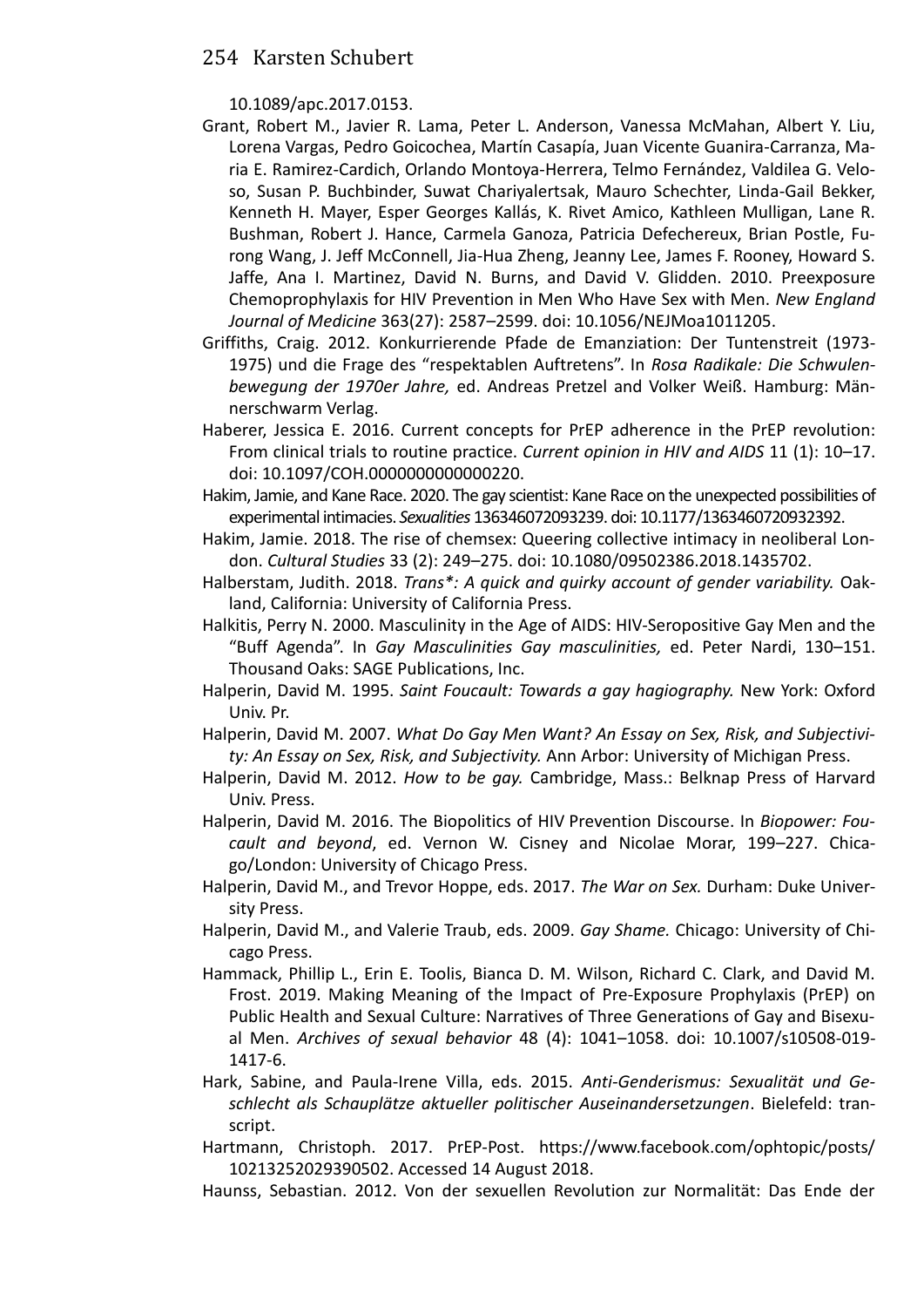10.1089/apc.2017.0153.

- Grant, Robert M., Javier R. Lama, Peter L. Anderson, Vanessa McMahan, Albert Y. Liu, Lorena Vargas, Pedro Goicochea, Martín Casapía, Juan Vicente Guanira-Carranza, Maria E. Ramirez-Cardich, Orlando Montoya-Herrera, Telmo Fernández, Valdilea G. Veloso, Susan P. Buchbinder, Suwat Chariyalertsak, Mauro Schechter, Linda-Gail Bekker, Kenneth H. Mayer, Esper Georges Kallás, K. Rivet Amico, Kathleen Mulligan, Lane R. Bushman, Robert J. Hance, Carmela Ganoza, Patricia Defechereux, Brian Postle, Furong Wang, J. Jeff McConnell, Jia-Hua Zheng, Jeanny Lee, James F. Rooney, Howard S. Jaffe, Ana I. Martinez, David N. Burns, and David V. Glidden. 2010. Preexposure Chemoprophylaxis for HIV Prevention in Men Who Have Sex with Men. *New England Journal of Medicine* 363(27): 2587–2599. doi: 10.1056/NEJMoa1011205.
- Griffiths, Craig. 2012. Konkurrierende Pfade de Emanziation: Der Tuntenstreit (1973- 1975) und die Frage des "respektablen Auftretens". In *Rosa Radikale: Die Schwulenbewegung der 1970er Jahre,* ed. Andreas Pretzel and Volker Weiß. Hamburg: Männerschwarm Verlag.
- Haberer, Jessica E. 2016. Current concepts for PrEP adherence in the PrEP revolution: From clinical trials to routine practice. *Current opinion in HIV and AIDS* 11 (1): 10–17. doi: 10.1097/COH.0000000000000220.
- Hakim, Jamie, and Kane Race. 2020. The gay scientist: Kane Race on the unexpected possibilities of experimental intimacies. *Sexualities* 136346072093239. doi: 10.1177/1363460720932392.
- Hakim, Jamie. 2018. The rise of chemsex: Queering collective intimacy in neoliberal London. *Cultural Studies* 33 (2): 249–275. doi: 10.1080/09502386.2018.1435702.
- Halberstam, Judith. 2018. *Trans\*: A quick and quirky account of gender variability.* Oakland, California: University of California Press.
- Halkitis, Perry N. 2000. Masculinity in the Age of AIDS: HIV-Seropositive Gay Men and the "Buff Agenda". In *Gay Masculinities Gay masculinities,* ed. Peter Nardi, 130–151. Thousand Oaks: SAGE Publications, Inc.
- Halperin, David M. 1995. *Saint Foucault: Towards a gay hagiography.* New York: Oxford Univ. Pr.
- Halperin, David M. 2007. *What Do Gay Men Want? An Essay on Sex, Risk, and Subjectivity: An Essay on Sex, Risk, and Subjectivity.* Ann Arbor: University of Michigan Press.
- Halperin, David M. 2012. *How to be gay.* Cambridge, Mass.: Belknap Press of Harvard Univ. Press.
- Halperin, David M. 2016. The Biopolitics of HIV Prevention Discourse. In *Biopower: Foucault and beyond*, ed. Vernon W. Cisney and Nicolae Morar, 199–227. Chicago/London: University of Chicago Press.
- Halperin, David M., and Trevor Hoppe, eds. 2017. *The War on Sex.* Durham: Duke University Press.
- Halperin, David M., and Valerie Traub, eds. 2009. *Gay Shame.* Chicago: University of Chicago Press.
- Hammack, Phillip L., Erin E. Toolis, Bianca D. M. Wilson, Richard C. Clark, and David M. Frost. 2019. Making Meaning of the Impact of Pre-Exposure Prophylaxis (PrEP) on Public Health and Sexual Culture: Narratives of Three Generations of Gay and Bisexual Men. *Archives of sexual behavior* 48 (4): 1041–1058. doi: 10.1007/s10508-019- 1417-6.
- Hark, Sabine, and Paula-Irene Villa, eds. 2015. *Anti-Genderismus: Sexualität und Geschlecht als Schauplätze aktueller politischer Auseinandersetzungen*. Bielefeld: transcript.
- Hartmann, Christoph. 2017. PrEP-Post. https://www.facebook.com/ophtopic/posts/ 10213252029390502. Accessed 14 August 2018.
- Haunss, Sebastian. 2012. Von der sexuellen Revolution zur Normalität: Das Ende der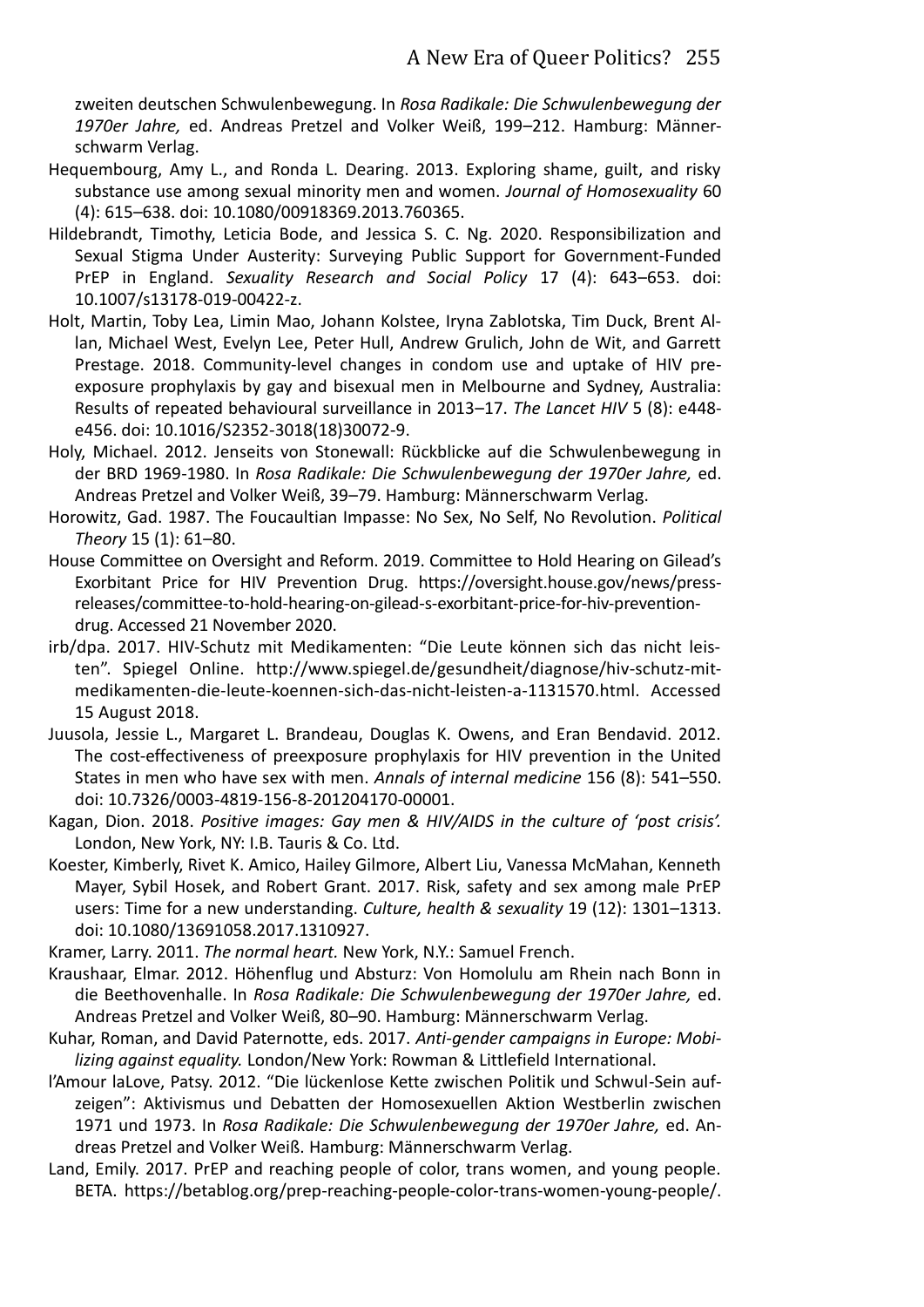zweiten deutschen Schwulenbewegung. In *Rosa Radikale: Die Schwulenbewegung der 1970er Jahre,* ed. Andreas Pretzel and Volker Weiß, 199–212. Hamburg: Männerschwarm Verlag.

- Hequembourg, Amy L., and Ronda L. Dearing. 2013. Exploring shame, guilt, and risky substance use among sexual minority men and women. *Journal of Homosexuality* 60 (4): 615–638. doi: 10.1080/00918369.2013.760365.
- Hildebrandt, Timothy, Leticia Bode, and Jessica S. C. Ng. 2020. Responsibilization and Sexual Stigma Under Austerity: Surveying Public Support for Government-Funded PrEP in England. *Sexuality Research and Social Policy* 17 (4): 643–653. doi: 10.1007/s13178-019-00422-z.
- Holt, Martin, Toby Lea, Limin Mao, Johann Kolstee, Iryna Zablotska, Tim Duck, Brent Allan, Michael West, Evelyn Lee, Peter Hull, Andrew Grulich, John de Wit, and Garrett Prestage. 2018. Community-level changes in condom use and uptake of HIV preexposure prophylaxis by gay and bisexual men in Melbourne and Sydney, Australia: Results of repeated behavioural surveillance in 2013–17. *The Lancet HIV* 5 (8): e448 e456. doi: 10.1016/S2352-3018(18)30072-9.
- Holy, Michael. 2012. Jenseits von Stonewall: Rückblicke auf die Schwulenbewegung in der BRD 1969-1980. In *Rosa Radikale: Die Schwulenbewegung der 1970er Jahre,* ed. Andreas Pretzel and Volker Weiß, 39–79. Hamburg: Männerschwarm Verlag.
- Horowitz, Gad. 1987. The Foucaultian Impasse: No Sex, No Self, No Revolution. *Political Theory* 15 (1): 61–80.
- House Committee on Oversight and Reform. 2019. Committee to Hold Hearing on Gilead's Exorbitant Price for HIV Prevention Drug. https://oversight.house.gov/news/pressreleases/committee-to-hold-hearing-on-gilead-s-exorbitant-price-for-hiv-preventiondrug. Accessed 21 November 2020.
- irb/dpa. 2017. HIV-Schutz mit Medikamenten: "Die Leute können sich das nicht leis‐ ten". Spiegel Online. http://www.spiegel.de/gesundheit/diagnose/hiv-schutz-mitmedikamenten-die-leute-koennen-sich-das-nicht-leisten-a-1131570.html. Accessed 15 August 2018.
- Juusola, Jessie L., Margaret L. Brandeau, Douglas K. Owens, and Eran Bendavid. 2012. The cost-effectiveness of preexposure prophylaxis for HIV prevention in the United States in men who have sex with men. *Annals of internal medicine* 156 (8): 541–550. doi: 10.7326/0003-4819-156-8-201204170-00001.
- Kagan, Dion. 2018. *Positive images: Gay men & HIV/AIDS in the culture of 'post crisis'.* London, New York, NY: I.B. Tauris & Co. Ltd.
- Koester, Kimberly, Rivet K. Amico, Hailey Gilmore, Albert Liu, Vanessa McMahan, Kenneth Mayer, Sybil Hosek, and Robert Grant. 2017. Risk, safety and sex among male PrEP users: Time for a new understanding. *Culture, health & sexuality* 19 (12): 1301–1313. doi: 10.1080/13691058.2017.1310927.
- Kramer, Larry. 2011. *The normal heart.* New York, N.Y.: Samuel French.
- Kraushaar, Elmar. 2012. Höhenflug und Absturz: Von Homolulu am Rhein nach Bonn in die Beethovenhalle. In *Rosa Radikale: Die Schwulenbewegung der 1970er Jahre,* ed. Andreas Pretzel and Volker Weiß, 80–90. Hamburg: Männerschwarm Verlag.
- Kuhar, Roman, and David Paternotte, eds. 2017. *Anti-gender campaigns in Europe: Mobilizing against equality.* London/New York: Rowman & Littlefield International.
- l'Amour laLove, Patsy. 2012. "Die lückenlose Kette zwischen Politik und Schwul-Sein aufzeigen": Aktivismus und Debatten der Homosexuellen Aktion Westberlin zwischen 1971 und 1973. In *Rosa Radikale: Die Schwulenbewegung der 1970er Jahre,* ed. Andreas Pretzel and Volker Weiß. Hamburg: Männerschwarm Verlag.
- Land, Emily. 2017. PrEP and reaching people of color, trans women, and young people. BETA. https://betablog.org/prep-reaching-people-color-trans-women-young-people/.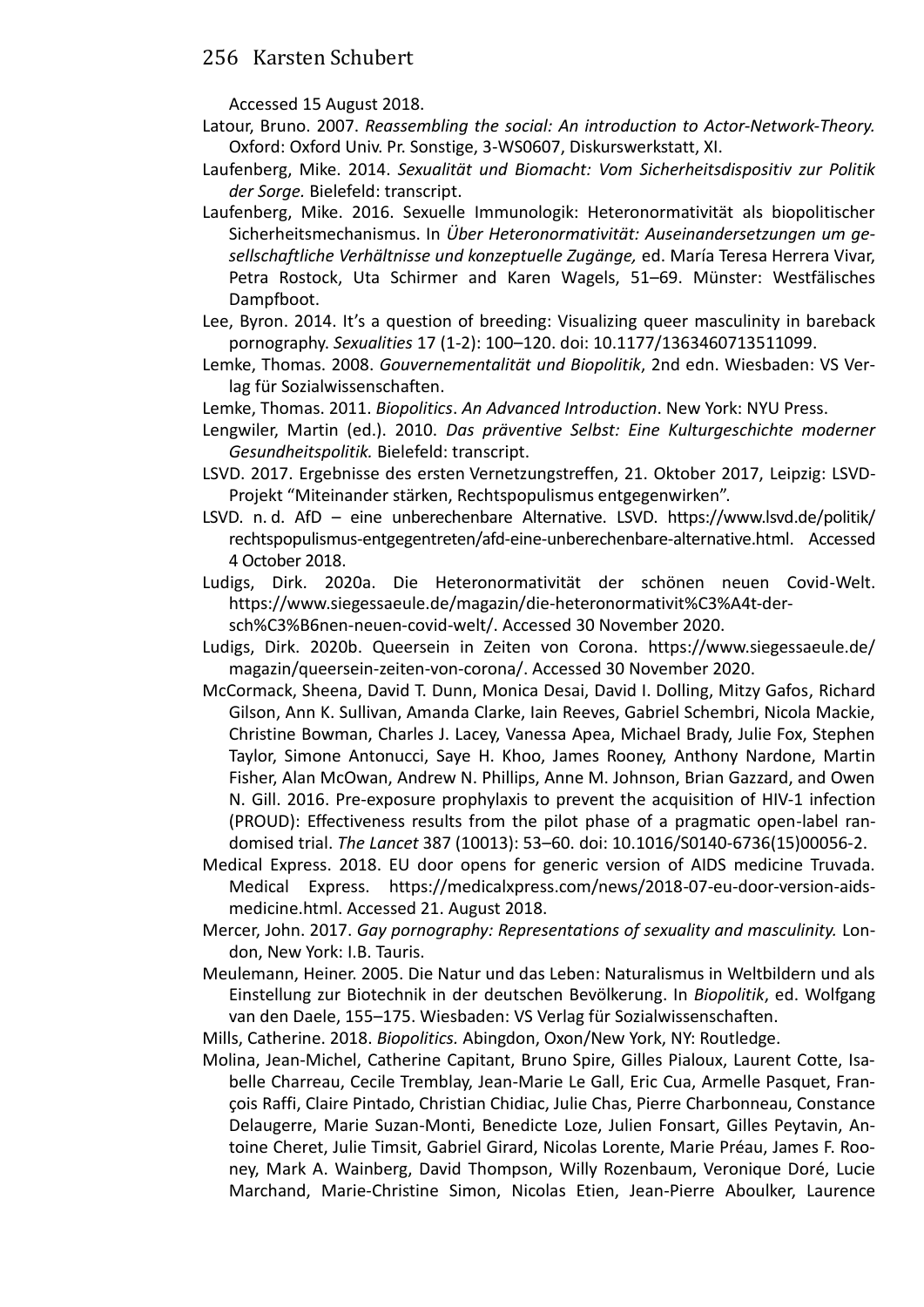Accessed 15 August 2018.

- Latour, Bruno. 2007. *Reassembling the social: An introduction to Actor-Network-Theory.* Oxford: Oxford Univ. Pr. Sonstige, 3-WS0607, Diskurswerkstatt, XI.
- Laufenberg, Mike. 2014. *Sexualität und Biomacht: Vom Sicherheitsdispositiv zur Politik der Sorge.* Bielefeld: transcript.
- Laufenberg, Mike. 2016. Sexuelle Immunologik: Heteronormativität als biopolitischer Sicherheitsmechanismus. In *Über Heteronormativität: Auseinandersetzungen um gesellschaftliche Verhältnisse und konzeptuelle Zugänge,* ed. María Teresa Herrera Vivar, Petra Rostock, Uta Schirmer and Karen Wagels, 51–69. Münster: Westfälisches Dampfboot.
- Lee, Byron. 2014. It's a question of breeding: Visualizing queer masculinity in bareback pornography. *Sexualities* 17 (1-2): 100–120. doi: 10.1177/1363460713511099.
- Lemke, Thomas. 2008. *Gouvernementalität und Biopolitik*, 2nd edn. Wiesbaden: VS Verlag für Sozialwissenschaften.
- Lemke, Thomas. 2011. *Biopolitics*. *An Advanced Introduction*. New York: NYU Press.
- Lengwiler, Martin (ed.). 2010. *Das präventive Selbst: Eine Kulturgeschichte moderner Gesundheitspolitik.* Bielefeld: transcript.
- LSVD. 2017. Ergebnisse des ersten Vernetzungstreffen, 21. Oktober 2017, Leipzig: LSVD-Projekt "Miteinander stärken, Rechtspopulismus entgegenwirken".
- LSVD. n. d. AfD eine unberechenbare Alternative. LSVD. https://www.lsvd.de/politik/ rechtspopulismus-entgegentreten/afd-eine-unberechenbare-alternative.html. Accessed 4 October 2018.
- Ludigs, Dirk. 2020a. Die Heteronormativität der schönen neuen Covid-Welt. https://www.siegessaeule.de/magazin/die-heteronormativit%C3%A4t-dersch%C3%B6nen-neuen-covid-welt/. Accessed 30 November 2020.
- Ludigs, Dirk. 2020b. Queersein in Zeiten von Corona. https://www.siegessaeule.de/ magazin/queersein-zeiten-von-corona/. Accessed 30 November 2020.
- McCormack, Sheena, David T. Dunn, Monica Desai, David I. Dolling, Mitzy Gafos, Richard Gilson, Ann K. Sullivan, Amanda Clarke, Iain Reeves, Gabriel Schembri, Nicola Mackie, Christine Bowman, Charles J. Lacey, Vanessa Apea, Michael Brady, Julie Fox, Stephen Taylor, Simone Antonucci, Saye H. Khoo, James Rooney, Anthony Nardone, Martin Fisher, Alan McOwan, Andrew N. Phillips, Anne M. Johnson, Brian Gazzard, and Owen N. Gill. 2016. Pre-exposure prophylaxis to prevent the acquisition of HIV-1 infection (PROUD): Effectiveness results from the pilot phase of a pragmatic open-label randomised trial. *The Lancet* 387 (10013): 53–60. doi: 10.1016/S0140-6736(15)00056-2.
- Medical Express. 2018. EU door opens for generic version of AIDS medicine Truvada. Medical Express. https://medicalxpress.com/news/2018-07-eu-door-version-aidsmedicine.html. Accessed 21. August 2018.
- Mercer, John. 2017. *Gay pornography: Representations of sexuality and masculinity.* London, New York: I.B. Tauris.
- Meulemann, Heiner. 2005. Die Natur und das Leben: Naturalismus in Weltbildern und als Einstellung zur Biotechnik in der deutschen Bevölkerung. In *Biopolitik*, ed. Wolfgang van den Daele, 155–175. Wiesbaden: VS Verlag für Sozialwissenschaften.
- Mills, Catherine. 2018. *Biopolitics.* Abingdon, Oxon/New York, NY: Routledge.
- Molina, Jean-Michel, Catherine Capitant, Bruno Spire, Gilles Pialoux, Laurent Cotte, Isabelle Charreau, Cecile Tremblay, Jean-Marie Le Gall, Eric Cua, Armelle Pasquet, François Raffi, Claire Pintado, Christian Chidiac, Julie Chas, Pierre Charbonneau, Constance Delaugerre, Marie Suzan-Monti, Benedicte Loze, Julien Fonsart, Gilles Peytavin, Antoine Cheret, Julie Timsit, Gabriel Girard, Nicolas Lorente, Marie Préau, James F. Rooney, Mark A. Wainberg, David Thompson, Willy Rozenbaum, Veronique Doré, Lucie Marchand, Marie-Christine Simon, Nicolas Etien, Jean-Pierre Aboulker, Laurence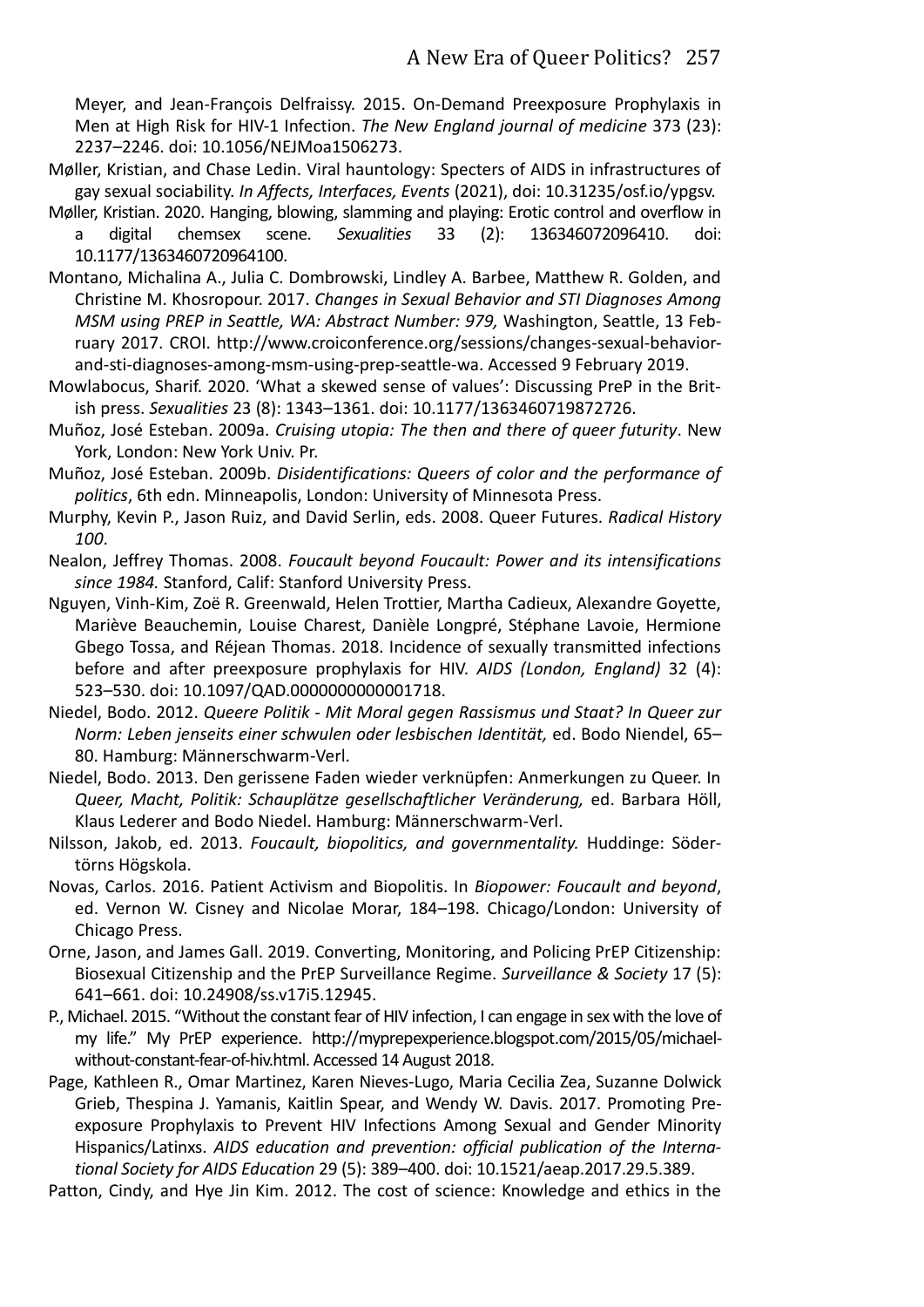Meyer, and Jean-François Delfraissy. 2015. On-Demand Preexposure Prophylaxis in Men at High Risk for HIV-1 Infection. *The New England journal of medicine* 373 (23): 2237–2246. doi: 10.1056/NEJMoa1506273.

- Møller, Kristian, and Chase Ledin. Viral hauntology: Specters of AIDS in infrastructures of gay sexual sociability. *In Affects, Interfaces, Events* (2021), doi: 10.31235/osf.io/ypgsv.
- Møller, Kristian. 2020. Hanging, blowing, slamming and playing: Erotic control and overflow in a digital chemsex scene. *Sexualities* 33 (2): 136346072096410. doi: 10.1177/1363460720964100.
- Montano, Michalina A., Julia C. Dombrowski, Lindley A. Barbee, Matthew R. Golden, and Christine M. Khosropour. 2017. *Changes in Sexual Behavior and STI Diagnoses Among MSM using PREP in Seattle, WA: Abstract Number: 979,* Washington, Seattle, 13 February 2017. CROI. http://www.croiconference.org/sessions/changes-sexual-behaviorand-sti-diagnoses-among-msm-using-prep-seattle-wa. Accessed 9 February 2019.
- Mowlabocus, Sharif. 2020. 'What a skewed sense of values': Discussing PreP in the Brit‐ ish press. *Sexualities* 23 (8): 1343–1361. doi: 10.1177/1363460719872726.
- Muñoz, José Esteban. 2009a. *Cruising utopia: The then and there of queer futurity*. New York, London: New York Univ. Pr.
- Muñoz, José Esteban. 2009b. *Disidentifications: Queers of color and the performance of politics*, 6th edn. Minneapolis, London: University of Minnesota Press.
- Murphy, Kevin P., Jason Ruiz, and David Serlin, eds. 2008. Queer Futures. *Radical History 100*.
- Nealon, Jeffrey Thomas. 2008. *Foucault beyond Foucault: Power and its intensifications since 1984.* Stanford, Calif: Stanford University Press.
- Nguyen, Vinh-Kim, Zoë R. Greenwald, Helen Trottier, Martha Cadieux, Alexandre Goyette, Mariève Beauchemin, Louise Charest, Danièle Longpré, Stéphane Lavoie, Hermione Gbego Tossa, and Réjean Thomas. 2018. Incidence of sexually transmitted infections before and after preexposure prophylaxis for HIV. *AIDS (London, England)* 32 (4): 523–530. doi: 10.1097/QAD.0000000000001718.
- Niedel, Bodo. 2012. *Queere Politik Mit Moral gegen Rassismus und Staat? In Queer zur Norm: Leben jenseits einer schwulen oder lesbischen Identität,* ed. Bodo Niendel, 65– 80. Hamburg: Männerschwarm-Verl.
- Niedel, Bodo. 2013. Den gerissene Faden wieder verknüpfen: Anmerkungen zu Queer. In *Queer, Macht, Politik: Schauplätze gesellschaftlicher Veränderung,* ed. Barbara Höll, Klaus Lederer and Bodo Niedel. Hamburg: Männerschwarm-Verl.
- Nilsson, Jakob, ed. 2013. *Foucault, biopolitics, and governmentality.* Huddinge: Södertörns Högskola.
- Novas, Carlos. 2016. Patient Activism and Biopolitis. In *Biopower: Foucault and beyond*, ed. Vernon W. Cisney and Nicolae Morar, 184–198. Chicago/London: University of Chicago Press.
- Orne, Jason, and James Gall. 2019. Converting, Monitoring, and Policing PrEP Citizenship: Biosexual Citizenship and the PrEP Surveillance Regime. *Surveillance & Society* 17 (5): 641–661. doi: 10.24908/ss.v17i5.12945.
- P., Michael. 2015. "Without the constant fear of HIV infection, I can engage in sex with the love of my life." My PrEP experience. http://myprepexperience.blogspot.com/2015/05/michaelwithout-constant-fear-of-hiv.html. Accessed 14 August 2018.
- Page, Kathleen R., Omar Martinez, Karen Nieves-Lugo, Maria Cecilia Zea, Suzanne Dolwick Grieb, Thespina J. Yamanis, Kaitlin Spear, and Wendy W. Davis. 2017. Promoting Preexposure Prophylaxis to Prevent HIV Infections Among Sexual and Gender Minority Hispanics/Latinxs. *AIDS education and prevention: official publication of the International Society for AIDS Education* 29 (5): 389–400. doi: 10.1521/aeap.2017.29.5.389.
- Patton, Cindy, and Hye Jin Kim. 2012. The cost of science: Knowledge and ethics in the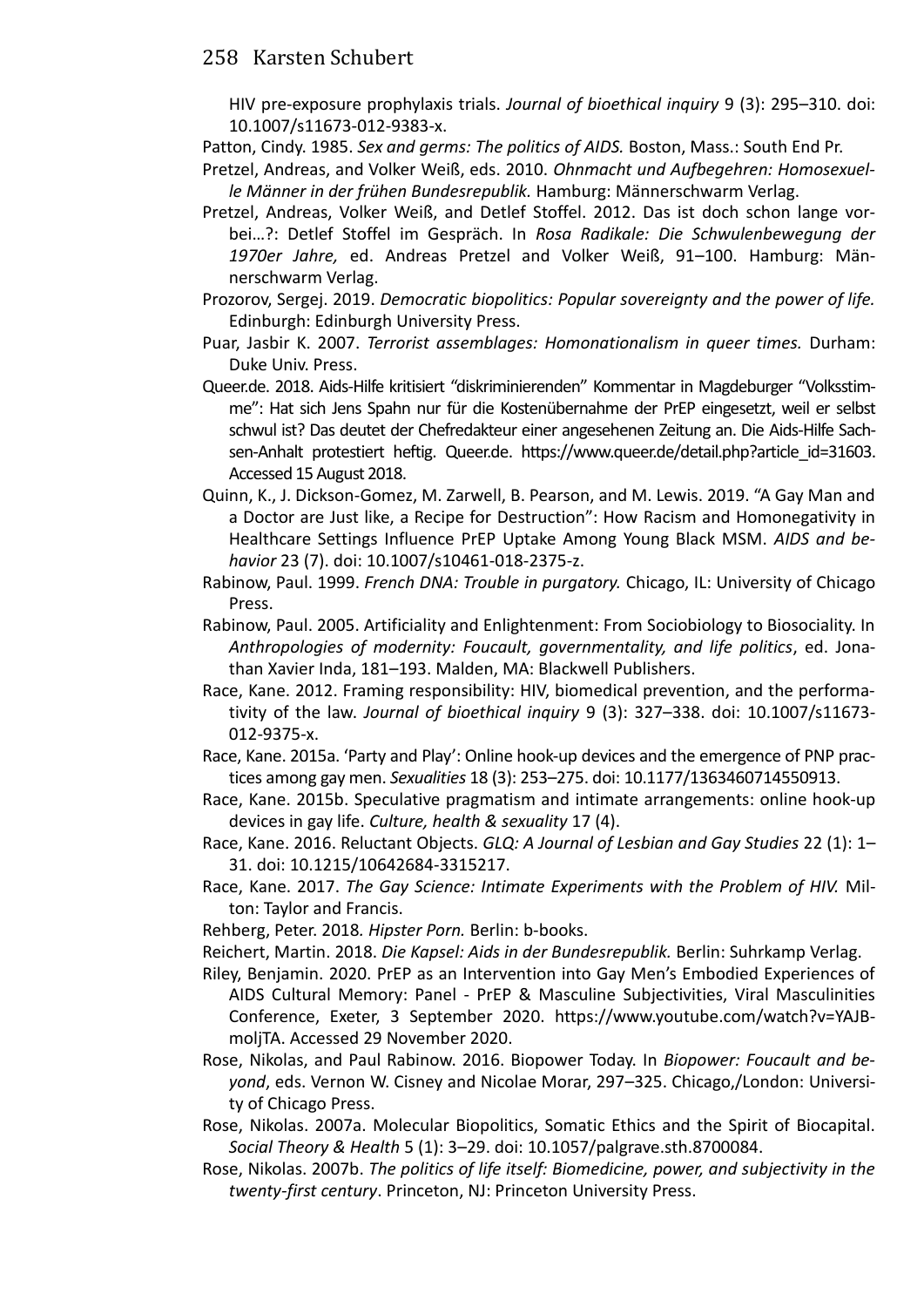HIV pre-exposure prophylaxis trials. *Journal of bioethical inquiry* 9 (3): 295–310. doi: 10.1007/s11673-012-9383-x.

Patton, Cindy. 1985. *Sex and germs: The politics of AIDS.* Boston, Mass.: South End Pr.

- Pretzel, Andreas, and Volker Weiß, eds. 2010. *Ohnmacht und Aufbegehren: Homosexuelle Männer in der frühen Bundesrepublik.* Hamburg: Männerschwarm Verlag.
- Pretzel, Andreas, Volker Weiß, and Detlef Stoffel. 2012. Das ist doch schon lange vorbei…?: Detlef Stoffel im Gespräch. In *Rosa Radikale: Die Schwulenbewegung der 1970er Jahre,* ed. Andreas Pretzel and Volker Weiß, 91–100. Hamburg: Männerschwarm Verlag.
- Prozorov, Sergej. 2019. *Democratic biopolitics: Popular sovereignty and the power of life.*  Edinburgh: Edinburgh University Press.
- Puar, Jasbir K. 2007. *Terrorist assemblages: Homonationalism in queer times.* Durham: Duke Univ. Press.
- Queer.de. 2018. Aids-Hilfe kritisiert "diskriminierenden" Kommentar in Magdeburger "Volksstim‐ me": Hat sich Jens Spahn nur für die Kostenübernahme der PrEP eingesetzt, weil er selbst schwul ist? Das deutet der Chefredakteur einer angesehenen Zeitung an. Die Aids-Hilfe Sachsen-Anhalt protestiert heftig. Queer.de. https://www.queer.de/detail.php?article\_id=31603. Accessed 15 August 2018.
- Quinn, K., J. Dickson-Gomez, M. Zarwell, B. Pearson, and M. Lewis. 2019. "A Gay Man and a Doctor are Just like, a Recipe for Destruction": How Racism and Homonegativity in Healthcare Settings Influence PrEP Uptake Among Young Black MSM. *AIDS and behavior* 23 (7). doi: 10.1007/s10461-018-2375-z.
- Rabinow, Paul. 1999. *French DNA: Trouble in purgatory.* Chicago, IL: University of Chicago Press.
- Rabinow, Paul. 2005. Artificiality and Enlightenment: From Sociobiology to Biosociality. In *Anthropologies of modernity: Foucault, governmentality, and life politics*, ed. Jonathan Xavier Inda, 181–193. Malden, MA: Blackwell Publishers.
- Race, Kane. 2012. Framing responsibility: HIV, biomedical prevention, and the performativity of the law. *Journal of bioethical inquiry* 9 (3): 327–338. doi: 10.1007/s11673- 012-9375-x.
- Race, Kane. 2015a. 'Party and Play': Online hook-up devices and the emergence of PNP practices among gay men. *Sexualities* 18 (3): 253–275. doi: 10.1177/1363460714550913.
- Race, Kane. 2015b. Speculative pragmatism and intimate arrangements: online hook-up devices in gay life. *Culture, health & sexuality* 17 (4).
- Race, Kane. 2016. Reluctant Objects. *GLQ: A Journal of Lesbian and Gay Studies* 22 (1): 1– 31. doi: 10.1215/10642684-3315217.
- Race, Kane. 2017. *The Gay Science: Intimate Experiments with the Problem of HIV.* Milton: Taylor and Francis.
- Rehberg, Peter. 2018*. Hipster Porn.* Berlin: b-books.
- Reichert, Martin. 2018. *Die Kapsel: Aids in der Bundesrepublik.* Berlin: Suhrkamp Verlag.
- Riley, Benjamin. 2020. PrEP as an Intervention into Gay Men's Embodied Experiences of AIDS Cultural Memory: Panel - PrEP & Masculine Subjectivities, Viral Masculinities Conference, Exeter, 3 September 2020. https://www.youtube.com/watch?v=YAJBmoljTA. Accessed 29 November 2020.
- Rose, Nikolas, and Paul Rabinow. 2016. Biopower Today. In *Biopower: Foucault and beyond*, eds. Vernon W. Cisney and Nicolae Morar, 297–325. Chicago,/London: University of Chicago Press.
- Rose, Nikolas. 2007a. Molecular Biopolitics, Somatic Ethics and the Spirit of Biocapital. *Social Theory & Health* 5 (1): 3–29. doi: 10.1057/palgrave.sth.8700084.
- Rose, Nikolas. 2007b. *The politics of life itself: Biomedicine, power, and subjectivity in the twenty-first century*. Princeton, NJ: Princeton University Press.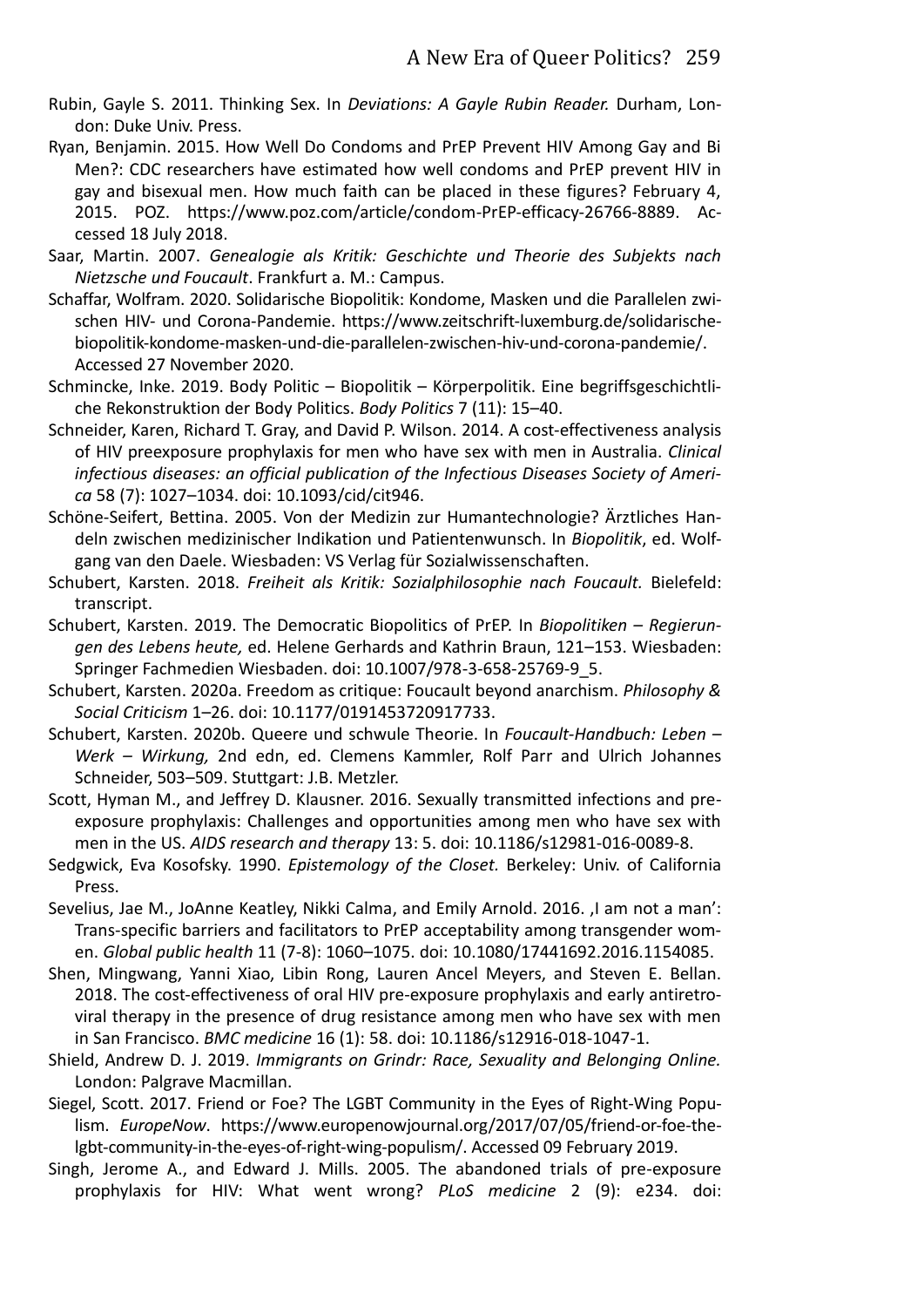- Rubin, Gayle S. 2011. Thinking Sex. In *Deviations: A Gayle Rubin Reader.* Durham, London: Duke Univ. Press.
- Ryan, Benjamin. 2015. How Well Do Condoms and PrEP Prevent HIV Among Gay and Bi Men?: CDC researchers have estimated how well condoms and PrEP prevent HIV in gay and bisexual men. How much faith can be placed in these figures? February 4, 2015. POZ. https://www.poz.com/article/condom-PrEP-efficacy-26766-8889. Accessed 18 July 2018.
- Saar, Martin. 2007. *Genealogie als Kritik: Geschichte und Theorie des Subjekts nach Nietzsche und Foucault*. Frankfurt a. M.: Campus.
- Schaffar, Wolfram. 2020. Solidarische Biopolitik: Kondome, Masken und die Parallelen zwischen HIV- und Corona-Pandemie. https://www.zeitschrift-luxemburg.de/solidarischebiopolitik-kondome-masken-und-die-parallelen-zwischen-hiv-und-corona-pandemie/. Accessed 27 November 2020.
- Schmincke, Inke. 2019. Body Politic Biopolitik Körperpolitik. Eine begriffsgeschichtliche Rekonstruktion der Body Politics. *Body Politics* 7 (11): 15–40.
- Schneider, Karen, Richard T. Gray, and David P. Wilson. 2014. A cost-effectiveness analysis of HIV preexposure prophylaxis for men who have sex with men in Australia. *Clinical infectious diseases: an official publication of the Infectious Diseases Society of America* 58 (7): 1027–1034. doi: 10.1093/cid/cit946.
- Schöne-Seifert, Bettina. 2005. Von der Medizin zur Humantechnologie? Ärztliches Handeln zwischen medizinischer Indikation und Patientenwunsch. In *Biopolitik*, ed. Wolfgang van den Daele. Wiesbaden: VS Verlag für Sozialwissenschaften.
- Schubert, Karsten. 2018. *Freiheit als Kritik: Sozialphilosophie nach Foucault.* Bielefeld: transcript.
- Schubert, Karsten. 2019. The Democratic Biopolitics of PrEP. In *Biopolitiken – Regierungen des Lebens heute,* ed. Helene Gerhards and Kathrin Braun, 121–153. Wiesbaden: Springer Fachmedien Wiesbaden. doi: 10.1007/978-3-658-25769-9\_5.
- Schubert, Karsten. 2020a. Freedom as critique: Foucault beyond anarchism. *Philosophy & Social Criticism* 1–26. doi: 10.1177/0191453720917733.
- Schubert, Karsten. 2020b. Queere und schwule Theorie. In *Foucault-Handbuch: Leben – Werk – Wirkung,* 2nd edn, ed. Clemens Kammler, Rolf Parr and Ulrich Johannes Schneider, 503–509. Stuttgart: J.B. Metzler.
- Scott, Hyman M., and Jeffrey D. Klausner. 2016. Sexually transmitted infections and preexposure prophylaxis: Challenges and opportunities among men who have sex with men in the US. *AIDS research and therapy* 13: 5. doi: 10.1186/s12981-016-0089-8.
- Sedgwick, Eva Kosofsky. 1990. *Epistemology of the Closet.* Berkeley: Univ. of California Press.
- Sevelius, Jae M., JoAnne Keatley, Nikki Calma, and Emily Arnold. 2016. , I am not a man': Trans-specific barriers and facilitators to PrEP acceptability among transgender women. *Global public health* 11 (7-8): 1060–1075. doi: 10.1080/17441692.2016.1154085.
- Shen, Mingwang, Yanni Xiao, Libin Rong, Lauren Ancel Meyers, and Steven E. Bellan. 2018. The cost-effectiveness of oral HIV pre-exposure prophylaxis and early antiretroviral therapy in the presence of drug resistance among men who have sex with men in San Francisco. *BMC medicine* 16 (1): 58. doi: 10.1186/s12916-018-1047-1.
- Shield, Andrew D. J. 2019. *Immigrants on Grindr: Race, Sexuality and Belonging Online.*  London: Palgrave Macmillan.
- Siegel, Scott. 2017. Friend or Foe? The LGBT Community in the Eyes of Right-Wing Populism. *EuropeNow*. https://www.europenowjournal.org/2017/07/05/friend-or-foe-thelgbt-community-in-the-eyes-of-right-wing-populism/. Accessed 09 February 2019.
- Singh, Jerome A., and Edward J. Mills. 2005. The abandoned trials of pre-exposure prophylaxis for HIV: What went wrong? *PLoS medicine* 2 (9): e234. doi: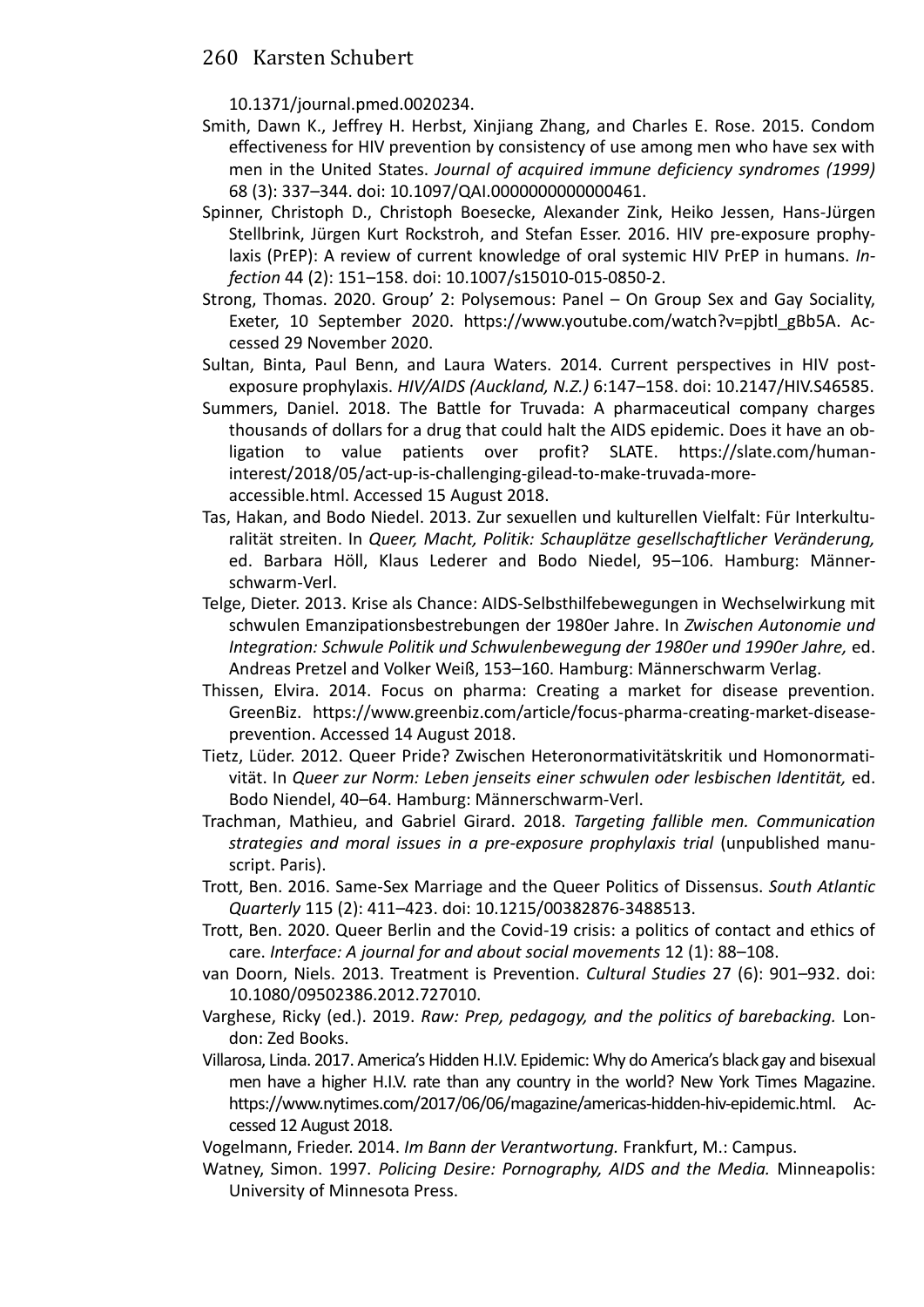10.1371/journal.pmed.0020234.

- Smith, Dawn K., Jeffrey H. Herbst, Xinjiang Zhang, and Charles E. Rose. 2015. Condom effectiveness for HIV prevention by consistency of use among men who have sex with men in the United States. *Journal of acquired immune deficiency syndromes (1999)* 68 (3): 337–344. doi: 10.1097/QAI.0000000000000461.
- Spinner, Christoph D., Christoph Boesecke, Alexander Zink, Heiko Jessen, Hans-Jürgen Stellbrink, Jürgen Kurt Rockstroh, and Stefan Esser. 2016. HIV pre-exposure prophylaxis (PrEP): A review of current knowledge of oral systemic HIV PrEP in humans. *Infection* 44 (2): 151–158. doi: 10.1007/s15010-015-0850-2.
- Strong, Thomas. 2020. Group' 2: Polysemous: Panel On Group Sex and Gay Sociality, Exeter, 10 September 2020. https://www.youtube.com/watch?v=pjbtl\_gBb5A. Accessed 29 November 2020.
- Sultan, Binta, Paul Benn, and Laura Waters. 2014. Current perspectives in HIV postexposure prophylaxis. *HIV/AIDS (Auckland, N.Z.)* 6:147–158. doi: 10.2147/HIV.S46585.
- Summers, Daniel. 2018. The Battle for Truvada: A pharmaceutical company charges thousands of dollars for a drug that could halt the AIDS epidemic. Does it have an obligation to value patients over profit? SLATE. https://slate.com/humaninterest/2018/05/act-up-is-challenging-gilead-to-make-truvada-moreaccessible.html. Accessed 15 August 2018.
- Tas, Hakan, and Bodo Niedel. 2013. Zur sexuellen und kulturellen Vielfalt: Für Interkulturalität streiten. In *Queer, Macht, Politik: Schauplätze gesellschaftlicher Veränderung,* ed. Barbara Höll, Klaus Lederer and Bodo Niedel, 95–106. Hamburg: Männerschwarm-Verl.
- Telge, Dieter. 2013. Krise als Chance: AIDS-Selbsthilfebewegungen in Wechselwirkung mit schwulen Emanzipationsbestrebungen der 1980er Jahre. In *Zwischen Autonomie und Integration: Schwule Politik und Schwulenbewegung der 1980er und 1990er Jahre,* ed. Andreas Pretzel and Volker Weiß, 153–160. Hamburg: Männerschwarm Verlag.
- Thissen, Elvira. 2014. Focus on pharma: Creating a market for disease prevention. GreenBiz. https://www.greenbiz.com/article/focus-pharma-creating-market-diseaseprevention. Accessed 14 August 2018.
- Tietz, Lüder. 2012. Queer Pride? Zwischen Heteronormativitätskritik und Homonormativität. In *Queer zur Norm: Leben jenseits einer schwulen oder lesbischen Identität,* ed. Bodo Niendel, 40–64. Hamburg: Männerschwarm-Verl.
- Trachman, Mathieu, and Gabriel Girard. 2018. *Targeting fallible men. Communication strategies and moral issues in a pre-exposure prophylaxis trial* (unpublished manuscript. Paris).
- Trott, Ben. 2016. Same-Sex Marriage and the Queer Politics of Dissensus. *South Atlantic Quarterly* 115 (2): 411–423. doi: 10.1215/00382876-3488513.
- Trott, Ben. 2020. Queer Berlin and the Covid-19 crisis: a politics of contact and ethics of care. *Interface: A journal for and about social movements* 12 (1): 88–108.
- van Doorn, Niels. 2013. Treatment is Prevention. *Cultural Studies* 27 (6): 901–932. doi: 10.1080/09502386.2012.727010.
- Varghese, Ricky (ed.). 2019. *Raw: Prep, pedagogy, and the politics of barebacking.* London: Zed Books.
- Villarosa, Linda. 2017. America's Hidden H.I.V. Epidemic: Why do America's black gay and bisexual men have a higher H.I.V. rate than any country in the world? New York Times Magazine. https://www.nytimes.com/2017/06/06/magazine/americas-hidden-hiv-epidemic.html. Accessed 12 August 2018.
- Vogelmann, Frieder. 2014. *Im Bann der Verantwortung.* Frankfurt, M.: Campus.
- Watney, Simon. 1997. *Policing Desire: Pornography, AIDS and the Media.* Minneapolis: University of Minnesota Press.